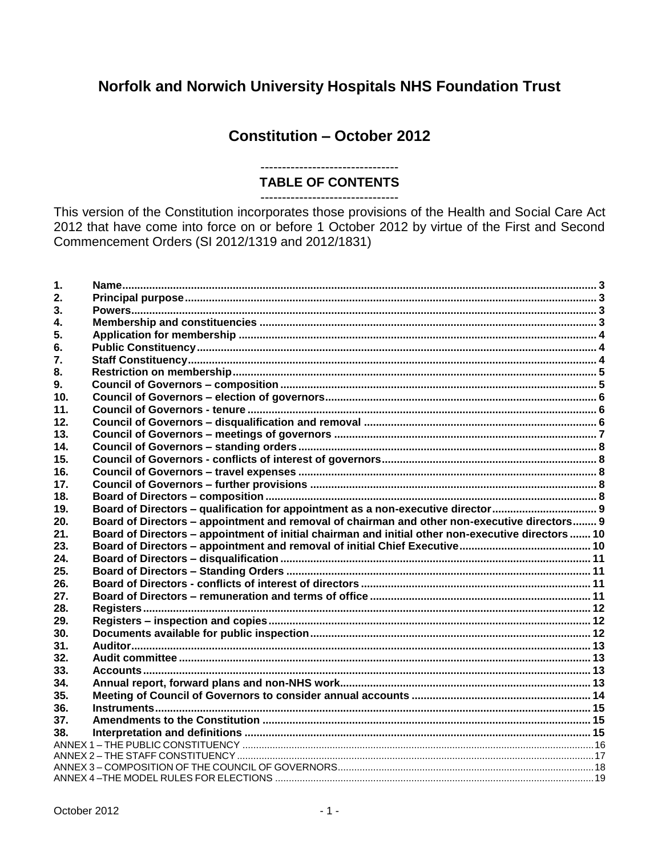# Norfolk and Norwich University Hospitals NHS Foundation Trust

# **Constitution - October 2012**

# **TABLE OF CONTENTS**

---------------------------

This version of the Constitution incorporates those provisions of the Health and Social Care Act 2012 that have come into force on or before 1 October 2012 by virtue of the First and Second Commencement Orders (SI 2012/1319 and 2012/1831)

| 1.              |                                                                                                    |  |
|-----------------|----------------------------------------------------------------------------------------------------|--|
| 2.              |                                                                                                    |  |
| 3.              |                                                                                                    |  |
| 4.              |                                                                                                    |  |
| 5.              |                                                                                                    |  |
| 6.              |                                                                                                    |  |
| 7.              |                                                                                                    |  |
| 8.              |                                                                                                    |  |
| 9.              |                                                                                                    |  |
| 10 <sub>1</sub> |                                                                                                    |  |
| 11.             |                                                                                                    |  |
| 12.             |                                                                                                    |  |
| 13.             |                                                                                                    |  |
| 14.             |                                                                                                    |  |
| 15.             |                                                                                                    |  |
| 16.             |                                                                                                    |  |
| 17 <sub>1</sub> |                                                                                                    |  |
| 18.             |                                                                                                    |  |
| 19.             |                                                                                                    |  |
| 20.             | Board of Directors - appointment and removal of chairman and other non-executive directors 9       |  |
| 21.             | Board of Directors - appointment of initial chairman and initial other non-executive directors  10 |  |
| 23.             |                                                                                                    |  |
| 24.             |                                                                                                    |  |
| 25.             |                                                                                                    |  |
| 26.             |                                                                                                    |  |
| 27.             |                                                                                                    |  |
| 28.             |                                                                                                    |  |
| 29.             |                                                                                                    |  |
| 30.             |                                                                                                    |  |
| 31.             |                                                                                                    |  |
| 32.             |                                                                                                    |  |
| 33.             |                                                                                                    |  |
| 34.             |                                                                                                    |  |
| 35.             |                                                                                                    |  |
| 36.             |                                                                                                    |  |
| 37.             |                                                                                                    |  |
| 38.             |                                                                                                    |  |
|                 |                                                                                                    |  |
|                 |                                                                                                    |  |
|                 |                                                                                                    |  |
|                 |                                                                                                    |  |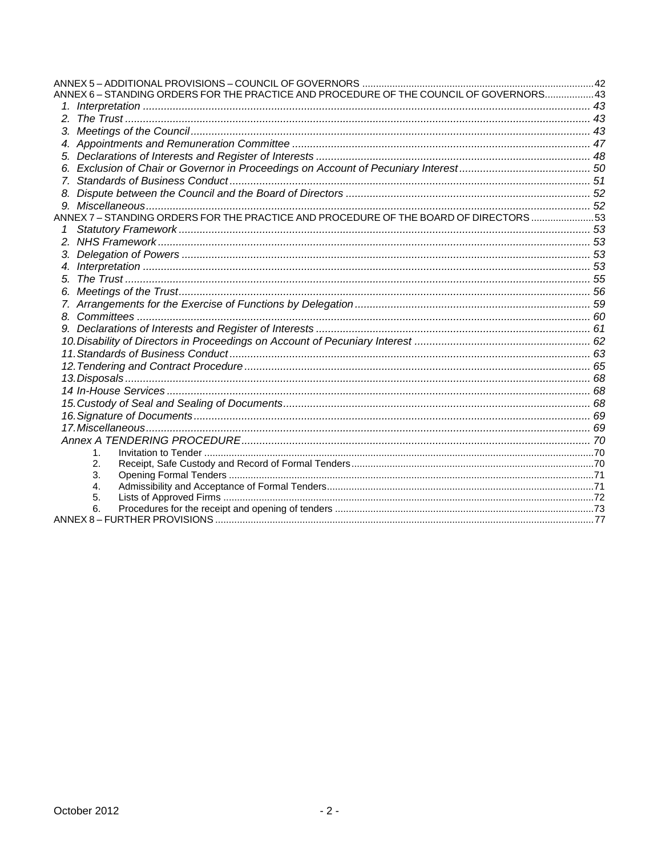| ANNEX 6 - STANDING ORDERS FOR THE PRACTICE AND PROCEDURE OF THE COUNCIL OF GOVERNORS 43 |  |
|-----------------------------------------------------------------------------------------|--|
|                                                                                         |  |
|                                                                                         |  |
|                                                                                         |  |
|                                                                                         |  |
|                                                                                         |  |
|                                                                                         |  |
|                                                                                         |  |
|                                                                                         |  |
|                                                                                         |  |
| ANNEX 7 – STANDING ORDERS FOR THE PRACTICE AND PROCEDURE OF THE BOARD OF DIRECTORS      |  |
|                                                                                         |  |
|                                                                                         |  |
|                                                                                         |  |
|                                                                                         |  |
|                                                                                         |  |
|                                                                                         |  |
|                                                                                         |  |
|                                                                                         |  |
|                                                                                         |  |
|                                                                                         |  |
|                                                                                         |  |
|                                                                                         |  |
|                                                                                         |  |
|                                                                                         |  |
|                                                                                         |  |
|                                                                                         |  |
|                                                                                         |  |
|                                                                                         |  |
| 1.                                                                                      |  |
| 2.                                                                                      |  |
| 3.                                                                                      |  |
| 4.<br>5.                                                                                |  |
| 6.                                                                                      |  |
|                                                                                         |  |
|                                                                                         |  |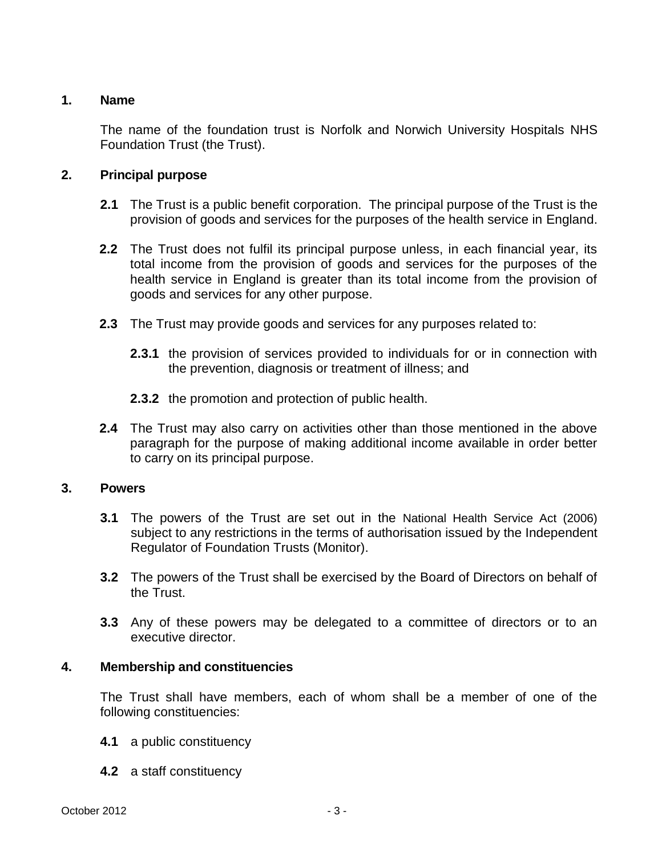# <span id="page-2-0"></span>**1. Name**

The name of the foundation trust is Norfolk and Norwich University Hospitals NHS Foundation Trust (the Trust).

# <span id="page-2-1"></span>**2. Principal purpose**

- **2.1** The Trust is a public benefit corporation. The principal purpose of the Trust is the provision of goods and services for the purposes of the health service in England.
- **2.2** The Trust does not fulfil its principal purpose unless, in each financial year, its total income from the provision of goods and services for the purposes of the health service in England is greater than its total income from the provision of goods and services for any other purpose.
- **2.3** The Trust may provide goods and services for any purposes related to:
	- **2.3.1** the provision of services provided to individuals for or in connection with the prevention, diagnosis or treatment of illness; and
	- **2.3.2** the promotion and protection of public health.
- **2.4** The Trust may also carry on activities other than those mentioned in the above paragraph for the purpose of making additional income available in order better to carry on its principal purpose.

# <span id="page-2-2"></span>**3. Powers**

- **3.1** The powers of the Trust are set out in the National Health Service Act (2006) subject to any restrictions in the terms of authorisation issued by the Independent Regulator of Foundation Trusts (Monitor).
- **3.2** The powers of the Trust shall be exercised by the Board of Directors on behalf of the Trust.
- **3.3** Any of these powers may be delegated to a committee of directors or to an executive director.

# <span id="page-2-3"></span>**4. Membership and constituencies**

The Trust shall have members, each of whom shall be a member of one of the following constituencies:

- **4.1** a public constituency
- **4.2** a staff constituency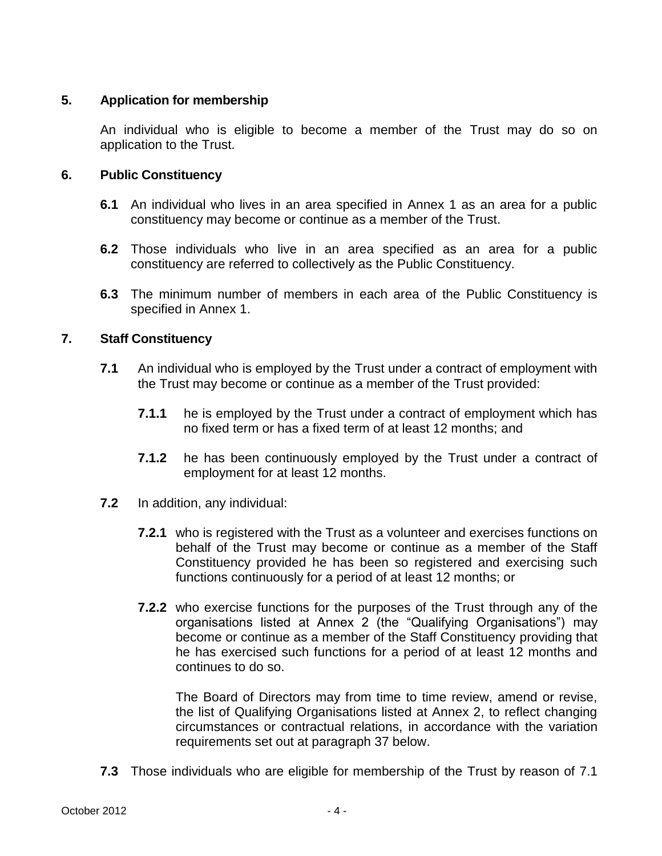# <span id="page-3-0"></span>**5. Application for membership**

An individual who is eligible to become a member of the Trust may do so on application to the Trust.

# <span id="page-3-1"></span>**6. Public Constituency**

- **6.1** An individual who lives in an area specified in Annex 1 as an area for a public constituency may become or continue as a member of the Trust.
- **6.2** Those individuals who live in an area specified as an area for a public constituency are referred to collectively as the Public Constituency.
- **6.3** The minimum number of members in each area of the Public Constituency is specified in Annex 1.

# <span id="page-3-2"></span>**7. Staff Constituency**

- **7.1** An individual who is employed by the Trust under a contract of employment with the Trust may become or continue as a member of the Trust provided:
	- **7.1.1** he is employed by the Trust under a contract of employment which has no fixed term or has a fixed term of at least 12 months; and
	- **7.1.2** he has been continuously employed by the Trust under a contract of employment for at least 12 months.
- **7.2** In addition, any individual:
	- **7.2.1** who is registered with the Trust as a volunteer and exercises functions on behalf of the Trust may become or continue as a member of the Staff Constituency provided he has been so registered and exercising such functions continuously for a period of at least 12 months; or
	- **7.2.2** who exercise functions for the purposes of the Trust through any of the organisations listed at Annex 2 (the "Qualifying Organisations") may become or continue as a member of the Staff Constituency providing that he has exercised such functions for a period of at least 12 months and continues to do so.

The Board of Directors may from time to time review, amend or revise, the list of Qualifying Organisations listed at Annex 2, to reflect changing circumstances or contractual relations, in accordance with the variation requirements set out at paragraph 37 below.

**7.3** Those individuals who are eligible for membership of the Trust by reason of 7.1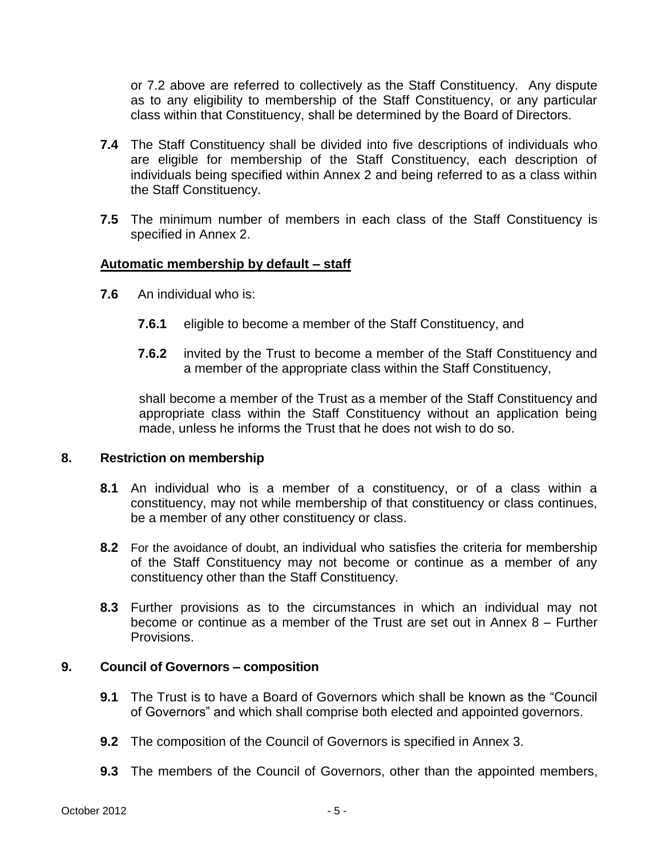or 7.2 above are referred to collectively as the Staff Constituency. Any dispute as to any eligibility to membership of the Staff Constituency, or any particular class within that Constituency, shall be determined by the Board of Directors.

- **7.4** The Staff Constituency shall be divided into five descriptions of individuals who are eligible for membership of the Staff Constituency, each description of individuals being specified within Annex 2 and being referred to as a class within the Staff Constituency.
- **7.5** The minimum number of members in each class of the Staff Constituency is specified in Annex 2.

# **Automatic membership by default – staff**

- **7.6** An individual who is:
	- **7.6.1** eligible to become a member of the Staff Constituency, and
	- **7.6.2** invited by the Trust to become a member of the Staff Constituency and a member of the appropriate class within the Staff Constituency,

shall become a member of the Trust as a member of the Staff Constituency and appropriate class within the Staff Constituency without an application being made, unless he informs the Trust that he does not wish to do so.

## <span id="page-4-0"></span>**8. Restriction on membership**

- **8.1** An individual who is a member of a constituency, or of a class within a constituency, may not while membership of that constituency or class continues, be a member of any other constituency or class.
- **8.2** For the avoidance of doubt, an individual who satisfies the criteria for membership of the Staff Constituency may not become or continue as a member of any constituency other than the Staff Constituency.
- **8.3** Further provisions as to the circumstances in which an individual may not become or continue as a member of the Trust are set out in Annex  $8 -$  Further Provisions.

## <span id="page-4-1"></span>**9. Council of Governors – composition**

- **9.1** The Trust is to have a Board of Governors which shall be known as the "Council of Governors" and which shall comprise both elected and appointed governors.
- **9.2** The composition of the Council of Governors is specified in Annex 3.
- **9.3** The members of the Council of Governors, other than the appointed members,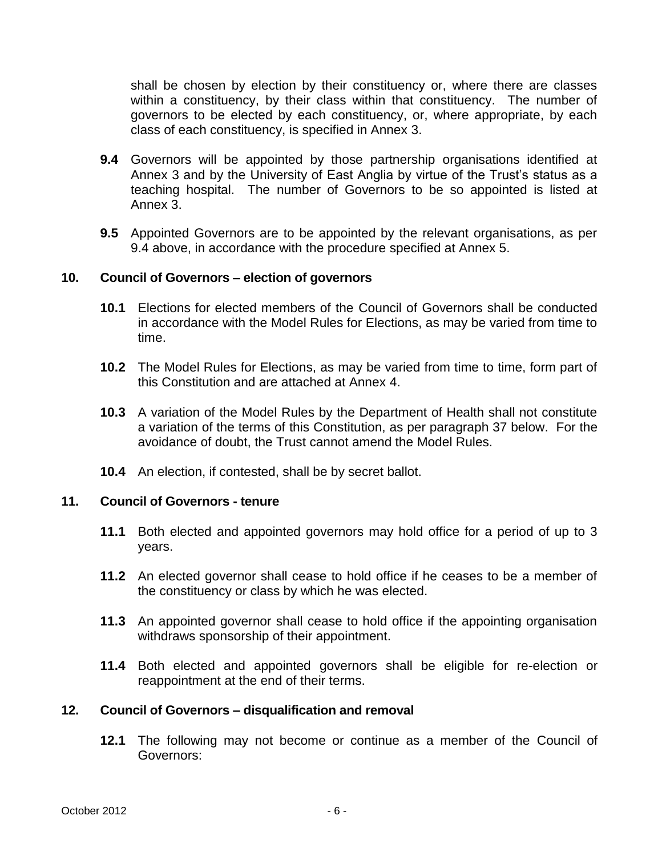shall be chosen by election by their constituency or, where there are classes within a constituency, by their class within that constituency. The number of governors to be elected by each constituency, or, where appropriate, by each class of each constituency, is specified in Annex 3.

- **9.4** Governors will be appointed by those partnership organisations identified at Annex 3 and by the University of East Anglia by virtue of the Trust's status as a teaching hospital. The number of Governors to be so appointed is listed at Annex 3.
- **9.5** Appointed Governors are to be appointed by the relevant organisations, as per 9.4 above, in accordance with the procedure specified at Annex 5.

# <span id="page-5-0"></span>**10. Council of Governors – election of governors**

- **10.1** Elections for elected members of the Council of Governors shall be conducted in accordance with the Model Rules for Elections, as may be varied from time to time.
- **10.2** The Model Rules for Elections, as may be varied from time to time, form part of this Constitution and are attached at Annex 4.
- **10.3** A variation of the Model Rules by the Department of Health shall not constitute a variation of the terms of this Constitution, as per paragraph 37 below. For the avoidance of doubt, the Trust cannot amend the Model Rules.
- **10.4** An election, if contested, shall be by secret ballot.

## <span id="page-5-1"></span>**11. Council of Governors - tenure**

- **11.1** Both elected and appointed governors may hold office for a period of up to 3 years.
- **11.2** An elected governor shall cease to hold office if he ceases to be a member of the constituency or class by which he was elected.
- **11.3** An appointed governor shall cease to hold office if the appointing organisation withdraws sponsorship of their appointment.
- **11.4** Both elected and appointed governors shall be eligible for re-election or reappointment at the end of their terms.

# <span id="page-5-2"></span>**12. Council of Governors – disqualification and removal**

**12.1** The following may not become or continue as a member of the Council of Governors: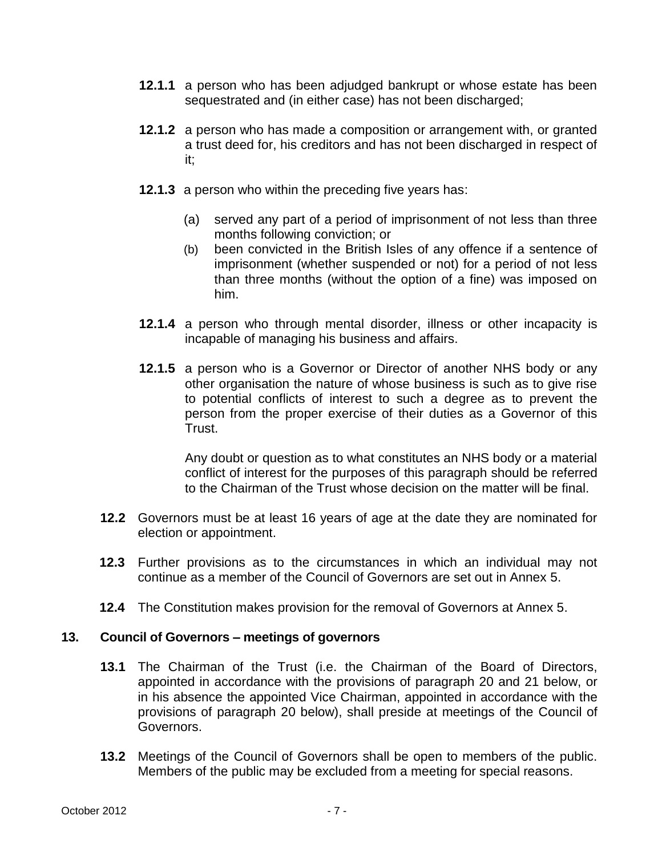- **12.1.1** a person who has been adjudged bankrupt or whose estate has been sequestrated and (in either case) has not been discharged;
- **12.1.2** a person who has made a composition or arrangement with, or granted a trust deed for, his creditors and has not been discharged in respect of it;
- **12.1.3** a person who within the preceding five years has:
	- (a) served any part of a period of imprisonment of not less than three months following conviction; or
	- (b) been convicted in the British Isles of any offence if a sentence of imprisonment (whether suspended or not) for a period of not less than three months (without the option of a fine) was imposed on him.
- **12.1.4** a person who through mental disorder, illness or other incapacity is incapable of managing his business and affairs.
- **12.1.5** a person who is a Governor or Director of another NHS body or any other organisation the nature of whose business is such as to give rise to potential conflicts of interest to such a degree as to prevent the person from the proper exercise of their duties as a Governor of this Trust.

Any doubt or question as to what constitutes an NHS body or a material conflict of interest for the purposes of this paragraph should be referred to the Chairman of the Trust whose decision on the matter will be final.

- **12.2** Governors must be at least 16 years of age at the date they are nominated for election or appointment.
- **12.3** Further provisions as to the circumstances in which an individual may not continue as a member of the Council of Governors are set out in Annex 5.
- **12.4** The Constitution makes provision for the removal of Governors at Annex 5.

# <span id="page-6-0"></span>**13. Council of Governors – meetings of governors**

- **13.1** The Chairman of the Trust (i.e. the Chairman of the Board of Directors, appointed in accordance with the provisions of paragraph 20 and 21 below, or in his absence the appointed Vice Chairman, appointed in accordance with the provisions of paragraph 20 below), shall preside at meetings of the Council of Governors.
- **13.2** Meetings of the Council of Governors shall be open to members of the public. Members of the public may be excluded from a meeting for special reasons.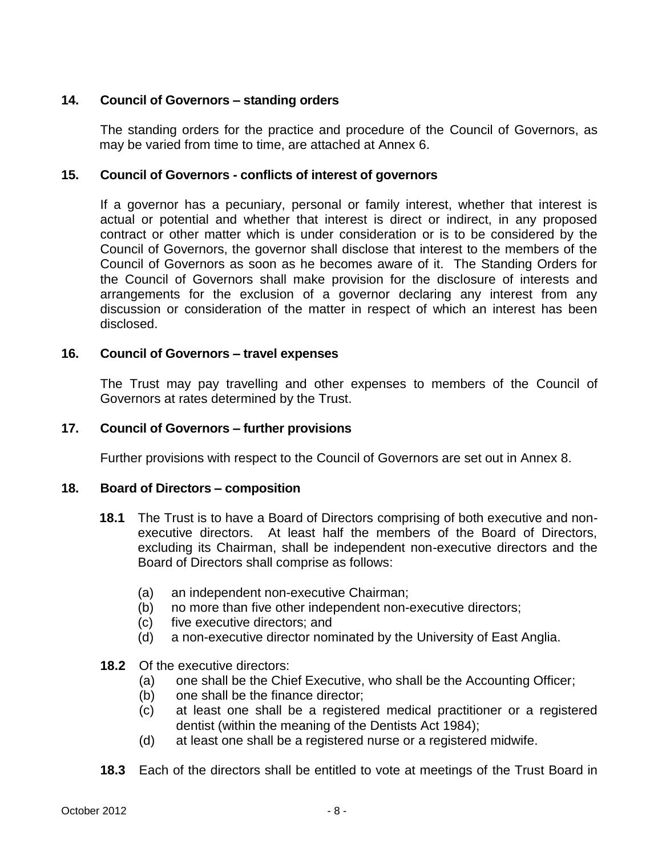# <span id="page-7-0"></span>**14. Council of Governors – standing orders**

The standing orders for the practice and procedure of the Council of Governors, as may be varied from time to time, are attached at Annex 6.

# <span id="page-7-1"></span>**15. Council of Governors - conflicts of interest of governors**

If a governor has a pecuniary, personal or family interest, whether that interest is actual or potential and whether that interest is direct or indirect, in any proposed contract or other matter which is under consideration or is to be considered by the Council of Governors, the governor shall disclose that interest to the members of the Council of Governors as soon as he becomes aware of it. The Standing Orders for the Council of Governors shall make provision for the disclosure of interests and arrangements for the exclusion of a governor declaring any interest from any discussion or consideration of the matter in respect of which an interest has been disclosed.

# <span id="page-7-2"></span>**16. Council of Governors – travel expenses**

The Trust may pay travelling and other expenses to members of the Council of Governors at rates determined by the Trust.

# <span id="page-7-3"></span>**17. Council of Governors – further provisions**

Further provisions with respect to the Council of Governors are set out in Annex 8.

## <span id="page-7-4"></span>**18. Board of Directors – composition**

- **18.1** The Trust is to have a Board of Directors comprising of both executive and nonexecutive directors. At least half the members of the Board of Directors, excluding its Chairman, shall be independent non-executive directors and the Board of Directors shall comprise as follows:
	- (a) an independent non-executive Chairman;
	- (b) no more than five other independent non-executive directors;
	- (c) five executive directors; and
	- (d) a non-executive director nominated by the University of East Anglia.

# **18.2** Of the executive directors:

- (a) one shall be the Chief Executive, who shall be the Accounting Officer;
- (b) one shall be the finance director;
- (c) at least one shall be a registered medical practitioner or a registered dentist (within the meaning of the Dentists Act 1984);
- (d) at least one shall be a registered nurse or a registered midwife.
- **18.3** Each of the directors shall be entitled to vote at meetings of the Trust Board in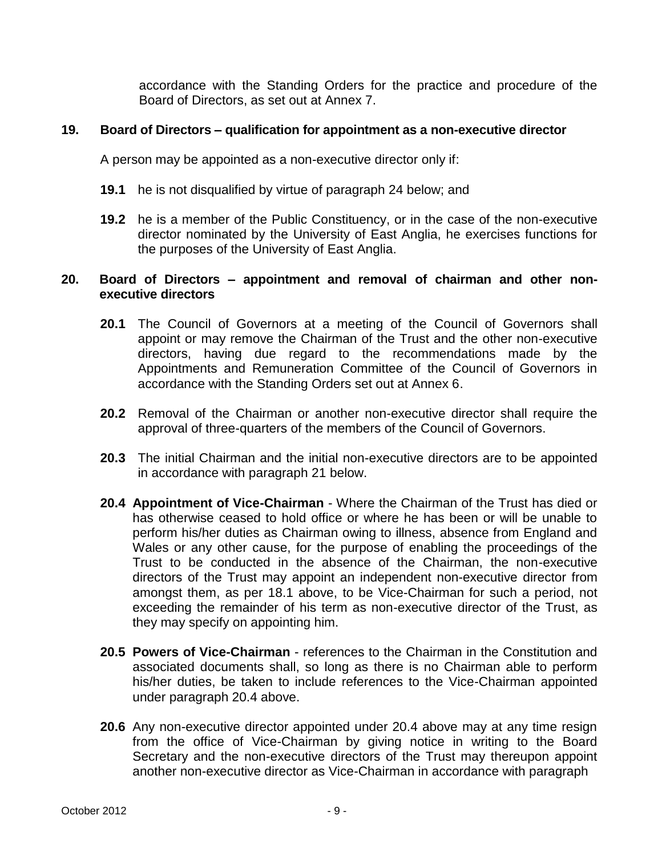accordance with the Standing Orders for the practice and procedure of the Board of Directors, as set out at Annex 7.

# <span id="page-8-0"></span>**19. Board of Directors – qualification for appointment as a non-executive director**

A person may be appointed as a non-executive director only if:

- **19.1** he is not disqualified by virtue of paragraph 24 below; and
- **19.2** he is a member of the Public Constituency, or in the case of the non-executive director nominated by the University of East Anglia, he exercises functions for the purposes of the University of East Anglia.

# <span id="page-8-1"></span>**20. Board of Directors – appointment and removal of chairman and other nonexecutive directors**

- **20.1** The Council of Governors at a meeting of the Council of Governors shall appoint or may remove the Chairman of the Trust and the other non-executive directors, having due regard to the recommendations made by the Appointments and Remuneration Committee of the Council of Governors in accordance with the Standing Orders set out at Annex 6.
- **20.2** Removal of the Chairman or another non-executive director shall require the approval of three-quarters of the members of the Council of Governors.
- **20.3** The initial Chairman and the initial non-executive directors are to be appointed in accordance with paragraph 21 below.
- **20.4 Appointment of Vice-Chairman** Where the Chairman of the Trust has died or has otherwise ceased to hold office or where he has been or will be unable to perform his/her duties as Chairman owing to illness, absence from England and Wales or any other cause, for the purpose of enabling the proceedings of the Trust to be conducted in the absence of the Chairman, the non-executive directors of the Trust may appoint an independent non-executive director from amongst them, as per 18.1 above, to be Vice-Chairman for such a period, not exceeding the remainder of his term as non-executive director of the Trust, as they may specify on appointing him.
- **20.5 Powers of Vice-Chairman** references to the Chairman in the Constitution and associated documents shall, so long as there is no Chairman able to perform his/her duties, be taken to include references to the Vice-Chairman appointed under paragraph 20.4 above.
- **20.6** Any non-executive director appointed under 20.4 above may at any time resign from the office of Vice-Chairman by giving notice in writing to the Board Secretary and the non-executive directors of the Trust may thereupon appoint another non-executive director as Vice-Chairman in accordance with paragraph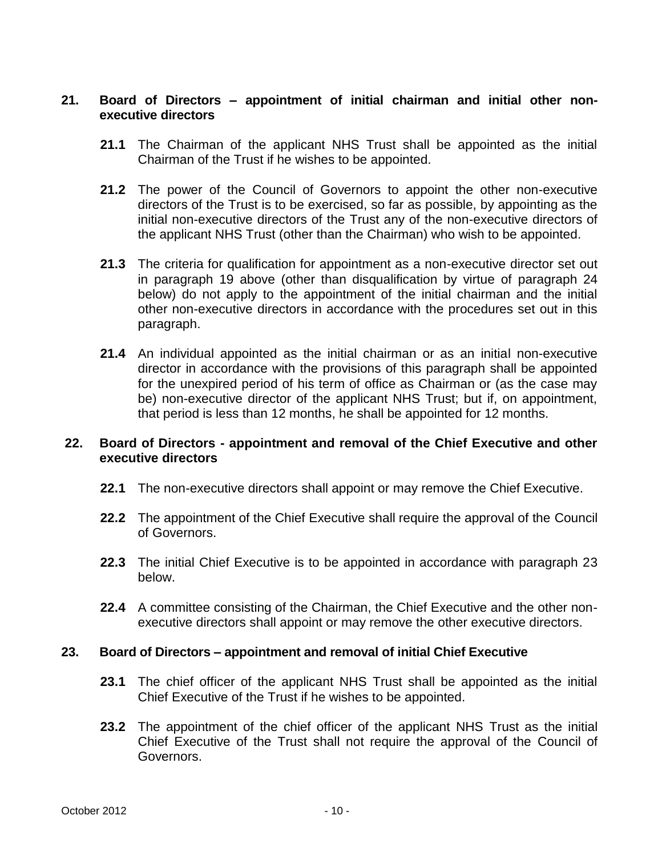# <span id="page-9-0"></span>**21. Board of Directors – appointment of initial chairman and initial other nonexecutive directors**

- **21.1** The Chairman of the applicant NHS Trust shall be appointed as the initial Chairman of the Trust if he wishes to be appointed.
- **21.2** The power of the Council of Governors to appoint the other non-executive directors of the Trust is to be exercised, so far as possible, by appointing as the initial non-executive directors of the Trust any of the non-executive directors of the applicant NHS Trust (other than the Chairman) who wish to be appointed.
- **21.3** The criteria for qualification for appointment as a non-executive director set out in paragraph 19 above (other than disqualification by virtue of paragraph 24 below) do not apply to the appointment of the initial chairman and the initial other non-executive directors in accordance with the procedures set out in this paragraph.
- **21.4** An individual appointed as the initial chairman or as an initial non-executive director in accordance with the provisions of this paragraph shall be appointed for the unexpired period of his term of office as Chairman or (as the case may be) non-executive director of the applicant NHS Trust; but if, on appointment, that period is less than 12 months, he shall be appointed for 12 months.

# **22. Board of Directors - appointment and removal of the Chief Executive and other executive directors**

- **22.1** The non-executive directors shall appoint or may remove the Chief Executive.
- **22.2** The appointment of the Chief Executive shall require the approval of the Council of Governors.
- **22.3** The initial Chief Executive is to be appointed in accordance with paragraph 23 below.
- **22.4** A committee consisting of the Chairman, the Chief Executive and the other nonexecutive directors shall appoint or may remove the other executive directors.

## <span id="page-9-1"></span>**23. Board of Directors – appointment and removal of initial Chief Executive**

- **23.1** The chief officer of the applicant NHS Trust shall be appointed as the initial Chief Executive of the Trust if he wishes to be appointed.
- **23.2** The appointment of the chief officer of the applicant NHS Trust as the initial Chief Executive of the Trust shall not require the approval of the Council of Governors.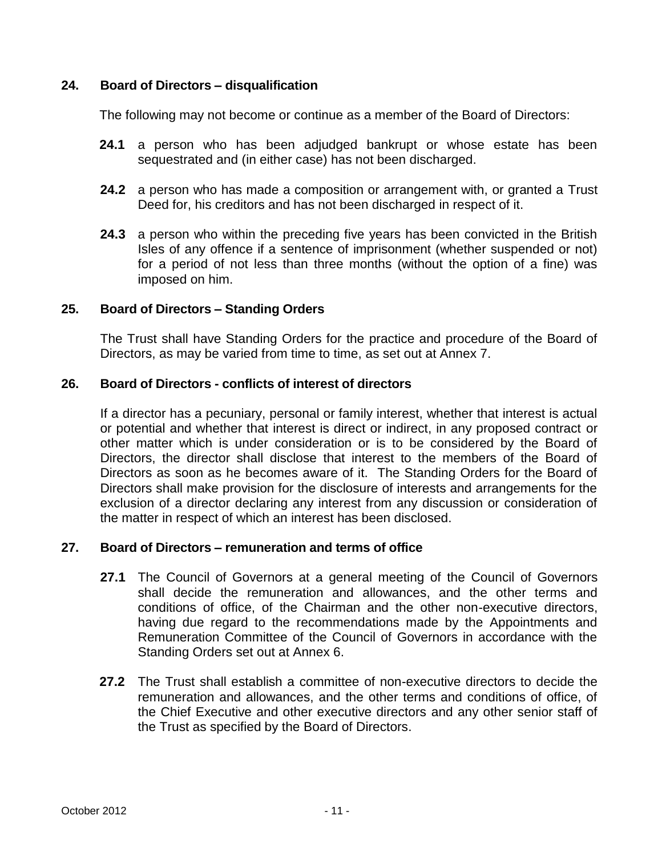# <span id="page-10-0"></span>**24. Board of Directors – disqualification**

The following may not become or continue as a member of the Board of Directors:

- **24.1** a person who has been adjudged bankrupt or whose estate has been sequestrated and (in either case) has not been discharged.
- **24.2** a person who has made a composition or arrangement with, or granted a Trust Deed for, his creditors and has not been discharged in respect of it.
- **24.3** a person who within the preceding five years has been convicted in the British Isles of any offence if a sentence of imprisonment (whether suspended or not) for a period of not less than three months (without the option of a fine) was imposed on him.

# <span id="page-10-1"></span>**25. Board of Directors – Standing Orders**

The Trust shall have Standing Orders for the practice and procedure of the Board of Directors, as may be varied from time to time, as set out at Annex 7.

# <span id="page-10-2"></span>**26. Board of Directors - conflicts of interest of directors**

If a director has a pecuniary, personal or family interest, whether that interest is actual or potential and whether that interest is direct or indirect, in any proposed contract or other matter which is under consideration or is to be considered by the Board of Directors, the director shall disclose that interest to the members of the Board of Directors as soon as he becomes aware of it. The Standing Orders for the Board of Directors shall make provision for the disclosure of interests and arrangements for the exclusion of a director declaring any interest from any discussion or consideration of the matter in respect of which an interest has been disclosed.

# <span id="page-10-3"></span>**27. Board of Directors – remuneration and terms of office**

- **27.1** The Council of Governors at a general meeting of the Council of Governors shall decide the remuneration and allowances, and the other terms and conditions of office, of the Chairman and the other non-executive directors, having due regard to the recommendations made by the Appointments and Remuneration Committee of the Council of Governors in accordance with the Standing Orders set out at Annex 6.
- **27.2** The Trust shall establish a committee of non-executive directors to decide the remuneration and allowances, and the other terms and conditions of office, of the Chief Executive and other executive directors and any other senior staff of the Trust as specified by the Board of Directors.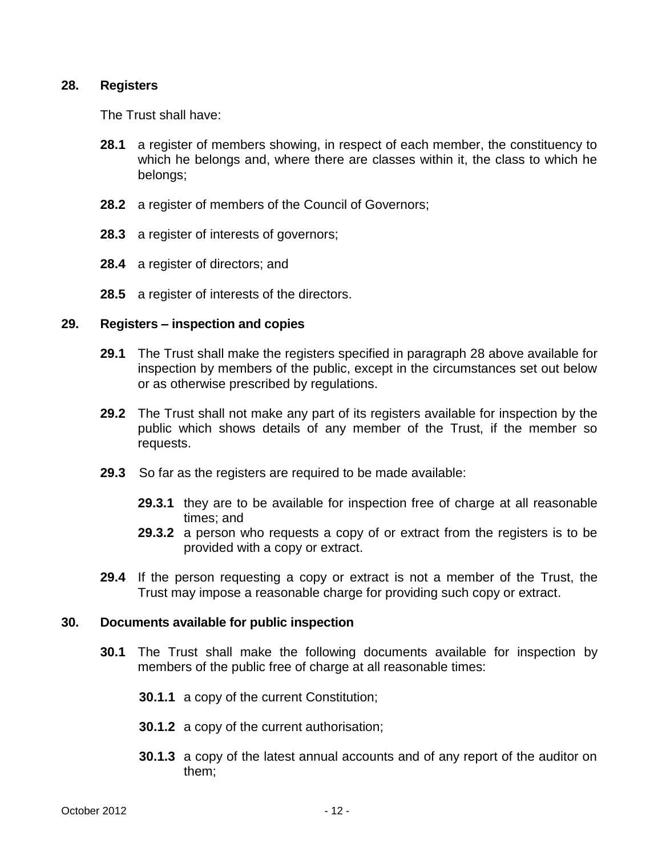# <span id="page-11-0"></span>**28. Registers**

The Trust shall have:

- **28.1** a register of members showing, in respect of each member, the constituency to which he belongs and, where there are classes within it, the class to which he belongs;
- **28.2** a register of members of the Council of Governors;
- **28.3** a register of interests of governors;
- **28.4** a register of directors; and
- **28.5** a register of interests of the directors.

## <span id="page-11-1"></span>**29. Registers – inspection and copies**

- **29.1** The Trust shall make the registers specified in paragraph 28 above available for inspection by members of the public, except in the circumstances set out below or as otherwise prescribed by regulations.
- **29.2** The Trust shall not make any part of its registers available for inspection by the public which shows details of any member of the Trust, if the member so requests.
- **29.3** So far as the registers are required to be made available:
	- **29.3.1** they are to be available for inspection free of charge at all reasonable times; and
	- **29.3.2** a person who requests a copy of or extract from the registers is to be provided with a copy or extract.
- **29.4** If the person requesting a copy or extract is not a member of the Trust, the Trust may impose a reasonable charge for providing such copy or extract.

## <span id="page-11-2"></span>**30. Documents available for public inspection**

- **30.1** The Trust shall make the following documents available for inspection by members of the public free of charge at all reasonable times:
	- **30.1.1** a copy of the current Constitution;
	- **30.1.2** a copy of the current authorisation;
	- **30.1.3** a copy of the latest annual accounts and of any report of the auditor on them;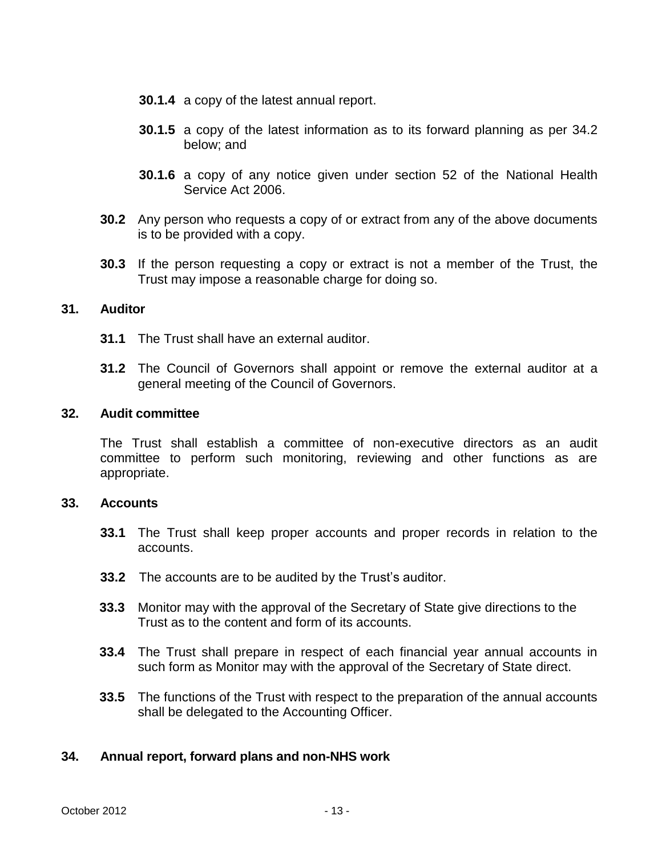- **30.1.4** a copy of the latest annual report.
- **30.1.5** a copy of the latest information as to its forward planning as per 34.2 below; and
- **30.1.6** a copy of any notice given under section 52 of the National Health Service Act 2006.
- **30.2** Any person who requests a copy of or extract from any of the above documents is to be provided with a copy.
- **30.3** If the person requesting a copy or extract is not a member of the Trust, the Trust may impose a reasonable charge for doing so.

## <span id="page-12-0"></span>**31. Auditor**

- **31.1** The Trust shall have an external auditor.
- **31.2** The Council of Governors shall appoint or remove the external auditor at a general meeting of the Council of Governors.

#### <span id="page-12-1"></span>**32. Audit committee**

The Trust shall establish a committee of non-executive directors as an audit committee to perform such monitoring, reviewing and other functions as are appropriate.

#### <span id="page-12-2"></span>**33. Accounts**

- **33.1** The Trust shall keep proper accounts and proper records in relation to the accounts.
- **33.2** The accounts are to be audited by the Trust's auditor.
- **33.3** Monitor may with the approval of the Secretary of State give directions to the Trust as to the content and form of its accounts.
- **33.4** The Trust shall prepare in respect of each financial year annual accounts in such form as Monitor may with the approval of the Secretary of State direct.
- **33.5** The functions of the Trust with respect to the preparation of the annual accounts shall be delegated to the Accounting Officer.

## <span id="page-12-3"></span>**34. Annual report, forward plans and non-NHS work**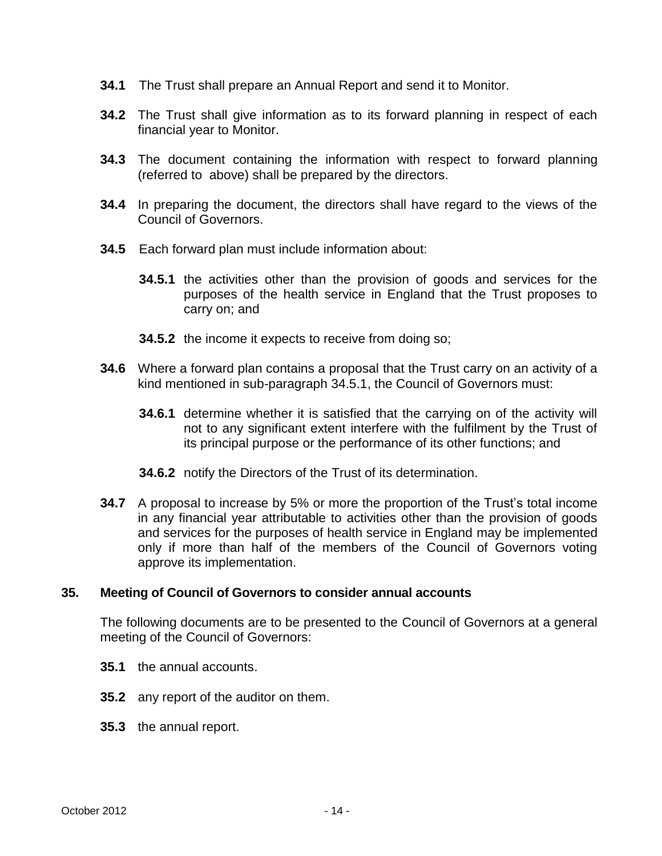- **34.1** The Trust shall prepare an Annual Report and send it to Monitor.
- **34.2** The Trust shall give information as to its forward planning in respect of each financial year to Monitor.
- **34.3** The document containing the information with respect to forward planning (referred to above) shall be prepared by the directors.
- **34.4** In preparing the document, the directors shall have regard to the views of the Council of Governors.
- **34.5** Each forward plan must include information about:
	- **34.5.1** the activities other than the provision of goods and services for the purposes of the health service in England that the Trust proposes to carry on; and
	- **34.5.2** the income it expects to receive from doing so;
- **34.6** Where a forward plan contains a proposal that the Trust carry on an activity of a kind mentioned in sub-paragraph 34.5.1, the Council of Governors must:
	- **34.6.1** determine whether it is satisfied that the carrying on of the activity will not to any significant extent interfere with the fulfilment by the Trust of its principal purpose or the performance of its other functions; and
	- **34.6.2** notify the Directors of the Trust of its determination.
- **34.7** A proposal to increase by 5% or more the proportion of the Trust's total income in any financial year attributable to activities other than the provision of goods and services for the purposes of health service in England may be implemented only if more than half of the members of the Council of Governors voting approve its implementation.

## <span id="page-13-0"></span>**35. Meeting of Council of Governors to consider annual accounts**

The following documents are to be presented to the Council of Governors at a general meeting of the Council of Governors:

- **35.1** the annual accounts.
- **35.2** any report of the auditor on them.
- **35.3** the annual report.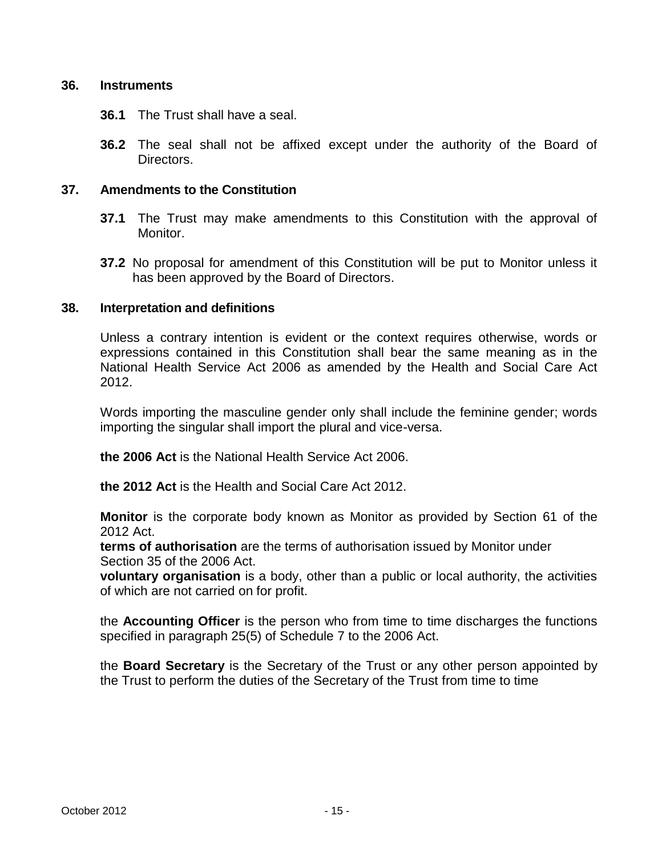## <span id="page-14-0"></span>**36. Instruments**

- **36.1** The Trust shall have a seal.
- **36.2** The seal shall not be affixed except under the authority of the Board of Directors.

# <span id="page-14-1"></span>**37. Amendments to the Constitution**

- **37.1** The Trust may make amendments to this Constitution with the approval of Monitor.
- **37.2** No proposal for amendment of this Constitution will be put to Monitor unless it has been approved by the Board of Directors.

# <span id="page-14-2"></span>**38. Interpretation and definitions**

Unless a contrary intention is evident or the context requires otherwise, words or expressions contained in this Constitution shall bear the same meaning as in the National Health Service Act 2006 as amended by the Health and Social Care Act 2012.

Words importing the masculine gender only shall include the feminine gender; words importing the singular shall import the plural and vice-versa.

**the 2006 Act** is the National Health Service Act 2006.

**the 2012 Act** is the Health and Social Care Act 2012.

**Monitor** is the corporate body known as Monitor as provided by Section 61 of the 2012 Act.

**terms of authorisation** are the terms of authorisation issued by Monitor under Section 35 of the 2006 Act.

**voluntary organisation** is a body, other than a public or local authority, the activities of which are not carried on for profit.

the **Accounting Officer** is the person who from time to time discharges the functions specified in paragraph 25(5) of Schedule 7 to the 2006 Act.

the **Board Secretary** is the Secretary of the Trust or any other person appointed by the Trust to perform the duties of the Secretary of the Trust from time to time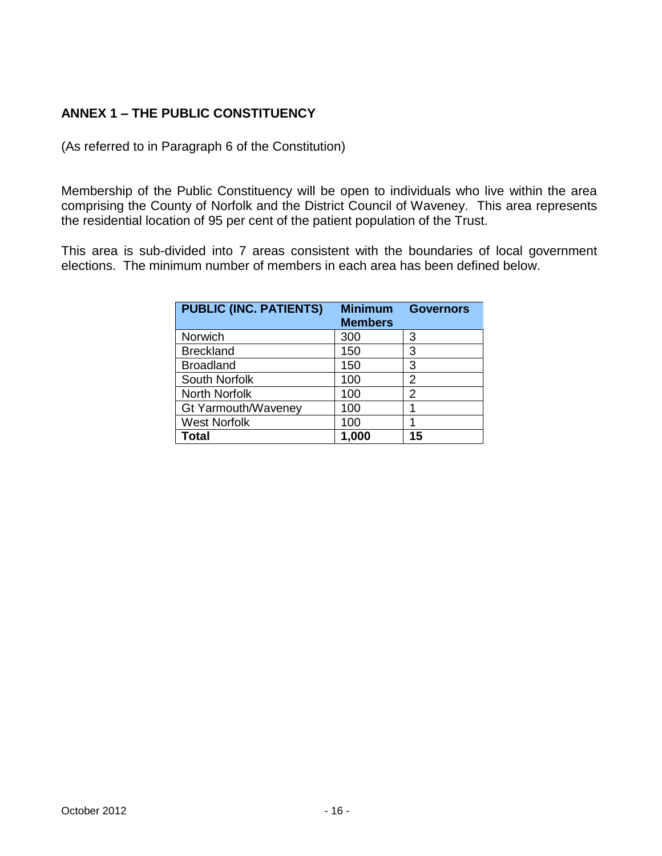# <span id="page-15-0"></span>**ANNEX 1 – THE PUBLIC CONSTITUENCY**

(As referred to in Paragraph 6 of the Constitution)

Membership of the Public Constituency will be open to individuals who live within the area comprising the County of Norfolk and the District Council of Waveney. This area represents the residential location of 95 per cent of the patient population of the Trust.

This area is sub-divided into 7 areas consistent with the boundaries of local government elections. The minimum number of members in each area has been defined below.

| <b>PUBLIC (INC. PATIENTS)</b> | <b>Minimum</b><br><b>Members</b> | <b>Governors</b> |
|-------------------------------|----------------------------------|------------------|
| Norwich                       | 300                              | 3                |
| <b>Breckland</b>              | 150                              | 3                |
| <b>Broadland</b>              | 150                              | 3                |
| South Norfolk                 | 100                              | 2                |
| North Norfolk                 | 100                              | 2                |
| Gt Yarmouth/Waveney           | 100                              |                  |
| <b>West Norfolk</b>           | 100                              |                  |
| Total                         | 1,000                            | 15               |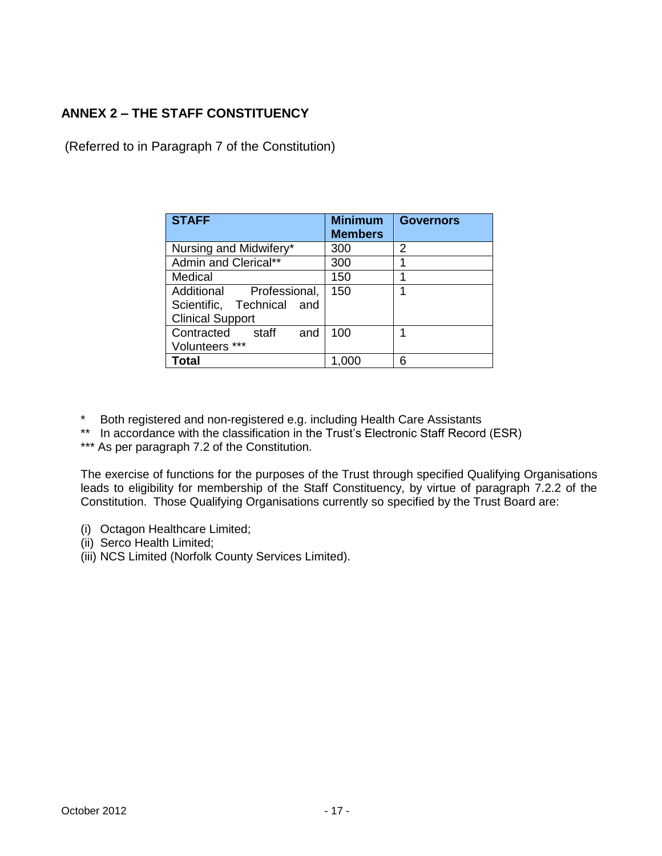# <span id="page-16-0"></span>**ANNEX 2 – THE STAFF CONSTITUENCY**

(Referred to in Paragraph 7 of the Constitution)

| <b>STAFF</b>               | <b>Minimum</b><br><b>Members</b> | <b>Governors</b> |
|----------------------------|----------------------------------|------------------|
| Nursing and Midwifery*     | 300                              | 2                |
| Admin and Clerical**       | 300                              | 1                |
| Medical                    | 150                              |                  |
| Additional Professional,   | 150                              | 1                |
| Scientific, Technical and  |                                  |                  |
| <b>Clinical Support</b>    |                                  |                  |
| Contracted<br>staff<br>and | 100                              | 1                |
| Volunteers ***             |                                  |                  |
| Total                      |                                  | 6                |

- \* Both registered and non-registered e.g. including Health Care Assistants
- \*\* In accordance with the classification in the Trust's Electronic Staff Record (ESR)

\*\*\* As per paragraph 7.2 of the Constitution.

The exercise of functions for the purposes of the Trust through specified Qualifying Organisations leads to eligibility for membership of the Staff Constituency, by virtue of paragraph 7.2.2 of the Constitution. Those Qualifying Organisations currently so specified by the Trust Board are:

- (i) Octagon Healthcare Limited;
- (ii) Serco Health Limited;
- (iii) NCS Limited (Norfolk County Services Limited).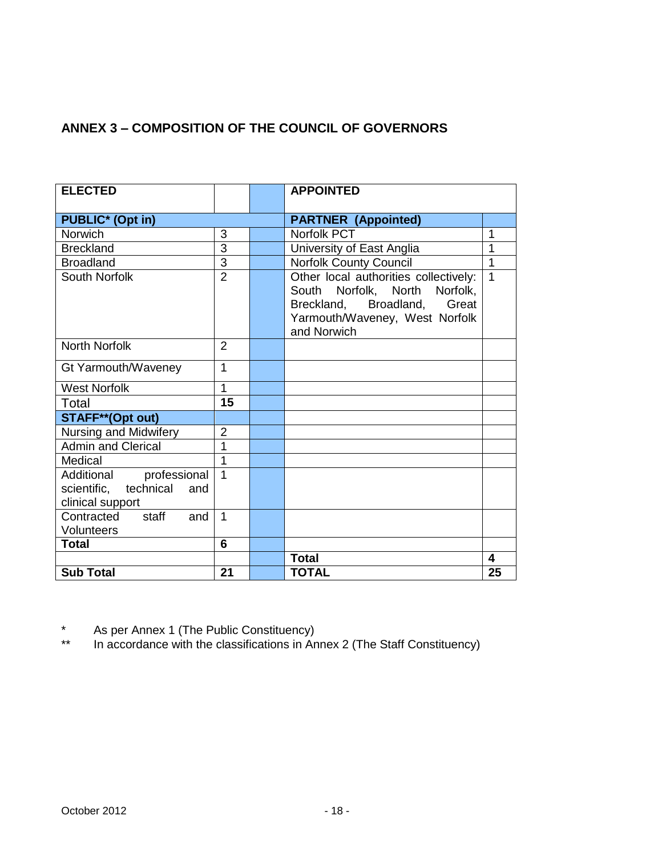# <span id="page-17-0"></span>**ANNEX 3 – COMPOSITION OF THE COUNCIL OF GOVERNORS**

| <b>ELECTED</b>                                                           |                | <b>APPOINTED</b>                                                                                                                                       |                         |
|--------------------------------------------------------------------------|----------------|--------------------------------------------------------------------------------------------------------------------------------------------------------|-------------------------|
|                                                                          |                |                                                                                                                                                        |                         |
| <b>PUBLIC*</b> (Opt in)                                                  |                | <b>PARTNER (Appointed)</b>                                                                                                                             |                         |
| <b>Norwich</b>                                                           | 3              | Norfolk PCT                                                                                                                                            | 1                       |
| <b>Breckland</b>                                                         | $\overline{3}$ | University of East Anglia                                                                                                                              | 1                       |
| <b>Broadland</b>                                                         | $\overline{3}$ | <b>Norfolk County Council</b>                                                                                                                          | 1                       |
| South Norfolk                                                            | $\overline{2}$ | Other local authorities collectively:<br>South Norfolk, North Norfolk,<br>Breckland, Broadland, Great<br>Yarmouth/Waveney, West Norfolk<br>and Norwich | $\mathbf 1$             |
| <b>North Norfolk</b>                                                     | $\overline{2}$ |                                                                                                                                                        |                         |
| Gt Yarmouth/Waveney                                                      | 1              |                                                                                                                                                        |                         |
| <b>West Norfolk</b>                                                      | $\overline{1}$ |                                                                                                                                                        |                         |
| Total                                                                    | 15             |                                                                                                                                                        |                         |
| <b>STAFF**(Opt out)</b>                                                  |                |                                                                                                                                                        |                         |
| Nursing and Midwifery                                                    | $\overline{2}$ |                                                                                                                                                        |                         |
| <b>Admin and Clerical</b>                                                | 1              |                                                                                                                                                        |                         |
| Medical                                                                  | 1              |                                                                                                                                                        |                         |
| Additional professional<br>scientific, technical and<br>clinical support | $\overline{1}$ |                                                                                                                                                        |                         |
| Contracted staff<br>and<br><b>Volunteers</b>                             | $\mathbf{1}$   |                                                                                                                                                        |                         |
| <b>Total</b>                                                             | 6              |                                                                                                                                                        |                         |
|                                                                          |                | <b>Total</b>                                                                                                                                           | $\overline{\mathbf{4}}$ |
| <b>Sub Total</b>                                                         | 21             | <b>TOTAL</b>                                                                                                                                           | 25                      |

\* As per Annex 1 (The Public Constituency)

\*\* In accordance with the classifications in Annex 2 (The Staff Constituency)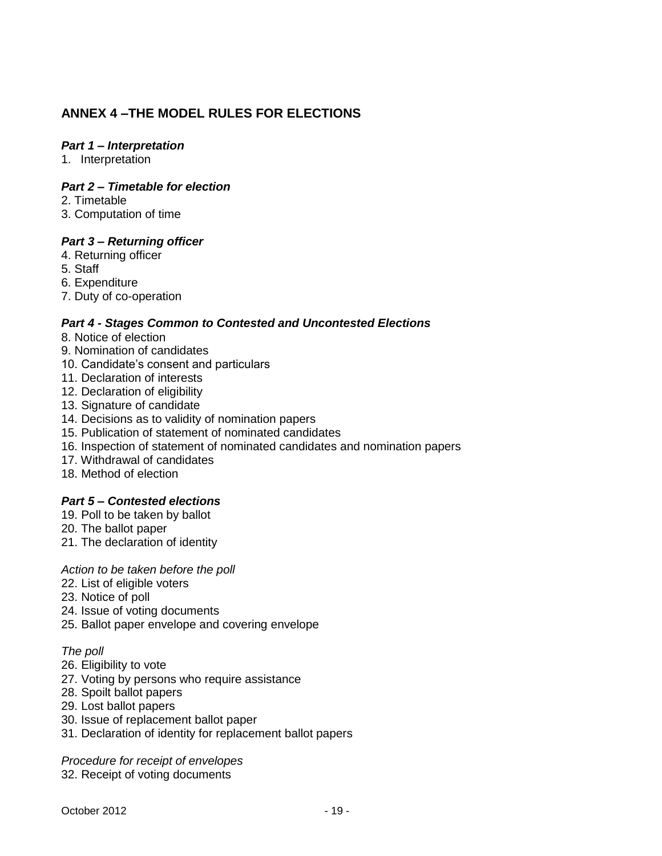# <span id="page-18-0"></span>**ANNEX 4 –THE MODEL RULES FOR ELECTIONS**

### *Part 1 – Interpretation*

1. Interpretation

### *Part 2 – Timetable for election*

- 2. Timetable
- 3. Computation of time

#### *Part 3 – Returning officer*

- 4. Returning officer
- 5. Staff
- 6. Expenditure
- 7. Duty of co-operation

#### *Part 4 - Stages Common to Contested and Uncontested Elections*

- 8. Notice of election
- 9. Nomination of candidates
- 10. Candidate's consent and particulars
- 11. Declaration of interests
- 12. Declaration of eligibility
- 13. Signature of candidate
- 14. Decisions as to validity of nomination papers
- 15. Publication of statement of nominated candidates
- 16. Inspection of statement of nominated candidates and nomination papers
- 17. Withdrawal of candidates
- 18. Method of election

#### *Part 5 – Contested elections*

- 19. Poll to be taken by ballot
- 20. The ballot paper
- 21. The declaration of identity

#### *Action to be taken before the poll*

- 22. List of eligible voters
- 23. Notice of poll
- 24. Issue of voting documents
- 25. Ballot paper envelope and covering envelope

#### *The poll*

- 26. Eligibility to vote
- 27. Voting by persons who require assistance
- 28. Spoilt ballot papers
- 29. Lost ballot papers
- 30. Issue of replacement ballot paper
- 31. Declaration of identity for replacement ballot papers

*Procedure for receipt of envelopes* 

32. Receipt of voting documents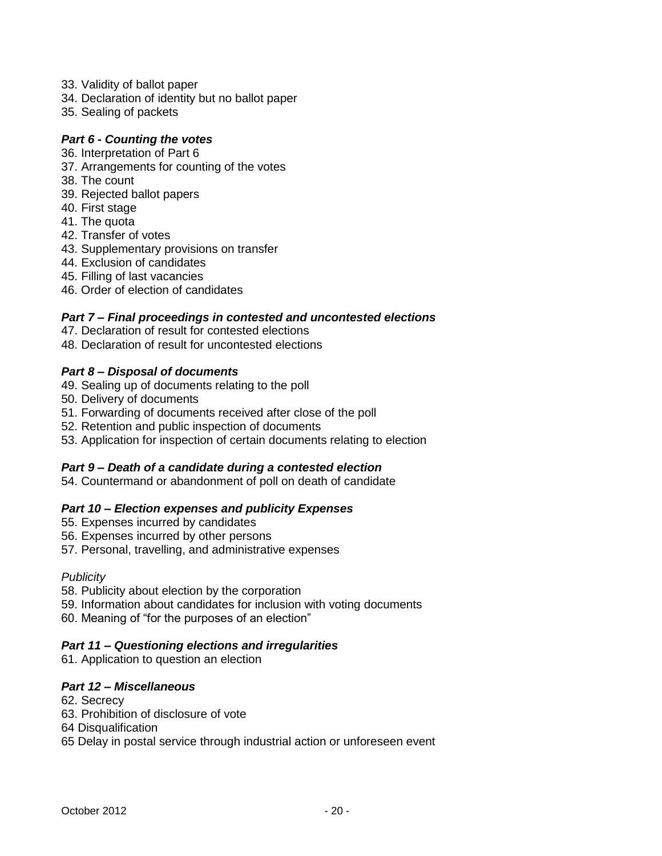- 33. Validity of ballot paper
- 34. Declaration of identity but no ballot paper
- 35. Sealing of packets

#### *Part 6 - Counting the votes*

- 36. Interpretation of Part 6
- 37. Arrangements for counting of the votes
- 38. The count
- 39. Rejected ballot papers
- 40. First stage
- 41. The quota
- 42. Transfer of votes
- 43. Supplementary provisions on transfer
- 44. Exclusion of candidates
- 45. Filling of last vacancies
- 46. Order of election of candidates

#### *Part 7 – Final proceedings in contested and uncontested elections*

- 47. Declaration of result for contested elections
- 48. Declaration of result for uncontested elections

#### *Part 8 – Disposal of documents*

- 49. Sealing up of documents relating to the poll
- 50. Delivery of documents
- 51. Forwarding of documents received after close of the poll
- 52. Retention and public inspection of documents
- 53. Application for inspection of certain documents relating to election

## *Part 9 – Death of a candidate during a contested election*

54. Countermand or abandonment of poll on death of candidate

## *Part 10 – Election expenses and publicity Expenses*

- 55. Expenses incurred by candidates
- 56. Expenses incurred by other persons
- 57. Personal, travelling, and administrative expenses

#### *Publicity*

- 58. Publicity about election by the corporation
- 59. Information about candidates for inclusion with voting documents
- 60. Meaning of "for the purposes of an election"

#### *Part 11 – Questioning elections and irregularities*

61. Application to question an election

## *Part 12 – Miscellaneous*

- 62. Secrecy
- 63. Prohibition of disclosure of vote
- 64 Disqualification
- 65 Delay in postal service through industrial action or unforeseen event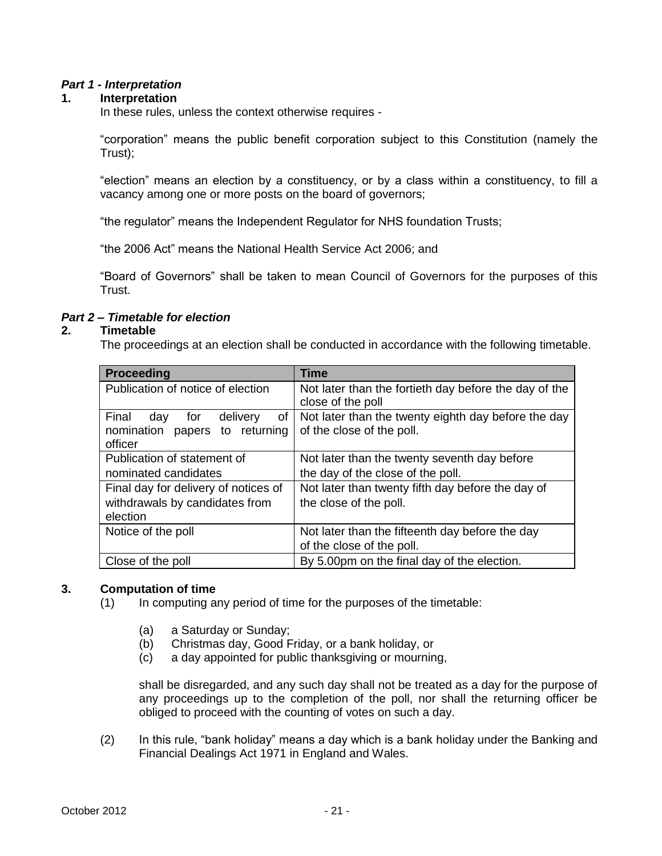## *Part 1 - Interpretation*

#### **1. Interpretation**

In these rules, unless the context otherwise requires -

"corporation" means the public benefit corporation subject to this Constitution (namely the Trust);

"election" means an election by a constituency, or by a class within a constituency, to fill a vacancy among one or more posts on the board of governors;

"the regulator" means the Independent Regulator for NHS foundation Trusts;

"the 2006 Act" means the National Health Service Act 2006; and

"Board of Governors" shall be taken to mean Council of Governors for the purposes of this Trust.

#### *Part 2 – Timetable for election*

#### **2. Timetable**

The proceedings at an election shall be conducted in accordance with the following timetable.

| <b>Proceeding</b>                                                                     | <b>Time</b>                                                                      |
|---------------------------------------------------------------------------------------|----------------------------------------------------------------------------------|
| Publication of notice of election                                                     | Not later than the fortieth day before the day of the<br>close of the poll       |
| Final<br>delivery<br>оf<br>day<br>for<br>nomination<br>papers to returning<br>officer | Not later than the twenty eighth day before the day<br>of the close of the poll. |
| Publication of statement of                                                           | Not later than the twenty seventh day before                                     |
| nominated candidates                                                                  | the day of the close of the poll.                                                |
| Final day for delivery of notices of                                                  | Not later than twenty fifth day before the day of                                |
| withdrawals by candidates from                                                        | the close of the poll.                                                           |
| election                                                                              |                                                                                  |
| Notice of the poll                                                                    | Not later than the fifteenth day before the day                                  |
|                                                                                       | of the close of the poll.                                                        |
| Close of the poll                                                                     | By 5.00pm on the final day of the election.                                      |

### **3. Computation of time**

- (1) In computing any period of time for the purposes of the timetable:
	- (a) a Saturday or Sunday;
	- (b) Christmas day, Good Friday, or a bank holiday, or
	- (c) a day appointed for public thanksgiving or mourning,

shall be disregarded, and any such day shall not be treated as a day for the purpose of any proceedings up to the completion of the poll, nor shall the returning officer be obliged to proceed with the counting of votes on such a day.

(2) In this rule, "bank holiday" means a day which is a bank holiday under the Banking and Financial Dealings Act 1971 in England and Wales.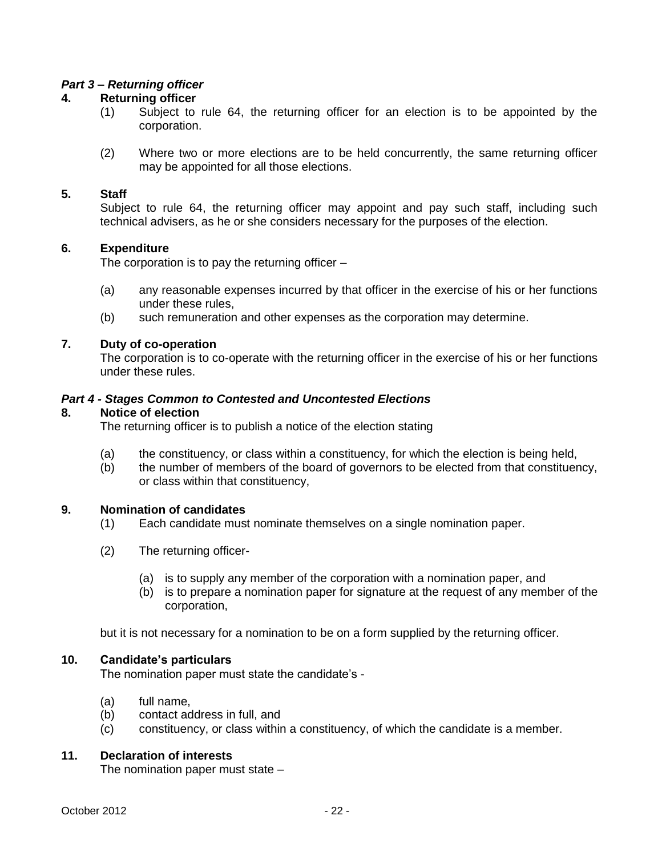#### *Part 3 – Returning officer*

#### **4. Returning officer**

- (1) Subject to rule 64, the returning officer for an election is to be appointed by the corporation.
- (2) Where two or more elections are to be held concurrently, the same returning officer may be appointed for all those elections.

#### **5. Staff**

Subject to rule 64, the returning officer may appoint and pay such staff, including such technical advisers, as he or she considers necessary for the purposes of the election.

#### **6. Expenditure**

The corporation is to pay the returning officer –

- (a) any reasonable expenses incurred by that officer in the exercise of his or her functions under these rules,
- (b) such remuneration and other expenses as the corporation may determine.

#### **7. Duty of co-operation**

The corporation is to co-operate with the returning officer in the exercise of his or her functions under these rules.

#### *Part 4 - Stages Common to Contested and Uncontested Elections*

#### **8. Notice of election**

The returning officer is to publish a notice of the election stating

- (a) the constituency, or class within a constituency, for which the election is being held,
- (b) the number of members of the board of governors to be elected from that constituency, or class within that constituency,

#### **9. Nomination of candidates**

- (1) Each candidate must nominate themselves on a single nomination paper.
- (2) The returning officer-
	- (a) is to supply any member of the corporation with a nomination paper, and
	- (b) is to prepare a nomination paper for signature at the request of any member of the corporation,

but it is not necessary for a nomination to be on a form supplied by the returning officer.

#### **10. Candidate's particulars**

The nomination paper must state the candidate's -

- (a) full name,
- (b) contact address in full, and
- (c) constituency, or class within a constituency, of which the candidate is a member.

## **11. Declaration of interests**

The nomination paper must state –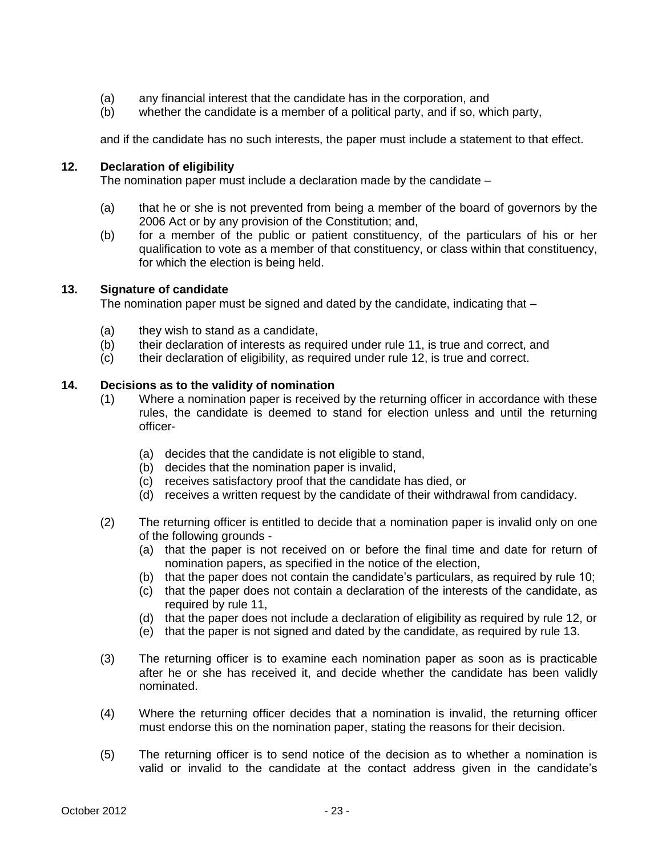- (a) any financial interest that the candidate has in the corporation, and
- (b) whether the candidate is a member of a political party, and if so, which party,

and if the candidate has no such interests, the paper must include a statement to that effect.

## **12. Declaration of eligibility**

The nomination paper must include a declaration made by the candidate –

- (a) that he or she is not prevented from being a member of the board of governors by the 2006 Act or by any provision of the Constitution; and,
- (b) for a member of the public or patient constituency, of the particulars of his or her qualification to vote as a member of that constituency, or class within that constituency, for which the election is being held.

#### **13. Signature of candidate**

The nomination paper must be signed and dated by the candidate, indicating that –

- (a) they wish to stand as a candidate,
- (b) their declaration of interests as required under rule 11, is true and correct, and
- (c) their declaration of eligibility, as required under rule 12, is true and correct.

#### **14. Decisions as to the validity of nomination**

- (1) Where a nomination paper is received by the returning officer in accordance with these rules, the candidate is deemed to stand for election unless and until the returning officer-
	- (a) decides that the candidate is not eligible to stand,
	- (b) decides that the nomination paper is invalid,
	- (c) receives satisfactory proof that the candidate has died, or
	- (d) receives a written request by the candidate of their withdrawal from candidacy.
- (2) The returning officer is entitled to decide that a nomination paper is invalid only on one of the following grounds -
	- (a) that the paper is not received on or before the final time and date for return of nomination papers, as specified in the notice of the election,
	- (b) that the paper does not contain the candidate's particulars, as required by rule 10;
	- (c) that the paper does not contain a declaration of the interests of the candidate, as required by rule 11,
	- (d) that the paper does not include a declaration of eligibility as required by rule 12, or
	- (e) that the paper is not signed and dated by the candidate, as required by rule 13.
- (3) The returning officer is to examine each nomination paper as soon as is practicable after he or she has received it, and decide whether the candidate has been validly nominated.
- (4) Where the returning officer decides that a nomination is invalid, the returning officer must endorse this on the nomination paper, stating the reasons for their decision.
- (5) The returning officer is to send notice of the decision as to whether a nomination is valid or invalid to the candidate at the contact address given in the candidate's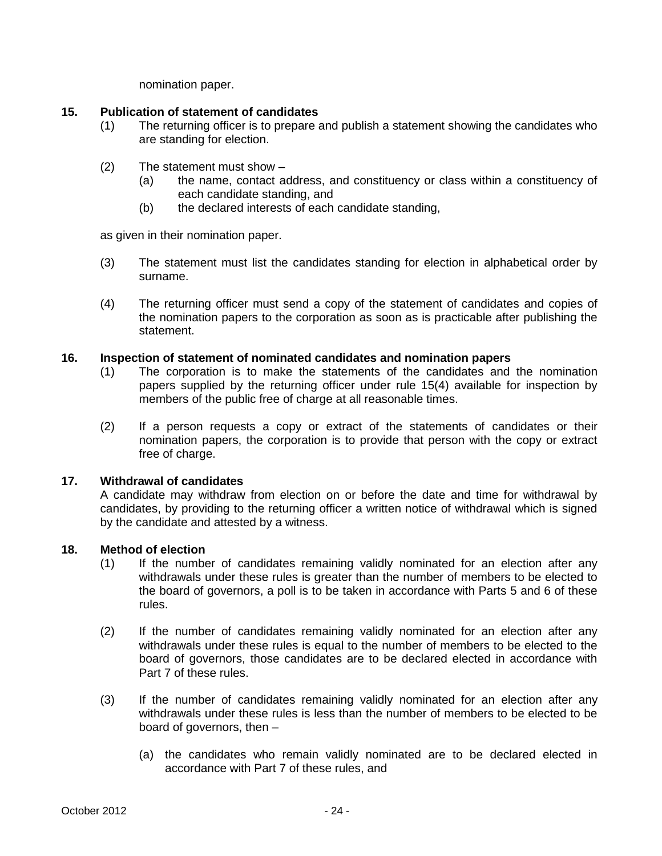nomination paper.

## **15. Publication of statement of candidates**

- (1) The returning officer is to prepare and publish a statement showing the candidates who are standing for election.
- (2) The statement must show
	- (a) the name, contact address, and constituency or class within a constituency of each candidate standing, and
	- (b) the declared interests of each candidate standing,

as given in their nomination paper.

- (3) The statement must list the candidates standing for election in alphabetical order by surname.
- (4) The returning officer must send a copy of the statement of candidates and copies of the nomination papers to the corporation as soon as is practicable after publishing the statement.

#### **16. Inspection of statement of nominated candidates and nomination papers**

- (1) The corporation is to make the statements of the candidates and the nomination papers supplied by the returning officer under rule 15(4) available for inspection by members of the public free of charge at all reasonable times.
- (2) If a person requests a copy or extract of the statements of candidates or their nomination papers, the corporation is to provide that person with the copy or extract free of charge.

## **17. Withdrawal of candidates**

A candidate may withdraw from election on or before the date and time for withdrawal by candidates, by providing to the returning officer a written notice of withdrawal which is signed by the candidate and attested by a witness.

#### **18. Method of election**

- (1) If the number of candidates remaining validly nominated for an election after any withdrawals under these rules is greater than the number of members to be elected to the board of governors, a poll is to be taken in accordance with Parts 5 and 6 of these rules.
- (2) If the number of candidates remaining validly nominated for an election after any withdrawals under these rules is equal to the number of members to be elected to the board of governors, those candidates are to be declared elected in accordance with Part 7 of these rules.
- (3) If the number of candidates remaining validly nominated for an election after any withdrawals under these rules is less than the number of members to be elected to be board of governors, then –
	- (a) the candidates who remain validly nominated are to be declared elected in accordance with Part 7 of these rules, and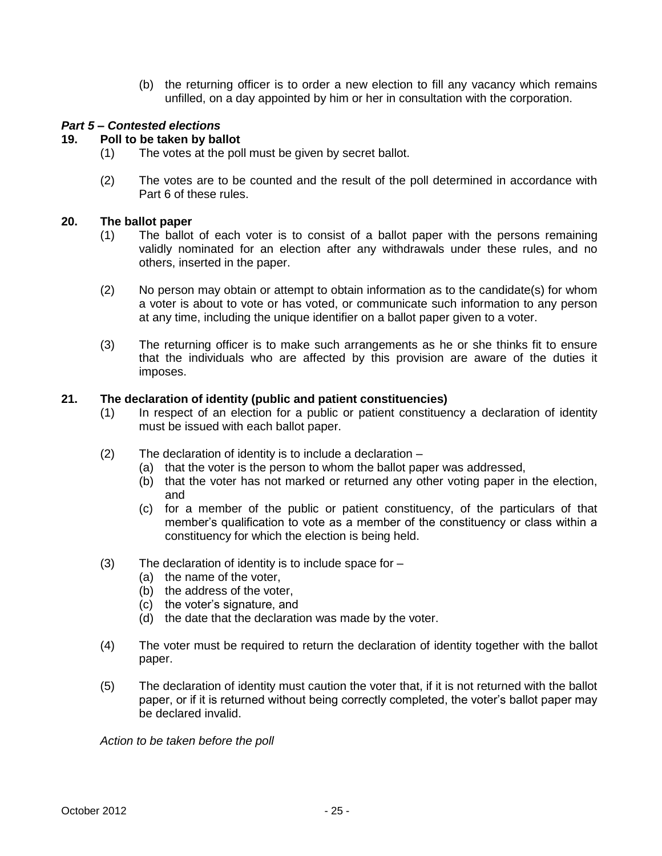(b) the returning officer is to order a new election to fill any vacancy which remains unfilled, on a day appointed by him or her in consultation with the corporation.

### *Part 5 – Contested elections*

#### **19. Poll to be taken by ballot**

- (1) The votes at the poll must be given by secret ballot.
- (2) The votes are to be counted and the result of the poll determined in accordance with Part 6 of these rules.

#### **20. The ballot paper**

- (1) The ballot of each voter is to consist of a ballot paper with the persons remaining validly nominated for an election after any withdrawals under these rules, and no others, inserted in the paper.
- (2) No person may obtain or attempt to obtain information as to the candidate(s) for whom a voter is about to vote or has voted, or communicate such information to any person at any time, including the unique identifier on a ballot paper given to a voter.
- (3) The returning officer is to make such arrangements as he or she thinks fit to ensure that the individuals who are affected by this provision are aware of the duties it imposes.

## **21. The declaration of identity (public and patient constituencies)**

- (1) In respect of an election for a public or patient constituency a declaration of identity must be issued with each ballot paper.
- (2) The declaration of identity is to include a declaration
	- (a) that the voter is the person to whom the ballot paper was addressed,
	- (b) that the voter has not marked or returned any other voting paper in the election, and
	- (c) for a member of the public or patient constituency, of the particulars of that member's qualification to vote as a member of the constituency or class within a constituency for which the election is being held.
- (3) The declaration of identity is to include space for
	- (a) the name of the voter,
	- (b) the address of the voter,
	- (c) the voter's signature, and
	- (d) the date that the declaration was made by the voter.
- (4) The voter must be required to return the declaration of identity together with the ballot paper.
- (5) The declaration of identity must caution the voter that, if it is not returned with the ballot paper, or if it is returned without being correctly completed, the voter's ballot paper may be declared invalid.

*Action to be taken before the poll*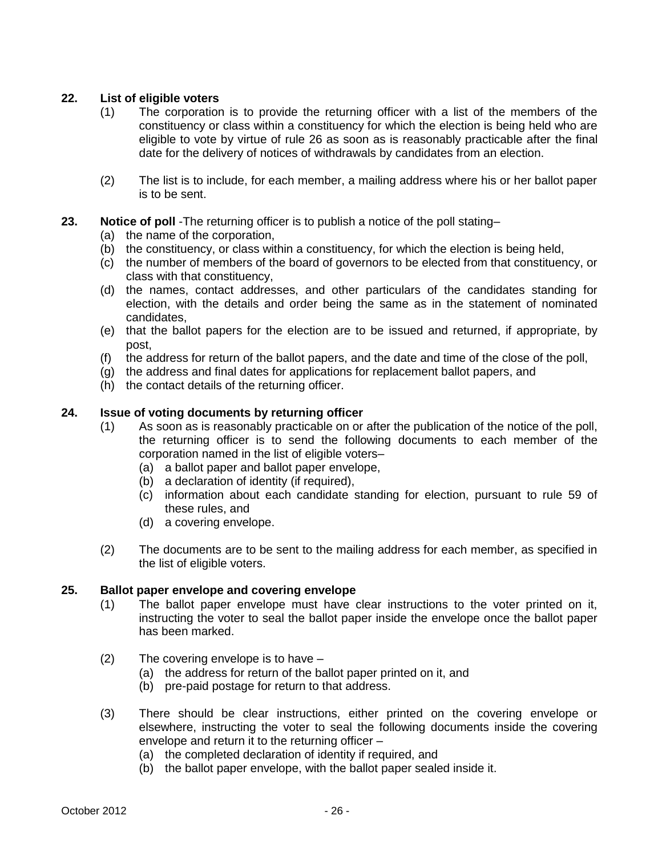## **22. List of eligible voters**

- (1) The corporation is to provide the returning officer with a list of the members of the constituency or class within a constituency for which the election is being held who are eligible to vote by virtue of rule 26 as soon as is reasonably practicable after the final date for the delivery of notices of withdrawals by candidates from an election.
- (2) The list is to include, for each member, a mailing address where his or her ballot paper is to be sent.

## **23. Notice of poll** -The returning officer is to publish a notice of the poll stating–

- (a) the name of the corporation,
- (b) the constituency, or class within a constituency, for which the election is being held,
- (c) the number of members of the board of governors to be elected from that constituency, or class with that constituency,
- (d) the names, contact addresses, and other particulars of the candidates standing for election, with the details and order being the same as in the statement of nominated candidates,
- (e) that the ballot papers for the election are to be issued and returned, if appropriate, by post,
- (f) the address for return of the ballot papers, and the date and time of the close of the poll,
- (g) the address and final dates for applications for replacement ballot papers, and
- (h) the contact details of the returning officer.

#### **24. Issue of voting documents by returning officer**

- (1) As soon as is reasonably practicable on or after the publication of the notice of the poll, the returning officer is to send the following documents to each member of the corporation named in the list of eligible voters–
	- (a) a ballot paper and ballot paper envelope,
	- (b) a declaration of identity (if required),
	- (c) information about each candidate standing for election, pursuant to rule 59 of these rules, and
	- (d) a covering envelope.
- (2) The documents are to be sent to the mailing address for each member, as specified in the list of eligible voters.

#### **25. Ballot paper envelope and covering envelope**

- (1) The ballot paper envelope must have clear instructions to the voter printed on it, instructing the voter to seal the ballot paper inside the envelope once the ballot paper has been marked.
- (2) The covering envelope is to have
	- (a) the address for return of the ballot paper printed on it, and
	- (b) pre-paid postage for return to that address.
- (3) There should be clear instructions, either printed on the covering envelope or elsewhere, instructing the voter to seal the following documents inside the covering envelope and return it to the returning officer –
	- (a) the completed declaration of identity if required, and
	- (b) the ballot paper envelope, with the ballot paper sealed inside it.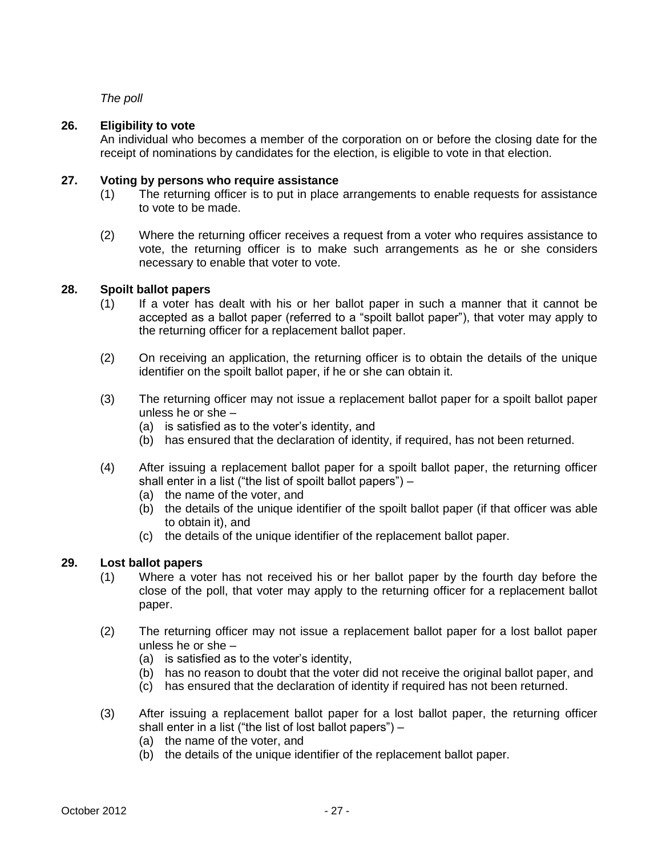*The poll*

# **26. Eligibility to vote**

An individual who becomes a member of the corporation on or before the closing date for the receipt of nominations by candidates for the election, is eligible to vote in that election.

## **27. Voting by persons who require assistance**

- (1) The returning officer is to put in place arrangements to enable requests for assistance to vote to be made.
- (2) Where the returning officer receives a request from a voter who requires assistance to vote, the returning officer is to make such arrangements as he or she considers necessary to enable that voter to vote.

## **28. Spoilt ballot papers**

- (1) If a voter has dealt with his or her ballot paper in such a manner that it cannot be accepted as a ballot paper (referred to a "spoilt ballot paper"), that voter may apply to the returning officer for a replacement ballot paper.
- (2) On receiving an application, the returning officer is to obtain the details of the unique identifier on the spoilt ballot paper, if he or she can obtain it.
- (3) The returning officer may not issue a replacement ballot paper for a spoilt ballot paper unless he or she –
	- (a) is satisfied as to the voter's identity, and
	- (b) has ensured that the declaration of identity, if required, has not been returned.
- (4) After issuing a replacement ballot paper for a spoilt ballot paper, the returning officer shall enter in a list ("the list of spoilt ballot papers") –
	- (a) the name of the voter, and
	- (b) the details of the unique identifier of the spoilt ballot paper (if that officer was able to obtain it), and
	- (c) the details of the unique identifier of the replacement ballot paper.

## **29. Lost ballot papers**

- (1) Where a voter has not received his or her ballot paper by the fourth day before the close of the poll, that voter may apply to the returning officer for a replacement ballot paper.
- (2) The returning officer may not issue a replacement ballot paper for a lost ballot paper unless he or she –
	- (a) is satisfied as to the voter's identity,
	- (b) has no reason to doubt that the voter did not receive the original ballot paper, and
	- (c) has ensured that the declaration of identity if required has not been returned.
- (3) After issuing a replacement ballot paper for a lost ballot paper, the returning officer shall enter in a list ("the list of lost ballot papers") –
	- (a) the name of the voter, and
	- (b) the details of the unique identifier of the replacement ballot paper.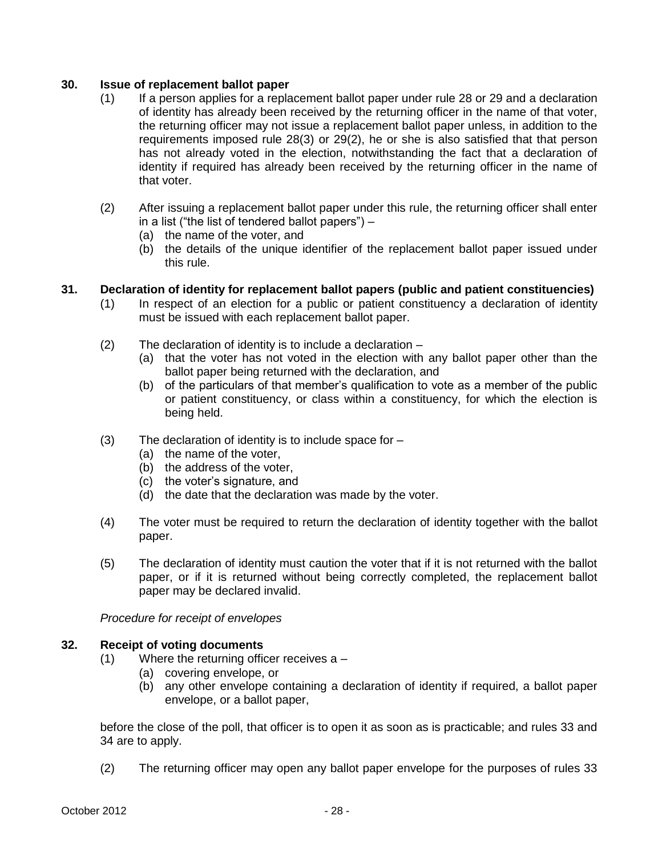## **30. Issue of replacement ballot paper**

- (1) If a person applies for a replacement ballot paper under rule 28 or 29 and a declaration of identity has already been received by the returning officer in the name of that voter, the returning officer may not issue a replacement ballot paper unless, in addition to the requirements imposed rule 28(3) or 29(2), he or she is also satisfied that that person has not already voted in the election, notwithstanding the fact that a declaration of identity if required has already been received by the returning officer in the name of that voter.
- (2) After issuing a replacement ballot paper under this rule, the returning officer shall enter in a list ("the list of tendered ballot papers") –
	- (a) the name of the voter, and
	- (b) the details of the unique identifier of the replacement ballot paper issued under this rule.

# **31. Declaration of identity for replacement ballot papers (public and patient constituencies)**

- (1) In respect of an election for a public or patient constituency a declaration of identity must be issued with each replacement ballot paper.
- (2) The declaration of identity is to include a declaration
	- (a) that the voter has not voted in the election with any ballot paper other than the ballot paper being returned with the declaration, and
	- (b) of the particulars of that member's qualification to vote as a member of the public or patient constituency, or class within a constituency, for which the election is being held.
- (3) The declaration of identity is to include space for
	- (a) the name of the voter,
	- (b) the address of the voter,
	- (c) the voter's signature, and
	- (d) the date that the declaration was made by the voter.
- (4) The voter must be required to return the declaration of identity together with the ballot paper.
- (5) The declaration of identity must caution the voter that if it is not returned with the ballot paper, or if it is returned without being correctly completed, the replacement ballot paper may be declared invalid.

*Procedure for receipt of envelopes* 

## **32. Receipt of voting documents**

- (1) Where the returning officer receives a
	- (a) covering envelope, or
	- (b) any other envelope containing a declaration of identity if required, a ballot paper envelope, or a ballot paper,

before the close of the poll, that officer is to open it as soon as is practicable; and rules 33 and 34 are to apply.

(2) The returning officer may open any ballot paper envelope for the purposes of rules 33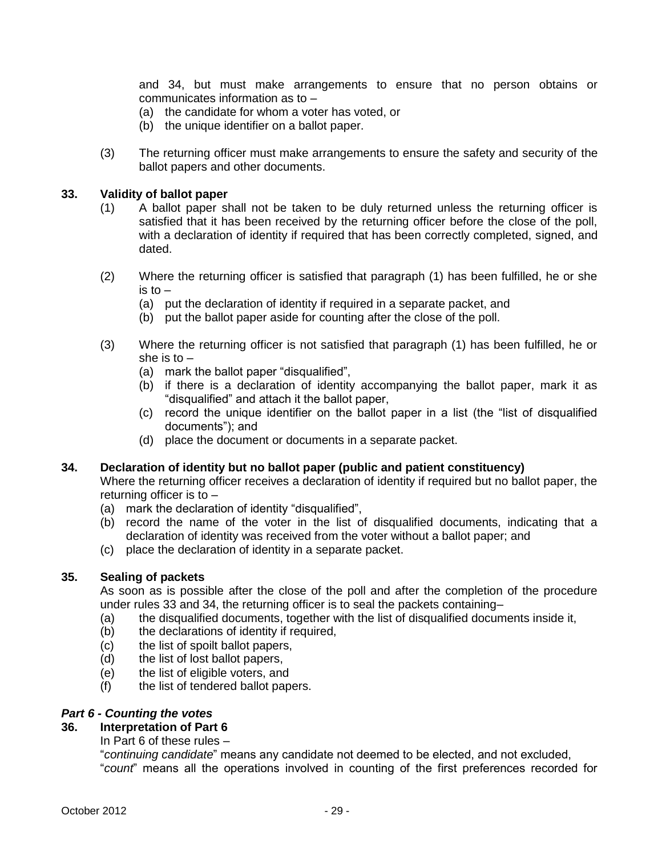and 34, but must make arrangements to ensure that no person obtains or communicates information as to –

- (a) the candidate for whom a voter has voted, or
- (b) the unique identifier on a ballot paper.
- (3) The returning officer must make arrangements to ensure the safety and security of the ballot papers and other documents.

#### **33. Validity of ballot paper**

- (1) A ballot paper shall not be taken to be duly returned unless the returning officer is satisfied that it has been received by the returning officer before the close of the poll, with a declaration of identity if required that has been correctly completed, signed, and dated.
- (2) Where the returning officer is satisfied that paragraph (1) has been fulfilled, he or she is to  $-$ 
	- (a) put the declaration of identity if required in a separate packet, and
	- (b) put the ballot paper aside for counting after the close of the poll.
- (3) Where the returning officer is not satisfied that paragraph (1) has been fulfilled, he or she is to  $-$ 
	- (a) mark the ballot paper "disqualified",
	- (b) if there is a declaration of identity accompanying the ballot paper, mark it as "disqualified" and attach it the ballot paper,
	- (c) record the unique identifier on the ballot paper in a list (the "list of disqualified documents"); and
	- (d) place the document or documents in a separate packet.

#### **34. Declaration of identity but no ballot paper (public and patient constituency)**

Where the returning officer receives a declaration of identity if required but no ballot paper, the returning officer is to –

- (a) mark the declaration of identity "disqualified",
- (b) record the name of the voter in the list of disqualified documents, indicating that a declaration of identity was received from the voter without a ballot paper; and
- (c) place the declaration of identity in a separate packet.

## **35. Sealing of packets**

As soon as is possible after the close of the poll and after the completion of the procedure under rules 33 and 34, the returning officer is to seal the packets containing–

- (a) the disqualified documents, together with the list of disqualified documents inside it,
- (b) the declarations of identity if required,
- (c) the list of spoilt ballot papers,
- (d) the list of lost ballot papers,
- (e) the list of eligible voters, and
- (f) the list of tendered ballot papers.

## *Part 6 - Counting the votes*

## **36. Interpretation of Part 6**

In Part 6 of these rules –

"*continuing candidate*" means any candidate not deemed to be elected, and not excluded, "*count*" means all the operations involved in counting of the first preferences recorded for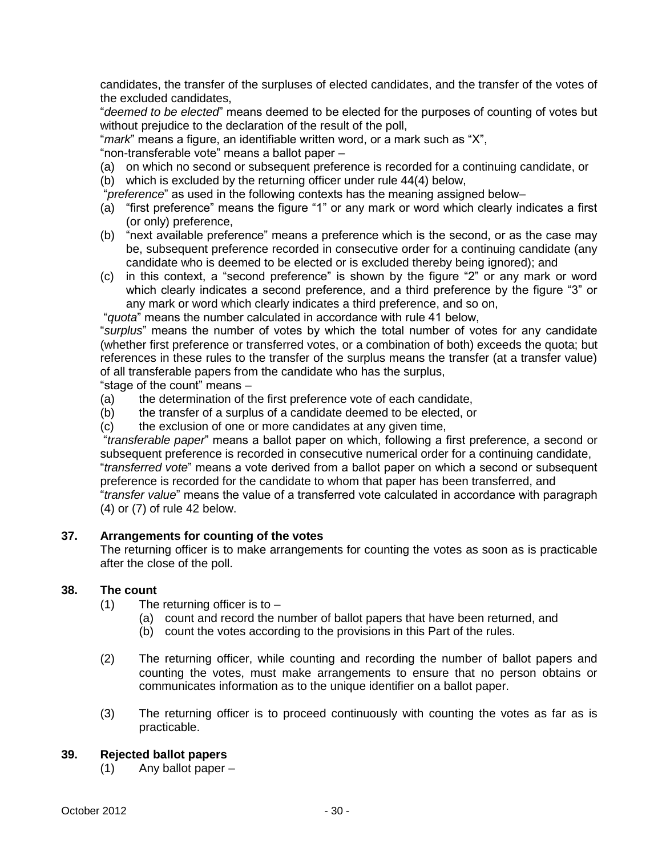candidates, the transfer of the surpluses of elected candidates, and the transfer of the votes of the excluded candidates,

"*deemed to be elected*" means deemed to be elected for the purposes of counting of votes but without prejudice to the declaration of the result of the poll,

"*mark*" means a figure, an identifiable written word, or a mark such as "X",

"non-transferable vote" means a ballot paper –

- (a) on which no second or subsequent preference is recorded for a continuing candidate, or (b) which is excluded by the returning officer under rule 44(4) below,
- "*preference*" as used in the following contexts has the meaning assigned below–
- (a) "first preference" means the figure "1" or any mark or word which clearly indicates a first (or only) preference,
- (b) "next available preference" means a preference which is the second, or as the case may be, subsequent preference recorded in consecutive order for a continuing candidate (any candidate who is deemed to be elected or is excluded thereby being ignored); and
- (c) in this context, a "second preference" is shown by the figure "2" or any mark or word which clearly indicates a second preference, and a third preference by the figure "3" or any mark or word which clearly indicates a third preference, and so on,

"*quota*" means the number calculated in accordance with rule 41 below,

"*surplus*" means the number of votes by which the total number of votes for any candidate (whether first preference or transferred votes, or a combination of both) exceeds the quota; but references in these rules to the transfer of the surplus means the transfer (at a transfer value) of all transferable papers from the candidate who has the surplus,

"stage of the count" means –

- (a) the determination of the first preference vote of each candidate,
- (b) the transfer of a surplus of a candidate deemed to be elected, or
- (c) the exclusion of one or more candidates at any given time,

"*transferable paper*" means a ballot paper on which, following a first preference, a second or subsequent preference is recorded in consecutive numerical order for a continuing candidate, "*transferred vote*" means a vote derived from a ballot paper on which a second or subsequent preference is recorded for the candidate to whom that paper has been transferred, and "*transfer value*" means the value of a transferred vote calculated in accordance with paragraph (4) or (7) of rule 42 below.

# **37. Arrangements for counting of the votes**

The returning officer is to make arrangements for counting the votes as soon as is practicable after the close of the poll.

#### **38. The count**

- $(1)$  The returning officer is to  $-$ 
	- (a) count and record the number of ballot papers that have been returned, and
	- (b) count the votes according to the provisions in this Part of the rules.
- (2) The returning officer, while counting and recording the number of ballot papers and counting the votes, must make arrangements to ensure that no person obtains or communicates information as to the unique identifier on a ballot paper.
- (3) The returning officer is to proceed continuously with counting the votes as far as is practicable.

## **39. Rejected ballot papers**

(1) Any ballot paper –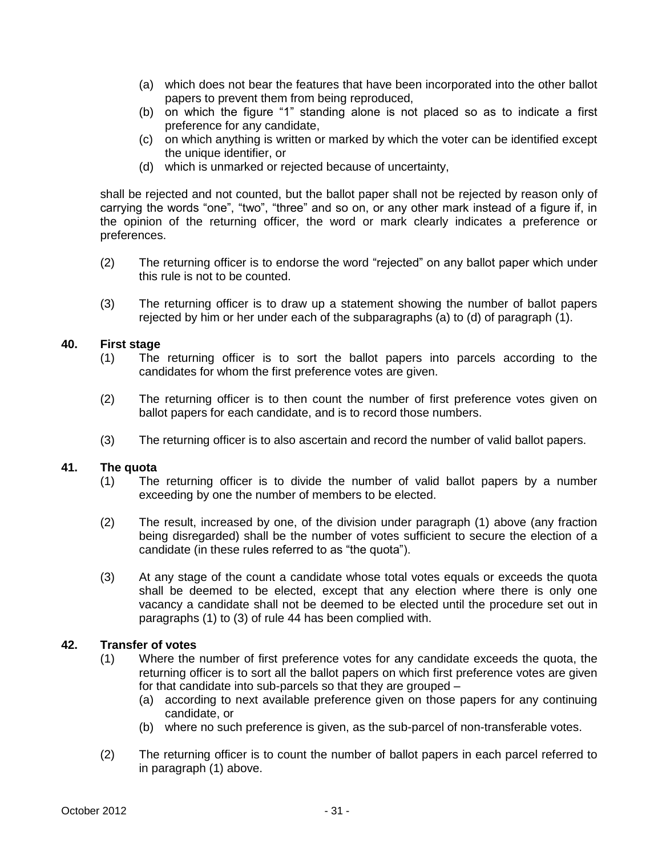- (a) which does not bear the features that have been incorporated into the other ballot papers to prevent them from being reproduced,
- (b) on which the figure "1" standing alone is not placed so as to indicate a first preference for any candidate,
- (c) on which anything is written or marked by which the voter can be identified except the unique identifier, or
- (d) which is unmarked or rejected because of uncertainty,

shall be rejected and not counted, but the ballot paper shall not be rejected by reason only of carrying the words "one", "two", "three" and so on, or any other mark instead of a figure if, in the opinion of the returning officer, the word or mark clearly indicates a preference or preferences.

- (2) The returning officer is to endorse the word "rejected" on any ballot paper which under this rule is not to be counted.
- (3) The returning officer is to draw up a statement showing the number of ballot papers rejected by him or her under each of the subparagraphs (a) to (d) of paragraph (1).

#### **40. First stage**

- (1) The returning officer is to sort the ballot papers into parcels according to the candidates for whom the first preference votes are given.
- (2) The returning officer is to then count the number of first preference votes given on ballot papers for each candidate, and is to record those numbers.
- (3) The returning officer is to also ascertain and record the number of valid ballot papers.

#### **41. The quota**

- (1) The returning officer is to divide the number of valid ballot papers by a number exceeding by one the number of members to be elected.
- (2) The result, increased by one, of the division under paragraph (1) above (any fraction being disregarded) shall be the number of votes sufficient to secure the election of a candidate (in these rules referred to as "the quota").
- (3) At any stage of the count a candidate whose total votes equals or exceeds the quota shall be deemed to be elected, except that any election where there is only one vacancy a candidate shall not be deemed to be elected until the procedure set out in paragraphs (1) to (3) of rule 44 has been complied with.

# **42. Transfer of votes**

- (1) Where the number of first preference votes for any candidate exceeds the quota, the returning officer is to sort all the ballot papers on which first preference votes are given for that candidate into sub-parcels so that they are grouped –
	- (a) according to next available preference given on those papers for any continuing candidate, or
	- (b) where no such preference is given, as the sub-parcel of non-transferable votes.
- (2) The returning officer is to count the number of ballot papers in each parcel referred to in paragraph (1) above.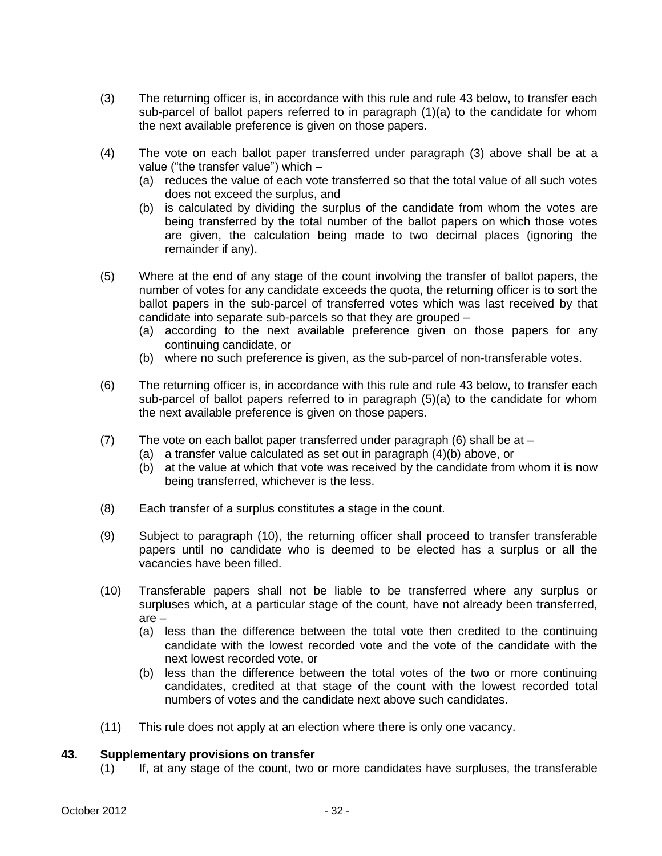- (3) The returning officer is, in accordance with this rule and rule 43 below, to transfer each sub-parcel of ballot papers referred to in paragraph (1)(a) to the candidate for whom the next available preference is given on those papers.
- (4) The vote on each ballot paper transferred under paragraph (3) above shall be at a value ("the transfer value") which –
	- (a) reduces the value of each vote transferred so that the total value of all such votes does not exceed the surplus, and
	- (b) is calculated by dividing the surplus of the candidate from whom the votes are being transferred by the total number of the ballot papers on which those votes are given, the calculation being made to two decimal places (ignoring the remainder if any).
- (5) Where at the end of any stage of the count involving the transfer of ballot papers, the number of votes for any candidate exceeds the quota, the returning officer is to sort the ballot papers in the sub-parcel of transferred votes which was last received by that candidate into separate sub-parcels so that they are grouped –
	- (a) according to the next available preference given on those papers for any continuing candidate, or
	- (b) where no such preference is given, as the sub-parcel of non-transferable votes.
- (6) The returning officer is, in accordance with this rule and rule 43 below, to transfer each sub-parcel of ballot papers referred to in paragraph (5)(a) to the candidate for whom the next available preference is given on those papers.
- (7) The vote on each ballot paper transferred under paragraph (6) shall be at
	- (a) a transfer value calculated as set out in paragraph (4)(b) above, or
	- (b) at the value at which that vote was received by the candidate from whom it is now being transferred, whichever is the less.
- (8) Each transfer of a surplus constitutes a stage in the count.
- (9) Subject to paragraph (10), the returning officer shall proceed to transfer transferable papers until no candidate who is deemed to be elected has a surplus or all the vacancies have been filled.
- (10) Transferable papers shall not be liable to be transferred where any surplus or surpluses which, at a particular stage of the count, have not already been transferred, are –
	- (a) less than the difference between the total vote then credited to the continuing candidate with the lowest recorded vote and the vote of the candidate with the next lowest recorded vote, or
	- (b) less than the difference between the total votes of the two or more continuing candidates, credited at that stage of the count with the lowest recorded total numbers of votes and the candidate next above such candidates.
- (11) This rule does not apply at an election where there is only one vacancy.

#### **43. Supplementary provisions on transfer**

(1) If, at any stage of the count, two or more candidates have surpluses, the transferable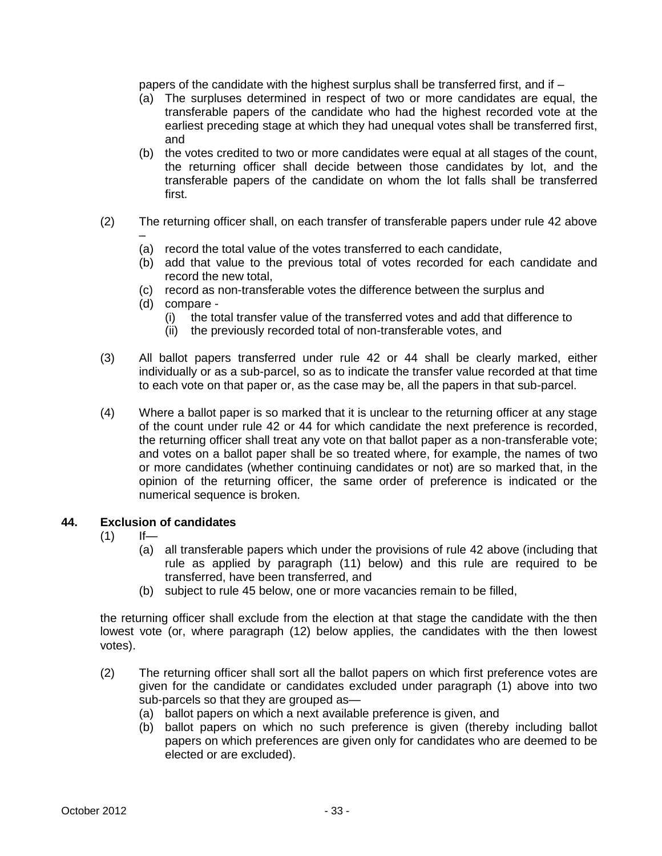papers of the candidate with the highest surplus shall be transferred first, and if –

- (a) The surpluses determined in respect of two or more candidates are equal, the transferable papers of the candidate who had the highest recorded vote at the earliest preceding stage at which they had unequal votes shall be transferred first, and
- (b) the votes credited to two or more candidates were equal at all stages of the count, the returning officer shall decide between those candidates by lot, and the transferable papers of the candidate on whom the lot falls shall be transferred first.
- (2) The returning officer shall, on each transfer of transferable papers under rule 42 above –
	- (a) record the total value of the votes transferred to each candidate,
	- (b) add that value to the previous total of votes recorded for each candidate and record the new total,
	- (c) record as non-transferable votes the difference between the surplus and
	- (d) compare
		- (i) the total transfer value of the transferred votes and add that difference to
		- (ii) the previously recorded total of non-transferable votes, and
- (3) All ballot papers transferred under rule 42 or 44 shall be clearly marked, either individually or as a sub-parcel, so as to indicate the transfer value recorded at that time to each vote on that paper or, as the case may be, all the papers in that sub-parcel.
- (4) Where a ballot paper is so marked that it is unclear to the returning officer at any stage of the count under rule 42 or 44 for which candidate the next preference is recorded, the returning officer shall treat any vote on that ballot paper as a non-transferable vote; and votes on a ballot paper shall be so treated where, for example, the names of two or more candidates (whether continuing candidates or not) are so marked that, in the opinion of the returning officer, the same order of preference is indicated or the numerical sequence is broken.

#### **44. Exclusion of candidates**

- $(1)$  If—
	- (a) all transferable papers which under the provisions of rule 42 above (including that rule as applied by paragraph (11) below) and this rule are required to be transferred, have been transferred, and
	- (b) subject to rule 45 below, one or more vacancies remain to be filled,

the returning officer shall exclude from the election at that stage the candidate with the then lowest vote (or, where paragraph (12) below applies, the candidates with the then lowest votes).

- (2) The returning officer shall sort all the ballot papers on which first preference votes are given for the candidate or candidates excluded under paragraph (1) above into two sub-parcels so that they are grouped as—
	- (a) ballot papers on which a next available preference is given, and
	- (b) ballot papers on which no such preference is given (thereby including ballot papers on which preferences are given only for candidates who are deemed to be elected or are excluded).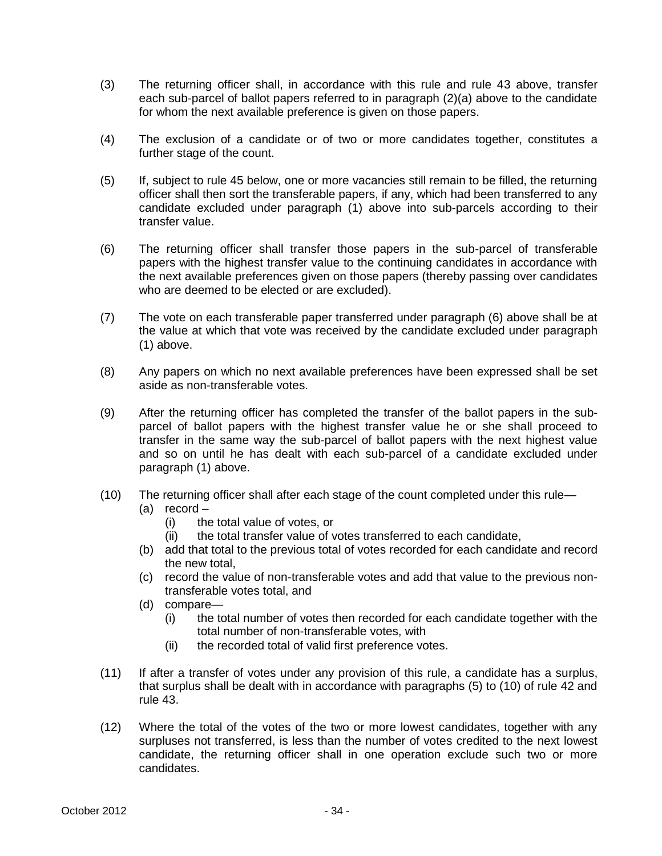- (3) The returning officer shall, in accordance with this rule and rule 43 above, transfer each sub-parcel of ballot papers referred to in paragraph (2)(a) above to the candidate for whom the next available preference is given on those papers.
- (4) The exclusion of a candidate or of two or more candidates together, constitutes a further stage of the count.
- (5) If, subject to rule 45 below, one or more vacancies still remain to be filled, the returning officer shall then sort the transferable papers, if any, which had been transferred to any candidate excluded under paragraph (1) above into sub-parcels according to their transfer value.
- (6) The returning officer shall transfer those papers in the sub-parcel of transferable papers with the highest transfer value to the continuing candidates in accordance with the next available preferences given on those papers (thereby passing over candidates who are deemed to be elected or are excluded).
- (7) The vote on each transferable paper transferred under paragraph (6) above shall be at the value at which that vote was received by the candidate excluded under paragraph (1) above.
- (8) Any papers on which no next available preferences have been expressed shall be set aside as non-transferable votes.
- (9) After the returning officer has completed the transfer of the ballot papers in the subparcel of ballot papers with the highest transfer value he or she shall proceed to transfer in the same way the sub-parcel of ballot papers with the next highest value and so on until he has dealt with each sub-parcel of a candidate excluded under paragraph (1) above.
- (10) The returning officer shall after each stage of the count completed under this rule—
	- (a) record
		- (i) the total value of votes, or
		- (ii) the total transfer value of votes transferred to each candidate,
	- (b) add that total to the previous total of votes recorded for each candidate and record the new total,
	- (c) record the value of non-transferable votes and add that value to the previous nontransferable votes total, and
	- (d) compare—
		- (i) the total number of votes then recorded for each candidate together with the total number of non-transferable votes, with
		- (ii) the recorded total of valid first preference votes.
- (11) If after a transfer of votes under any provision of this rule, a candidate has a surplus, that surplus shall be dealt with in accordance with paragraphs (5) to (10) of rule 42 and rule 43.
- (12) Where the total of the votes of the two or more lowest candidates, together with any surpluses not transferred, is less than the number of votes credited to the next lowest candidate, the returning officer shall in one operation exclude such two or more candidates.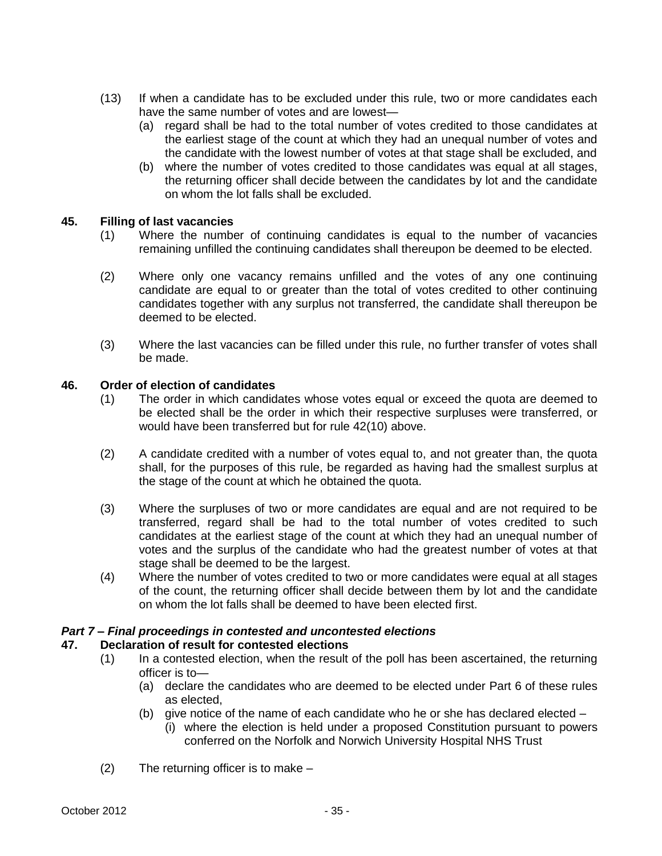- (13) If when a candidate has to be excluded under this rule, two or more candidates each have the same number of votes and are lowest—
	- (a) regard shall be had to the total number of votes credited to those candidates at the earliest stage of the count at which they had an unequal number of votes and the candidate with the lowest number of votes at that stage shall be excluded, and
	- (b) where the number of votes credited to those candidates was equal at all stages, the returning officer shall decide between the candidates by lot and the candidate on whom the lot falls shall be excluded.

#### **45. Filling of last vacancies**

- (1) Where the number of continuing candidates is equal to the number of vacancies remaining unfilled the continuing candidates shall thereupon be deemed to be elected.
- (2) Where only one vacancy remains unfilled and the votes of any one continuing candidate are equal to or greater than the total of votes credited to other continuing candidates together with any surplus not transferred, the candidate shall thereupon be deemed to be elected.
- (3) Where the last vacancies can be filled under this rule, no further transfer of votes shall be made.

#### **46. Order of election of candidates**

- (1) The order in which candidates whose votes equal or exceed the quota are deemed to be elected shall be the order in which their respective surpluses were transferred, or would have been transferred but for rule 42(10) above.
- (2) A candidate credited with a number of votes equal to, and not greater than, the quota shall, for the purposes of this rule, be regarded as having had the smallest surplus at the stage of the count at which he obtained the quota.
- (3) Where the surpluses of two or more candidates are equal and are not required to be transferred, regard shall be had to the total number of votes credited to such candidates at the earliest stage of the count at which they had an unequal number of votes and the surplus of the candidate who had the greatest number of votes at that stage shall be deemed to be the largest.
- (4) Where the number of votes credited to two or more candidates were equal at all stages of the count, the returning officer shall decide between them by lot and the candidate on whom the lot falls shall be deemed to have been elected first.

#### *Part 7 – Final proceedings in contested and uncontested elections*

#### **47. Declaration of result for contested elections**

- (1) In a contested election, when the result of the poll has been ascertained, the returning officer is to—
	- (a) declare the candidates who are deemed to be elected under Part 6 of these rules as elected,
	- (b) give notice of the name of each candidate who he or she has declared elected
		- (i) where the election is held under a proposed Constitution pursuant to powers conferred on the Norfolk and Norwich University Hospital NHS Trust
- (2) The returning officer is to make –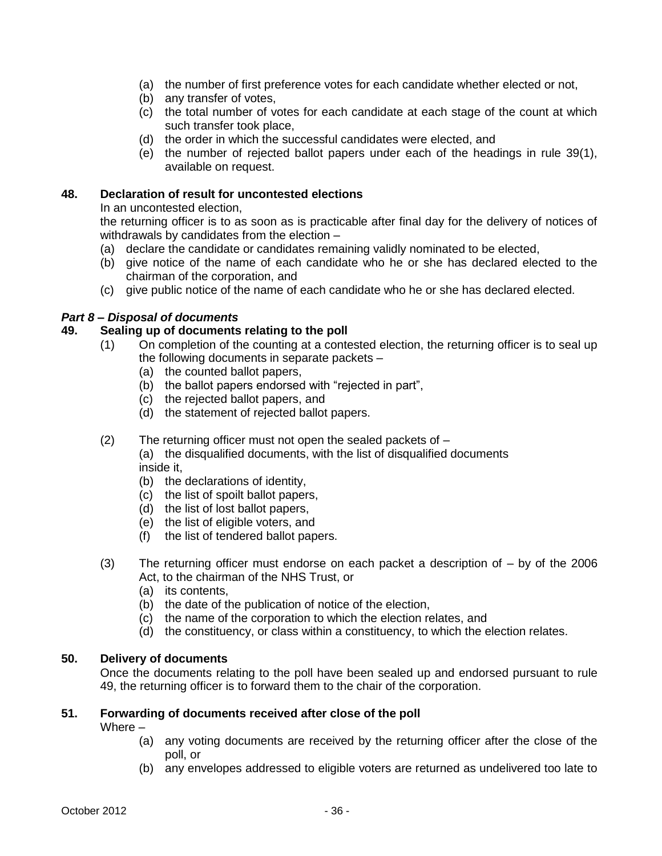- (a) the number of first preference votes for each candidate whether elected or not,
- (b) any transfer of votes,
- (c) the total number of votes for each candidate at each stage of the count at which such transfer took place,
- (d) the order in which the successful candidates were elected, and
- (e) the number of rejected ballot papers under each of the headings in rule 39(1), available on request.

### **48. Declaration of result for uncontested elections**

In an uncontested election,

the returning officer is to as soon as is practicable after final day for the delivery of notices of withdrawals by candidates from the election –

- (a) declare the candidate or candidates remaining validly nominated to be elected,
- (b) give notice of the name of each candidate who he or she has declared elected to the chairman of the corporation, and
- (c) give public notice of the name of each candidate who he or she has declared elected.

## *Part 8 – Disposal of documents*

#### **49. Sealing up of documents relating to the poll**

- (1) On completion of the counting at a contested election, the returning officer is to seal up the following documents in separate packets –
	- (a) the counted ballot papers,
	- (b) the ballot papers endorsed with "rejected in part",
	- (c) the rejected ballot papers, and
	- (d) the statement of rejected ballot papers.
- (2) The returning officer must not open the sealed packets of –

(a) the disqualified documents, with the list of disqualified documents inside it,

- (b) the declarations of identity,
- (c) the list of spoilt ballot papers,
- (d) the list of lost ballot papers,
- (e) the list of eligible voters, and
- (f) the list of tendered ballot papers.
- (3) The returning officer must endorse on each packet a description of by of the 2006 Act, to the chairman of the NHS Trust, or
	- (a) its contents,
	- (b) the date of the publication of notice of the election,
	- (c) the name of the corporation to which the election relates, and
	- (d) the constituency, or class within a constituency, to which the election relates.

#### **50. Delivery of documents**

Once the documents relating to the poll have been sealed up and endorsed pursuant to rule 49, the returning officer is to forward them to the chair of the corporation.

## **51. Forwarding of documents received after close of the poll**

Where –

- (a) any voting documents are received by the returning officer after the close of the poll, or
- (b) any envelopes addressed to eligible voters are returned as undelivered too late to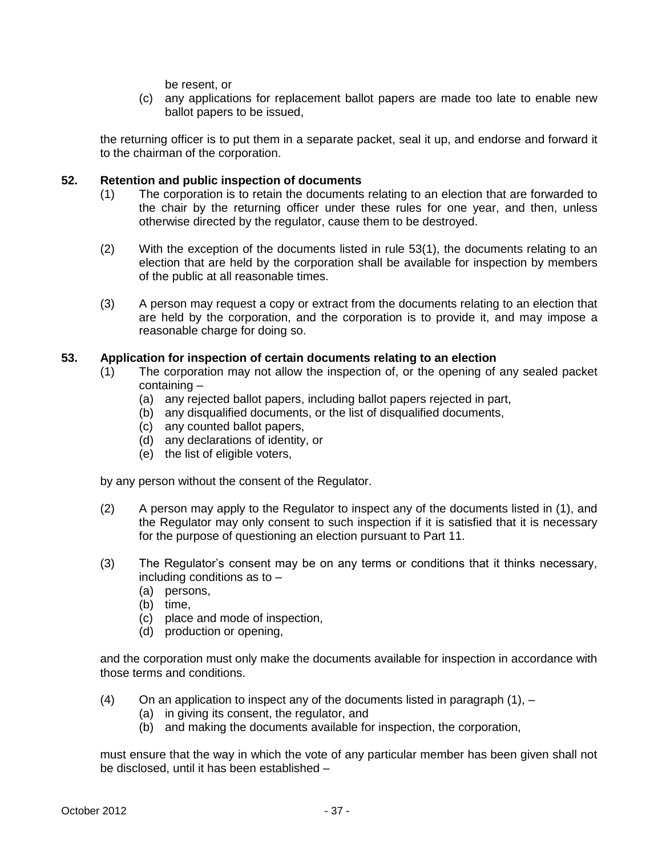be resent, or

(c) any applications for replacement ballot papers are made too late to enable new ballot papers to be issued,

the returning officer is to put them in a separate packet, seal it up, and endorse and forward it to the chairman of the corporation.

#### **52. Retention and public inspection of documents**

- (1) The corporation is to retain the documents relating to an election that are forwarded to the chair by the returning officer under these rules for one year, and then, unless otherwise directed by the regulator, cause them to be destroyed.
- (2) With the exception of the documents listed in rule 53(1), the documents relating to an election that are held by the corporation shall be available for inspection by members of the public at all reasonable times.
- (3) A person may request a copy or extract from the documents relating to an election that are held by the corporation, and the corporation is to provide it, and may impose a reasonable charge for doing so.

#### **53. Application for inspection of certain documents relating to an election**

- (1) The corporation may not allow the inspection of, or the opening of any sealed packet containing –
	- (a) any rejected ballot papers, including ballot papers rejected in part,
	- (b) any disqualified documents, or the list of disqualified documents,
	- (c) any counted ballot papers,
	- (d) any declarations of identity, or
	- (e) the list of eligible voters,

by any person without the consent of the Regulator.

- (2) A person may apply to the Regulator to inspect any of the documents listed in (1), and the Regulator may only consent to such inspection if it is satisfied that it is necessary for the purpose of questioning an election pursuant to Part 11.
- (3) The Regulator's consent may be on any terms or conditions that it thinks necessary, including conditions as to –
	- (a) persons,
	- (b) time,
	- (c) place and mode of inspection,
	- (d) production or opening,

and the corporation must only make the documents available for inspection in accordance with those terms and conditions.

- (4) On an application to inspect any of the documents listed in paragraph  $(1)$ ,  $-$ 
	- (a) in giving its consent, the regulator, and
	- (b) and making the documents available for inspection, the corporation,

must ensure that the way in which the vote of any particular member has been given shall not be disclosed, until it has been established –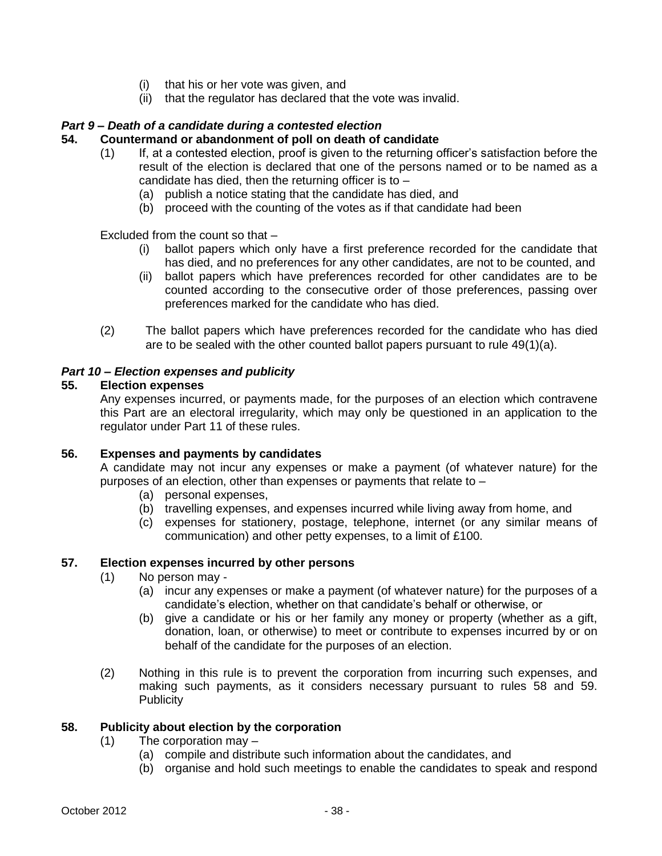- (i) that his or her vote was given, and
- (ii) that the regulator has declared that the vote was invalid.

#### *Part 9 – Death of a candidate during a contested election*

#### **54. Countermand or abandonment of poll on death of candidate**

- (1) If, at a contested election, proof is given to the returning officer's satisfaction before the result of the election is declared that one of the persons named or to be named as a candidate has died, then the returning officer is to  $-$ 
	- (a) publish a notice stating that the candidate has died, and
	- (b) proceed with the counting of the votes as if that candidate had been

Excluded from the count so that –

- (i) ballot papers which only have a first preference recorded for the candidate that has died, and no preferences for any other candidates, are not to be counted, and
- (ii) ballot papers which have preferences recorded for other candidates are to be counted according to the consecutive order of those preferences, passing over preferences marked for the candidate who has died.
- (2) The ballot papers which have preferences recorded for the candidate who has died are to be sealed with the other counted ballot papers pursuant to rule 49(1)(a).

## *Part 10 – Election expenses and publicity*

#### **55. Election expenses**

Any expenses incurred, or payments made, for the purposes of an election which contravene this Part are an electoral irregularity, which may only be questioned in an application to the regulator under Part 11 of these rules.

#### **56. Expenses and payments by candidates**

A candidate may not incur any expenses or make a payment (of whatever nature) for the purposes of an election, other than expenses or payments that relate to –

- (a) personal expenses,
- (b) travelling expenses, and expenses incurred while living away from home, and
- (c) expenses for stationery, postage, telephone, internet (or any similar means of communication) and other petty expenses, to a limit of £100.

#### **57. Election expenses incurred by other persons**

- (1) No person may
	- (a) incur any expenses or make a payment (of whatever nature) for the purposes of a candidate's election, whether on that candidate's behalf or otherwise, or
	- (b) give a candidate or his or her family any money or property (whether as a gift, donation, loan, or otherwise) to meet or contribute to expenses incurred by or on behalf of the candidate for the purposes of an election.
- (2) Nothing in this rule is to prevent the corporation from incurring such expenses, and making such payments, as it considers necessary pursuant to rules 58 and 59. **Publicity**

## **58. Publicity about election by the corporation**

- (1) The corporation may
	- (a) compile and distribute such information about the candidates, and
	- (b) organise and hold such meetings to enable the candidates to speak and respond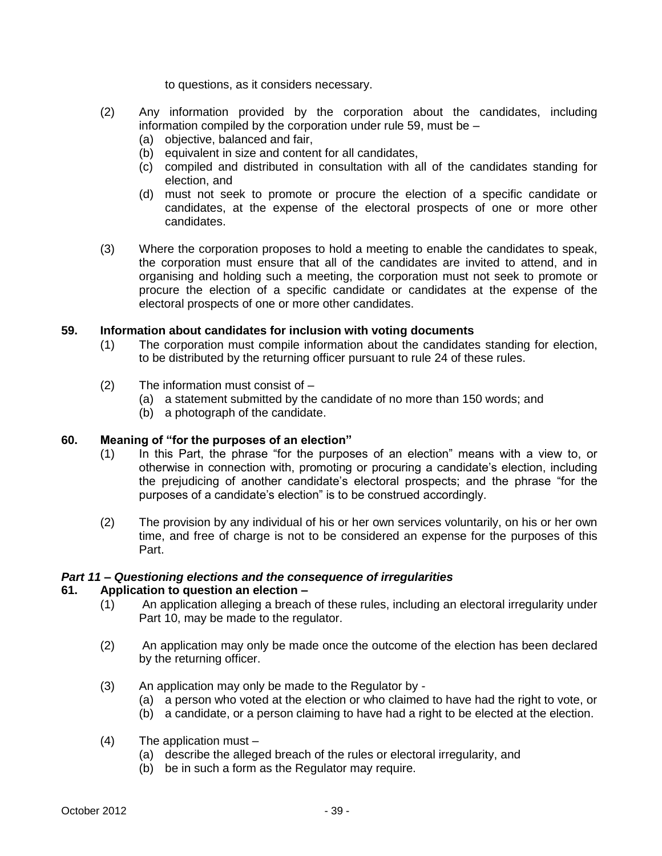to questions, as it considers necessary.

- (2) Any information provided by the corporation about the candidates, including information compiled by the corporation under rule 59, must be –
	- (a) objective, balanced and fair,
	- (b) equivalent in size and content for all candidates,
	- (c) compiled and distributed in consultation with all of the candidates standing for election, and
	- (d) must not seek to promote or procure the election of a specific candidate or candidates, at the expense of the electoral prospects of one or more other candidates.
- (3) Where the corporation proposes to hold a meeting to enable the candidates to speak, the corporation must ensure that all of the candidates are invited to attend, and in organising and holding such a meeting, the corporation must not seek to promote or procure the election of a specific candidate or candidates at the expense of the electoral prospects of one or more other candidates.

#### **59. Information about candidates for inclusion with voting documents**

- (1) The corporation must compile information about the candidates standing for election, to be distributed by the returning officer pursuant to rule 24 of these rules.
- (2) The information must consist of
	- (a) a statement submitted by the candidate of no more than 150 words; and
	- (b) a photograph of the candidate.

#### **60. Meaning of "for the purposes of an election"**

- (1) In this Part, the phrase "for the purposes of an election" means with a view to, or otherwise in connection with, promoting or procuring a candidate's election, including the prejudicing of another candidate's electoral prospects; and the phrase "for the purposes of a candidate's election" is to be construed accordingly.
- (2) The provision by any individual of his or her own services voluntarily, on his or her own time, and free of charge is not to be considered an expense for the purposes of this Part.

#### *Part 11 – Questioning elections and the consequence of irregularities*

#### **61. Application to question an election –**

- (1) An application alleging a breach of these rules, including an electoral irregularity under Part 10, may be made to the regulator.
- (2) An application may only be made once the outcome of the election has been declared by the returning officer.
- (3) An application may only be made to the Regulator by
	- (a) a person who voted at the election or who claimed to have had the right to vote, or
	- (b) a candidate, or a person claiming to have had a right to be elected at the election.
- (4) The application must
	- (a) describe the alleged breach of the rules or electoral irregularity, and
	- (b) be in such a form as the Regulator may require.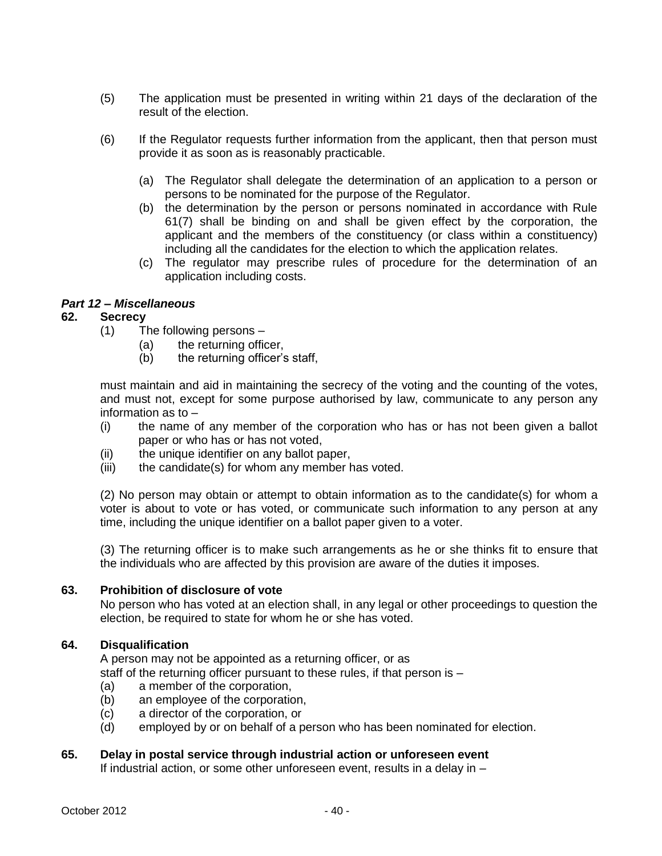- (5) The application must be presented in writing within 21 days of the declaration of the result of the election.
- (6) If the Regulator requests further information from the applicant, then that person must provide it as soon as is reasonably practicable.
	- (a) The Regulator shall delegate the determination of an application to a person or persons to be nominated for the purpose of the Regulator.
	- (b) the determination by the person or persons nominated in accordance with Rule 61(7) shall be binding on and shall be given effect by the corporation, the applicant and the members of the constituency (or class within a constituency) including all the candidates for the election to which the application relates.
	- (c) The regulator may prescribe rules of procedure for the determination of an application including costs.

## *Part 12 – Miscellaneous*

## **62. Secrecy**

- (1) The following persons
	- (a) the returning officer,
	- (b) the returning officer's staff,

must maintain and aid in maintaining the secrecy of the voting and the counting of the votes, and must not, except for some purpose authorised by law, communicate to any person any information as to –

- (i) the name of any member of the corporation who has or has not been given a ballot paper or who has or has not voted,
- (ii) the unique identifier on any ballot paper,
- (iii) the candidate(s) for whom any member has voted.

(2) No person may obtain or attempt to obtain information as to the candidate(s) for whom a voter is about to vote or has voted, or communicate such information to any person at any time, including the unique identifier on a ballot paper given to a voter.

(3) The returning officer is to make such arrangements as he or she thinks fit to ensure that the individuals who are affected by this provision are aware of the duties it imposes.

#### **63. Prohibition of disclosure of vote**

No person who has voted at an election shall, in any legal or other proceedings to question the election, be required to state for whom he or she has voted.

#### **64. Disqualification**

A person may not be appointed as a returning officer, or as

staff of the returning officer pursuant to these rules, if that person is –

- (a) a member of the corporation,
- (b) an employee of the corporation,
- (c) a director of the corporation, or
- (d) employed by or on behalf of a person who has been nominated for election.

## **65. Delay in postal service through industrial action or unforeseen event**

If industrial action, or some other unforeseen event, results in a delay in –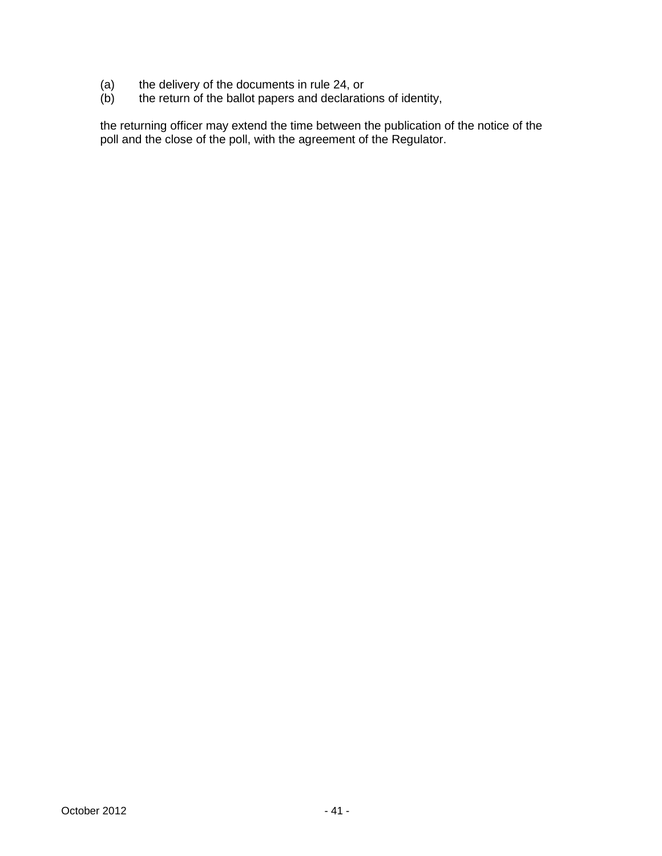- (a) the delivery of the documents in rule 24, or
- (b) the return of the ballot papers and declarations of identity,

the returning officer may extend the time between the publication of the notice of the poll and the close of the poll, with the agreement of the Regulator.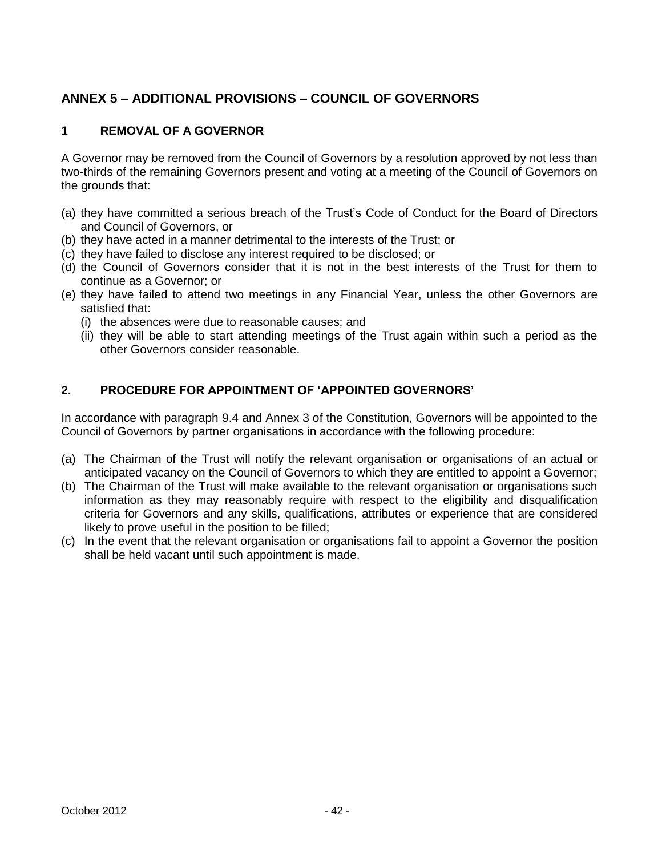# **ANNEX 5 – ADDITIONAL PROVISIONS – COUNCIL OF GOVERNORS**

## **1 REMOVAL OF A GOVERNOR**

A Governor may be removed from the Council of Governors by a resolution approved by not less than two-thirds of the remaining Governors present and voting at a meeting of the Council of Governors on the grounds that:

- (a) they have committed a serious breach of the Trust's Code of Conduct for the Board of Directors and Council of Governors, or
- (b) they have acted in a manner detrimental to the interests of the Trust; or
- (c) they have failed to disclose any interest required to be disclosed; or
- (d) the Council of Governors consider that it is not in the best interests of the Trust for them to continue as a Governor; or
- (e) they have failed to attend two meetings in any Financial Year, unless the other Governors are satisfied that:
	- (i) the absences were due to reasonable causes; and
	- (ii) they will be able to start attending meetings of the Trust again within such a period as the other Governors consider reasonable.

## **2. PROCEDURE FOR APPOINTMENT OF 'APPOINTED GOVERNORS'**

In accordance with paragraph 9.4 and Annex 3 of the Constitution, Governors will be appointed to the Council of Governors by partner organisations in accordance with the following procedure:

- (a) The Chairman of the Trust will notify the relevant organisation or organisations of an actual or anticipated vacancy on the Council of Governors to which they are entitled to appoint a Governor;
- (b) The Chairman of the Trust will make available to the relevant organisation or organisations such information as they may reasonably require with respect to the eligibility and disqualification criteria for Governors and any skills, qualifications, attributes or experience that are considered likely to prove useful in the position to be filled;
- (c) In the event that the relevant organisation or organisations fail to appoint a Governor the position shall be held vacant until such appointment is made.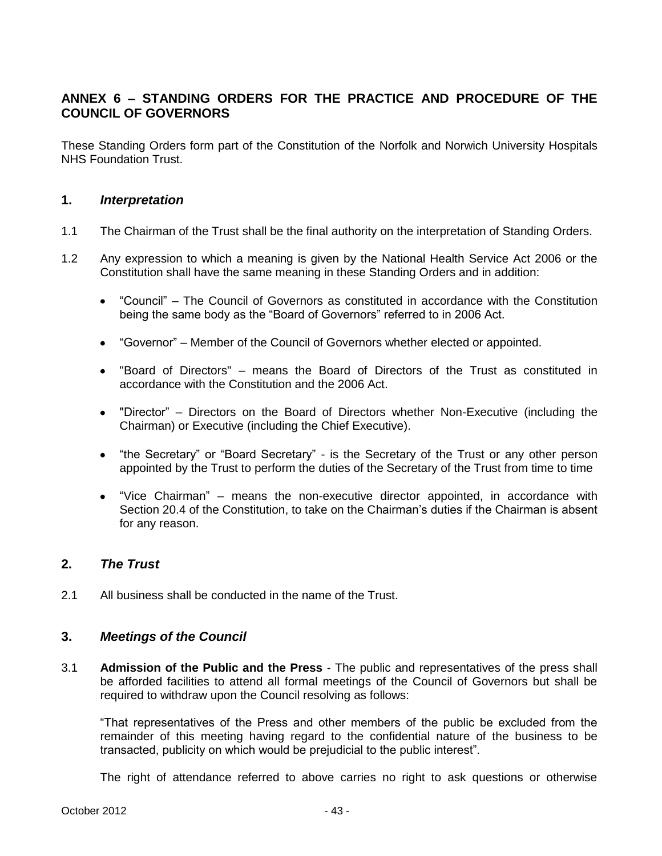# **ANNEX 6 – STANDING ORDERS FOR THE PRACTICE AND PROCEDURE OF THE COUNCIL OF GOVERNORS**

These Standing Orders form part of the Constitution of the Norfolk and Norwich University Hospitals NHS Foundation Trust.

## **1.** *Interpretation*

- 1.1 The Chairman of the Trust shall be the final authority on the interpretation of Standing Orders.
- 1.2 Any expression to which a meaning is given by the National Health Service Act 2006 or the Constitution shall have the same meaning in these Standing Orders and in addition:
	- "Council" The Council of Governors as constituted in accordance with the Constitution  $\bullet$ being the same body as the "Board of Governors" referred to in 2006 Act.
	- "Governor" Member of the Council of Governors whether elected or appointed.
	- $\bullet$ "Board of Directors" – means the Board of Directors of the Trust as constituted in accordance with the Constitution and the 2006 Act.
	- "Director" Directors on the Board of Directors whether Non-Executive (including the Chairman) or Executive (including the Chief Executive).
	- $\bullet$ "the Secretary" or "Board Secretary" - is the Secretary of the Trust or any other person appointed by the Trust to perform the duties of the Secretary of the Trust from time to time
	- "Vice Chairman" means the non-executive director appointed, in accordance with Section 20.4 of the Constitution, to take on the Chairman's duties if the Chairman is absent for any reason.

## **2.** *The Trust*

2.1 All business shall be conducted in the name of the Trust.

## **3.** *Meetings of the Council*

3.1 **Admission of the Public and the Press** - The public and representatives of the press shall be afforded facilities to attend all formal meetings of the Council of Governors but shall be required to withdraw upon the Council resolving as follows:

"That representatives of the Press and other members of the public be excluded from the remainder of this meeting having regard to the confidential nature of the business to be transacted, publicity on which would be prejudicial to the public interest".

The right of attendance referred to above carries no right to ask questions or otherwise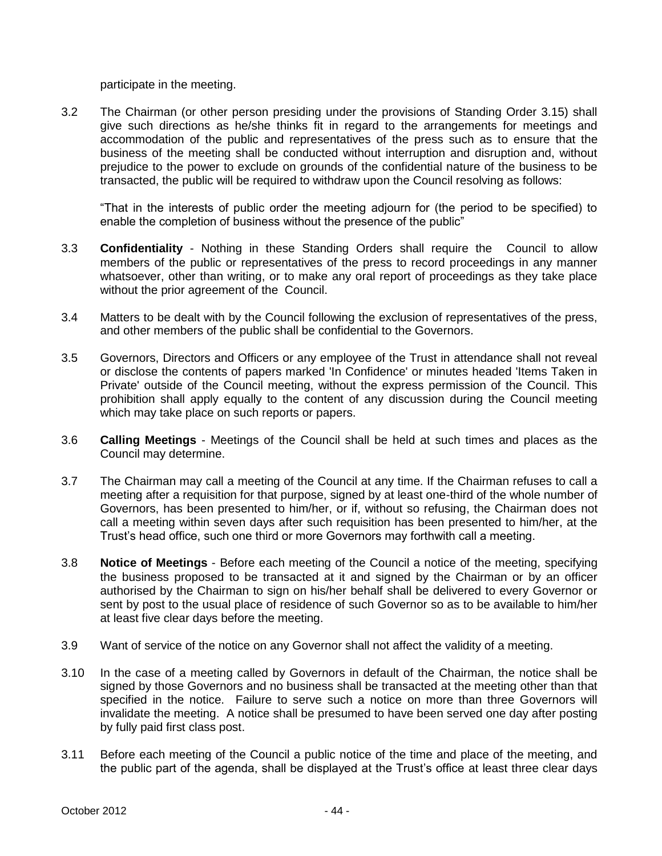participate in the meeting.

3.2 The Chairman (or other person presiding under the provisions of Standing Order 3.15) shall give such directions as he/she thinks fit in regard to the arrangements for meetings and accommodation of the public and representatives of the press such as to ensure that the business of the meeting shall be conducted without interruption and disruption and, without prejudice to the power to exclude on grounds of the confidential nature of the business to be transacted, the public will be required to withdraw upon the Council resolving as follows:

"That in the interests of public order the meeting adjourn for (the period to be specified) to enable the completion of business without the presence of the public"

- 3.3 **Confidentiality** Nothing in these Standing Orders shall require the Council to allow members of the public or representatives of the press to record proceedings in any manner whatsoever, other than writing, or to make any oral report of proceedings as they take place without the prior agreement of the Council.
- 3.4 Matters to be dealt with by the Council following the exclusion of representatives of the press, and other members of the public shall be confidential to the Governors.
- 3.5 Governors, Directors and Officers or any employee of the Trust in attendance shall not reveal or disclose the contents of papers marked 'In Confidence' or minutes headed 'Items Taken in Private' outside of the Council meeting, without the express permission of the Council. This prohibition shall apply equally to the content of any discussion during the Council meeting which may take place on such reports or papers.
- 3.6 **Calling Meetings** Meetings of the Council shall be held at such times and places as the Council may determine.
- 3.7 The Chairman may call a meeting of the Council at any time. If the Chairman refuses to call a meeting after a requisition for that purpose, signed by at least one-third of the whole number of Governors, has been presented to him/her, or if, without so refusing, the Chairman does not call a meeting within seven days after such requisition has been presented to him/her, at the Trust's head office, such one third or more Governors may forthwith call a meeting.
- 3.8 **Notice of Meetings**  Before each meeting of the Council a notice of the meeting, specifying the business proposed to be transacted at it and signed by the Chairman or by an officer authorised by the Chairman to sign on his/her behalf shall be delivered to every Governor or sent by post to the usual place of residence of such Governor so as to be available to him/her at least five clear days before the meeting.
- 3.9 Want of service of the notice on any Governor shall not affect the validity of a meeting.
- 3.10 In the case of a meeting called by Governors in default of the Chairman, the notice shall be signed by those Governors and no business shall be transacted at the meeting other than that specified in the notice. Failure to serve such a notice on more than three Governors will invalidate the meeting. A notice shall be presumed to have been served one day after posting by fully paid first class post.
- 3.11 Before each meeting of the Council a public notice of the time and place of the meeting, and the public part of the agenda, shall be displayed at the Trust's office at least three clear days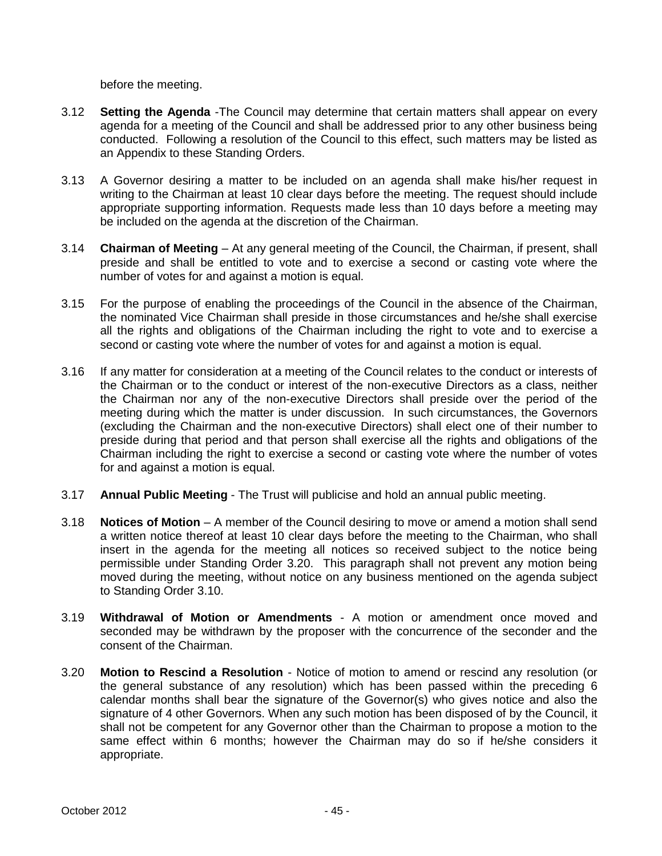before the meeting.

- 3.12 **Setting the Agenda** -The Council may determine that certain matters shall appear on every agenda for a meeting of the Council and shall be addressed prior to any other business being conducted. Following a resolution of the Council to this effect, such matters may be listed as an Appendix to these Standing Orders.
- 3.13 A Governor desiring a matter to be included on an agenda shall make his/her request in writing to the Chairman at least 10 clear days before the meeting. The request should include appropriate supporting information. Requests made less than 10 days before a meeting may be included on the agenda at the discretion of the Chairman.
- 3.14 **Chairman of Meeting** At any general meeting of the Council, the Chairman, if present, shall preside and shall be entitled to vote and to exercise a second or casting vote where the number of votes for and against a motion is equal.
- 3.15 For the purpose of enabling the proceedings of the Council in the absence of the Chairman, the nominated Vice Chairman shall preside in those circumstances and he/she shall exercise all the rights and obligations of the Chairman including the right to vote and to exercise a second or casting vote where the number of votes for and against a motion is equal.
- 3.16 If any matter for consideration at a meeting of the Council relates to the conduct or interests of the Chairman or to the conduct or interest of the non-executive Directors as a class, neither the Chairman nor any of the non-executive Directors shall preside over the period of the meeting during which the matter is under discussion. In such circumstances, the Governors (excluding the Chairman and the non-executive Directors) shall elect one of their number to preside during that period and that person shall exercise all the rights and obligations of the Chairman including the right to exercise a second or casting vote where the number of votes for and against a motion is equal.
- 3.17 **Annual Public Meeting** The Trust will publicise and hold an annual public meeting.
- 3.18 **Notices of Motion** A member of the Council desiring to move or amend a motion shall send a written notice thereof at least 10 clear days before the meeting to the Chairman, who shall insert in the agenda for the meeting all notices so received subject to the notice being permissible under Standing Order 3.20. This paragraph shall not prevent any motion being moved during the meeting, without notice on any business mentioned on the agenda subject to Standing Order 3.10.
- 3.19 **Withdrawal of Motion or Amendments** A motion or amendment once moved and seconded may be withdrawn by the proposer with the concurrence of the seconder and the consent of the Chairman.
- 3.20 **Motion to Rescind a Resolution** Notice of motion to amend or rescind any resolution (or the general substance of any resolution) which has been passed within the preceding 6 calendar months shall bear the signature of the Governor(s) who gives notice and also the signature of 4 other Governors. When any such motion has been disposed of by the Council, it shall not be competent for any Governor other than the Chairman to propose a motion to the same effect within 6 months; however the Chairman may do so if he/she considers it appropriate.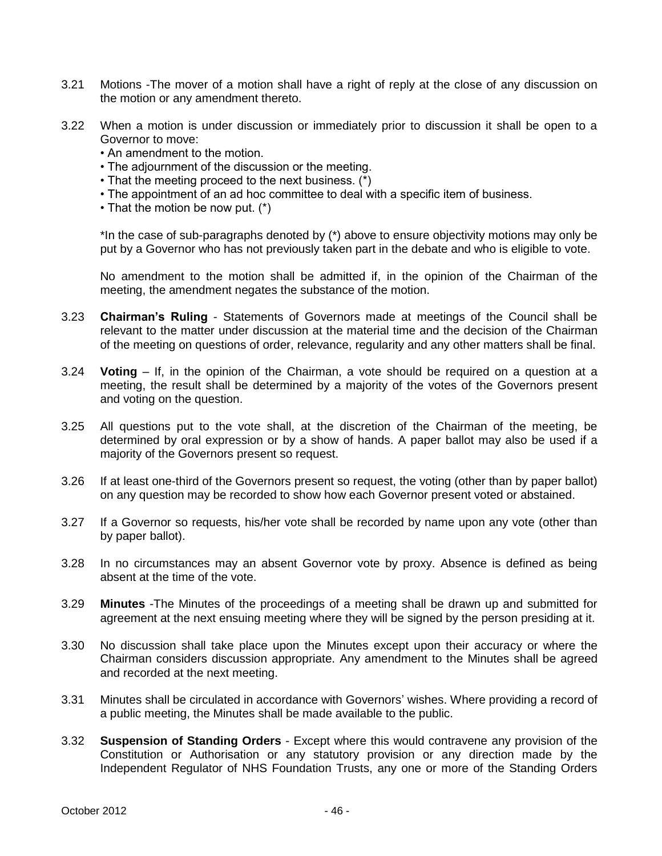- 3.21 Motions -The mover of a motion shall have a right of reply at the close of any discussion on the motion or any amendment thereto.
- 3.22 When a motion is under discussion or immediately prior to discussion it shall be open to a Governor to move:
	- An amendment to the motion.
	- The adjournment of the discussion or the meeting.
	- That the meeting proceed to the next business. (\*)
	- The appointment of an ad hoc committee to deal with a specific item of business.
	- That the motion be now put. (\*)

\*In the case of sub-paragraphs denoted by (\*) above to ensure objectivity motions may only be put by a Governor who has not previously taken part in the debate and who is eligible to vote.

No amendment to the motion shall be admitted if, in the opinion of the Chairman of the meeting, the amendment negates the substance of the motion.

- 3.23 **Chairman's Ruling** Statements of Governors made at meetings of the Council shall be relevant to the matter under discussion at the material time and the decision of the Chairman of the meeting on questions of order, relevance, regularity and any other matters shall be final.
- 3.24 **Voting** If, in the opinion of the Chairman, a vote should be required on a question at a meeting, the result shall be determined by a majority of the votes of the Governors present and voting on the question.
- 3.25 All questions put to the vote shall, at the discretion of the Chairman of the meeting, be determined by oral expression or by a show of hands. A paper ballot may also be used if a majority of the Governors present so request.
- 3.26 If at least one-third of the Governors present so request, the voting (other than by paper ballot) on any question may be recorded to show how each Governor present voted or abstained.
- 3.27 If a Governor so requests, his/her vote shall be recorded by name upon any vote (other than by paper ballot).
- 3.28 In no circumstances may an absent Governor vote by proxy. Absence is defined as being absent at the time of the vote.
- 3.29 **Minutes** -The Minutes of the proceedings of a meeting shall be drawn up and submitted for agreement at the next ensuing meeting where they will be signed by the person presiding at it.
- 3.30 No discussion shall take place upon the Minutes except upon their accuracy or where the Chairman considers discussion appropriate. Any amendment to the Minutes shall be agreed and recorded at the next meeting.
- 3.31 Minutes shall be circulated in accordance with Governors' wishes. Where providing a record of a public meeting, the Minutes shall be made available to the public.
- 3.32 **Suspension of Standing Orders** Except where this would contravene any provision of the Constitution or Authorisation or any statutory provision or any direction made by the Independent Regulator of NHS Foundation Trusts, any one or more of the Standing Orders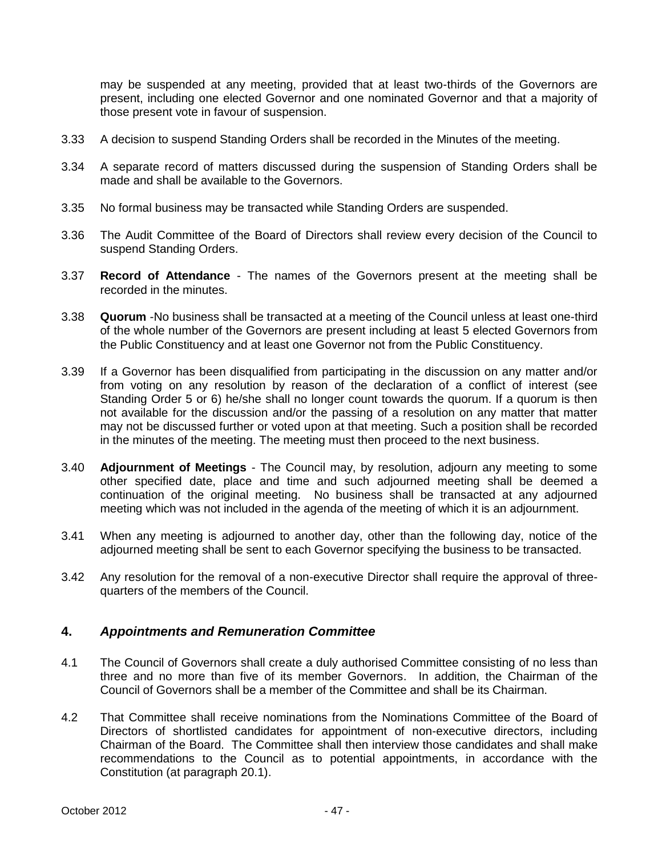may be suspended at any meeting, provided that at least two-thirds of the Governors are present, including one elected Governor and one nominated Governor and that a majority of those present vote in favour of suspension.

- 3.33 A decision to suspend Standing Orders shall be recorded in the Minutes of the meeting.
- 3.34 A separate record of matters discussed during the suspension of Standing Orders shall be made and shall be available to the Governors.
- 3.35 No formal business may be transacted while Standing Orders are suspended.
- 3.36 The Audit Committee of the Board of Directors shall review every decision of the Council to suspend Standing Orders.
- 3.37 **Record of Attendance** The names of the Governors present at the meeting shall be recorded in the minutes.
- 3.38 **Quorum** -No business shall be transacted at a meeting of the Council unless at least one-third of the whole number of the Governors are present including at least 5 elected Governors from the Public Constituency and at least one Governor not from the Public Constituency.
- 3.39 If a Governor has been disqualified from participating in the discussion on any matter and/or from voting on any resolution by reason of the declaration of a conflict of interest (see Standing Order 5 or 6) he/she shall no longer count towards the quorum. If a quorum is then not available for the discussion and/or the passing of a resolution on any matter that matter may not be discussed further or voted upon at that meeting. Such a position shall be recorded in the minutes of the meeting. The meeting must then proceed to the next business.
- 3.40 **Adjournment of Meetings**  The Council may, by resolution, adjourn any meeting to some other specified date, place and time and such adjourned meeting shall be deemed a continuation of the original meeting. No business shall be transacted at any adjourned meeting which was not included in the agenda of the meeting of which it is an adjournment.
- 3.41 When any meeting is adjourned to another day, other than the following day, notice of the adjourned meeting shall be sent to each Governor specifying the business to be transacted.
- 3.42 Any resolution for the removal of a non-executive Director shall require the approval of threequarters of the members of the Council.

# **4.** *Appointments and Remuneration Committee*

- 4.1 The Council of Governors shall create a duly authorised Committee consisting of no less than three and no more than five of its member Governors. In addition, the Chairman of the Council of Governors shall be a member of the Committee and shall be its Chairman.
- 4.2 That Committee shall receive nominations from the Nominations Committee of the Board of Directors of shortlisted candidates for appointment of non-executive directors, including Chairman of the Board. The Committee shall then interview those candidates and shall make recommendations to the Council as to potential appointments, in accordance with the Constitution (at paragraph 20.1).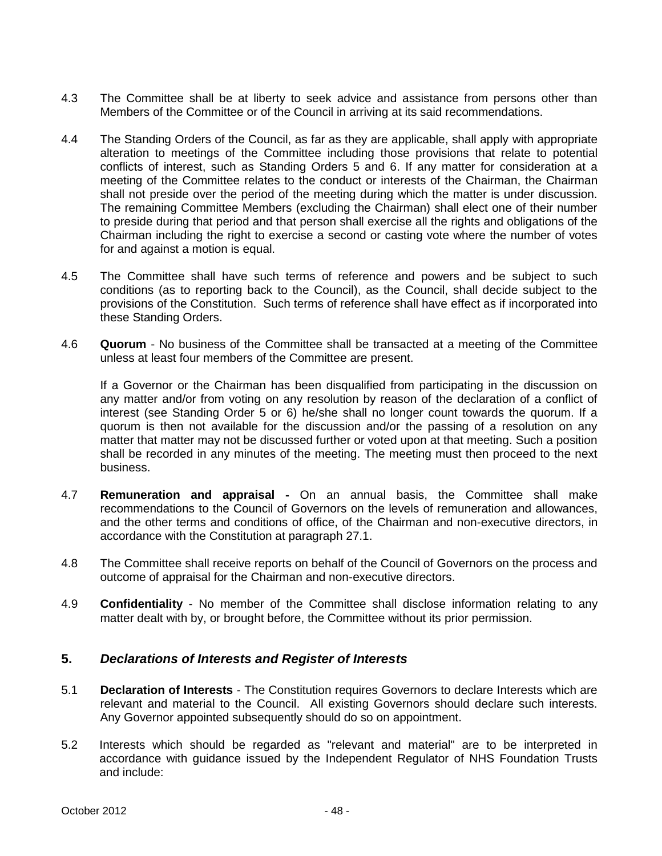- 4.3 The Committee shall be at liberty to seek advice and assistance from persons other than Members of the Committee or of the Council in arriving at its said recommendations.
- 4.4 The Standing Orders of the Council, as far as they are applicable, shall apply with appropriate alteration to meetings of the Committee including those provisions that relate to potential conflicts of interest, such as Standing Orders 5 and 6. If any matter for consideration at a meeting of the Committee relates to the conduct or interests of the Chairman, the Chairman shall not preside over the period of the meeting during which the matter is under discussion. The remaining Committee Members (excluding the Chairman) shall elect one of their number to preside during that period and that person shall exercise all the rights and obligations of the Chairman including the right to exercise a second or casting vote where the number of votes for and against a motion is equal.
- 4.5 The Committee shall have such terms of reference and powers and be subject to such conditions (as to reporting back to the Council), as the Council, shall decide subject to the provisions of the Constitution. Such terms of reference shall have effect as if incorporated into these Standing Orders.
- 4.6 **Quorum**  No business of the Committee shall be transacted at a meeting of the Committee unless at least four members of the Committee are present.

If a Governor or the Chairman has been disqualified from participating in the discussion on any matter and/or from voting on any resolution by reason of the declaration of a conflict of interest (see Standing Order 5 or 6) he/she shall no longer count towards the quorum. If a quorum is then not available for the discussion and/or the passing of a resolution on any matter that matter may not be discussed further or voted upon at that meeting. Such a position shall be recorded in any minutes of the meeting. The meeting must then proceed to the next business.

- 4.7 **Remuneration and appraisal -** On an annual basis, the Committee shall make recommendations to the Council of Governors on the levels of remuneration and allowances, and the other terms and conditions of office, of the Chairman and non-executive directors, in accordance with the Constitution at paragraph 27.1.
- 4.8 The Committee shall receive reports on behalf of the Council of Governors on the process and outcome of appraisal for the Chairman and non-executive directors.
- 4.9 **Confidentiality** No member of the Committee shall disclose information relating to any matter dealt with by, or brought before, the Committee without its prior permission.

## **5.** *Declarations of Interests and Register of Interests*

- 5.1 **Declaration of Interests** The Constitution requires Governors to declare Interests which are relevant and material to the Council. All existing Governors should declare such interests. Any Governor appointed subsequently should do so on appointment.
- 5.2 Interests which should be regarded as "relevant and material" are to be interpreted in accordance with guidance issued by the Independent Regulator of NHS Foundation Trusts and include: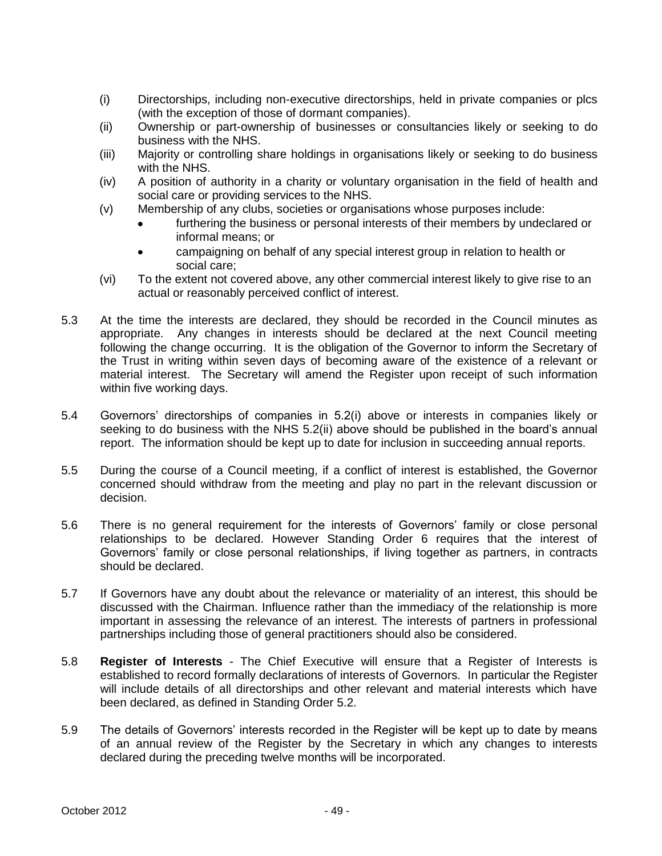- (i) Directorships, including non-executive directorships, held in private companies or plcs (with the exception of those of dormant companies).
- (ii) Ownership or part-ownership of businesses or consultancies likely or seeking to do business with the NHS.
- (iii) Majority or controlling share holdings in organisations likely or seeking to do business with the NHS.
- (iv) A position of authority in a charity or voluntary organisation in the field of health and social care or providing services to the NHS.
- (v) Membership of any clubs, societies or organisations whose purposes include:
	- furthering the business or personal interests of their members by undeclared or informal means; or
	- campaigning on behalf of any special interest group in relation to health or  $\bullet$ social care;
- (vi) To the extent not covered above, any other commercial interest likely to give rise to an actual or reasonably perceived conflict of interest.
- 5.3 At the time the interests are declared, they should be recorded in the Council minutes as appropriate. Any changes in interests should be declared at the next Council meeting following the change occurring. It is the obligation of the Governor to inform the Secretary of the Trust in writing within seven days of becoming aware of the existence of a relevant or material interest. The Secretary will amend the Register upon receipt of such information within five working days.
- 5.4 Governors' directorships of companies in 5.2(i) above or interests in companies likely or seeking to do business with the NHS 5.2(ii) above should be published in the board's annual report. The information should be kept up to date for inclusion in succeeding annual reports.
- 5.5 During the course of a Council meeting, if a conflict of interest is established, the Governor concerned should withdraw from the meeting and play no part in the relevant discussion or decision.
- 5.6 There is no general requirement for the interests of Governors' family or close personal relationships to be declared. However Standing Order 6 requires that the interest of Governors' family or close personal relationships, if living together as partners, in contracts should be declared.
- 5.7 If Governors have any doubt about the relevance or materiality of an interest, this should be discussed with the Chairman. Influence rather than the immediacy of the relationship is more important in assessing the relevance of an interest. The interests of partners in professional partnerships including those of general practitioners should also be considered.
- 5.8 **Register of Interests** The Chief Executive will ensure that a Register of Interests is established to record formally declarations of interests of Governors. In particular the Register will include details of all directorships and other relevant and material interests which have been declared, as defined in Standing Order 5.2.
- 5.9 The details of Governors' interests recorded in the Register will be kept up to date by means of an annual review of the Register by the Secretary in which any changes to interests declared during the preceding twelve months will be incorporated.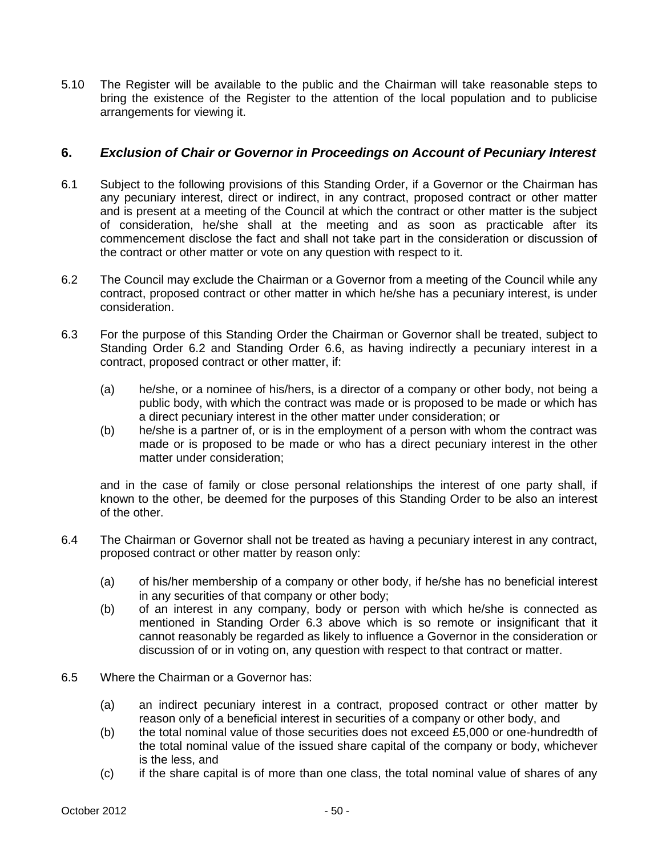5.10 The Register will be available to the public and the Chairman will take reasonable steps to bring the existence of the Register to the attention of the local population and to publicise arrangements for viewing it.

## **6.** *Exclusion of Chair or Governor in Proceedings on Account of Pecuniary Interest*

- 6.1 Subject to the following provisions of this Standing Order, if a Governor or the Chairman has any pecuniary interest, direct or indirect, in any contract, proposed contract or other matter and is present at a meeting of the Council at which the contract or other matter is the subject of consideration, he/she shall at the meeting and as soon as practicable after its commencement disclose the fact and shall not take part in the consideration or discussion of the contract or other matter or vote on any question with respect to it.
- 6.2 The Council may exclude the Chairman or a Governor from a meeting of the Council while any contract, proposed contract or other matter in which he/she has a pecuniary interest, is under consideration.
- 6.3 For the purpose of this Standing Order the Chairman or Governor shall be treated, subject to Standing Order 6.2 and Standing Order 6.6, as having indirectly a pecuniary interest in a contract, proposed contract or other matter, if:
	- (a) he/she, or a nominee of his/hers, is a director of a company or other body, not being a public body, with which the contract was made or is proposed to be made or which has a direct pecuniary interest in the other matter under consideration; or
	- (b) he/she is a partner of, or is in the employment of a person with whom the contract was made or is proposed to be made or who has a direct pecuniary interest in the other matter under consideration;

and in the case of family or close personal relationships the interest of one party shall, if known to the other, be deemed for the purposes of this Standing Order to be also an interest of the other.

- 6.4 The Chairman or Governor shall not be treated as having a pecuniary interest in any contract, proposed contract or other matter by reason only:
	- (a) of his/her membership of a company or other body, if he/she has no beneficial interest in any securities of that company or other body;
	- (b) of an interest in any company, body or person with which he/she is connected as mentioned in Standing Order 6.3 above which is so remote or insignificant that it cannot reasonably be regarded as likely to influence a Governor in the consideration or discussion of or in voting on, any question with respect to that contract or matter.
- 6.5 Where the Chairman or a Governor has:
	- (a) an indirect pecuniary interest in a contract, proposed contract or other matter by reason only of a beneficial interest in securities of a company or other body, and
	- (b) the total nominal value of those securities does not exceed £5,000 or one-hundredth of the total nominal value of the issued share capital of the company or body, whichever is the less, and
	- (c) if the share capital is of more than one class, the total nominal value of shares of any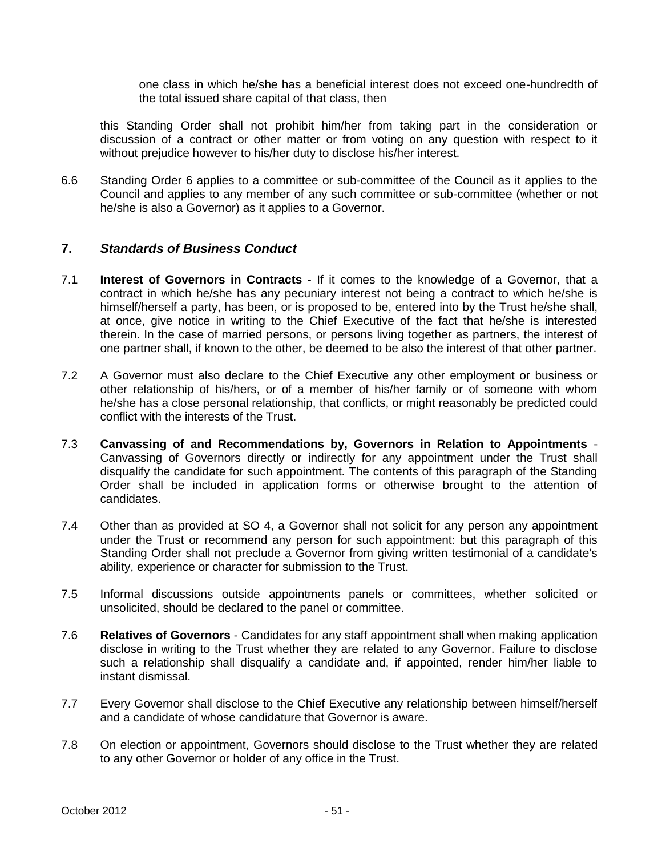one class in which he/she has a beneficial interest does not exceed one-hundredth of the total issued share capital of that class, then

this Standing Order shall not prohibit him/her from taking part in the consideration or discussion of a contract or other matter or from voting on any question with respect to it without prejudice however to his/her duty to disclose his/her interest.

6.6 Standing Order 6 applies to a committee or sub-committee of the Council as it applies to the Council and applies to any member of any such committee or sub-committee (whether or not he/she is also a Governor) as it applies to a Governor.

## **7.** *Standards of Business Conduct*

- 7.1 **Interest of Governors in Contracts** If it comes to the knowledge of a Governor, that a contract in which he/she has any pecuniary interest not being a contract to which he/she is himself/herself a party, has been, or is proposed to be, entered into by the Trust he/she shall, at once, give notice in writing to the Chief Executive of the fact that he/she is interested therein. In the case of married persons, or persons living together as partners, the interest of one partner shall, if known to the other, be deemed to be also the interest of that other partner.
- 7.2 A Governor must also declare to the Chief Executive any other employment or business or other relationship of his/hers, or of a member of his/her family or of someone with whom he/she has a close personal relationship, that conflicts, or might reasonably be predicted could conflict with the interests of the Trust.
- 7.3 **Canvassing of and Recommendations by, Governors in Relation to Appointments** Canvassing of Governors directly or indirectly for any appointment under the Trust shall disqualify the candidate for such appointment. The contents of this paragraph of the Standing Order shall be included in application forms or otherwise brought to the attention of candidates.
- 7.4 Other than as provided at SO 4, a Governor shall not solicit for any person any appointment under the Trust or recommend any person for such appointment: but this paragraph of this Standing Order shall not preclude a Governor from giving written testimonial of a candidate's ability, experience or character for submission to the Trust.
- 7.5 Informal discussions outside appointments panels or committees, whether solicited or unsolicited, should be declared to the panel or committee.
- 7.6 **Relatives of Governors** Candidates for any staff appointment shall when making application disclose in writing to the Trust whether they are related to any Governor. Failure to disclose such a relationship shall disqualify a candidate and, if appointed, render him/her liable to instant dismissal.
- 7.7 Every Governor shall disclose to the Chief Executive any relationship between himself/herself and a candidate of whose candidature that Governor is aware.
- 7.8 On election or appointment, Governors should disclose to the Trust whether they are related to any other Governor or holder of any office in the Trust.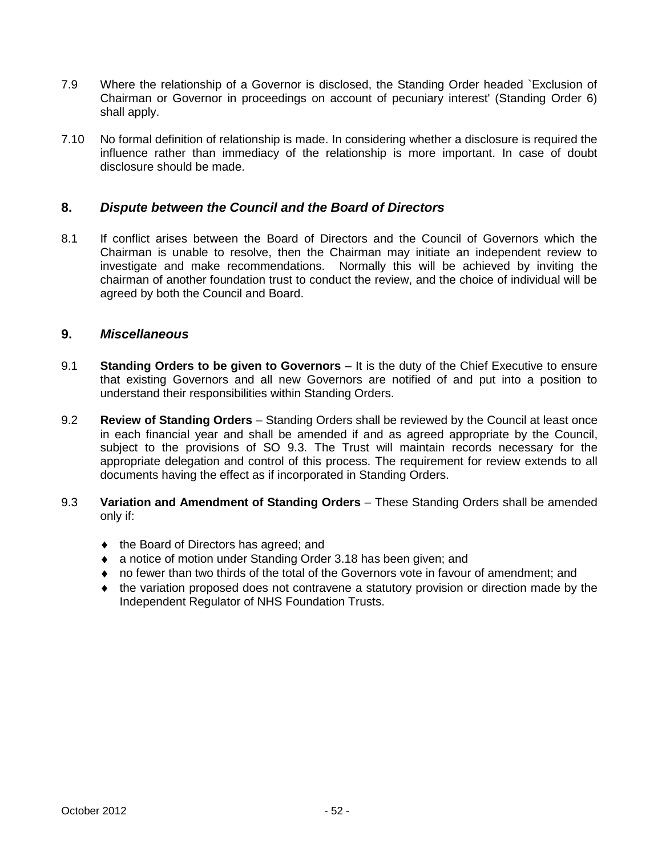- 7.9 Where the relationship of a Governor is disclosed, the Standing Order headed `Exclusion of Chairman or Governor in proceedings on account of pecuniary interest' (Standing Order 6) shall apply.
- 7.10 No formal definition of relationship is made. In considering whether a disclosure is required the influence rather than immediacy of the relationship is more important. In case of doubt disclosure should be made.

## **8.** *Dispute between the Council and the Board of Directors*

8.1 If conflict arises between the Board of Directors and the Council of Governors which the Chairman is unable to resolve, then the Chairman may initiate an independent review to investigate and make recommendations. Normally this will be achieved by inviting the chairman of another foundation trust to conduct the review, and the choice of individual will be agreed by both the Council and Board.

## **9.** *Miscellaneous*

- 9.1 **Standing Orders to be given to Governors** It is the duty of the Chief Executive to ensure that existing Governors and all new Governors are notified of and put into a position to understand their responsibilities within Standing Orders.
- 9.2 **Review of Standing Orders** Standing Orders shall be reviewed by the Council at least once in each financial year and shall be amended if and as agreed appropriate by the Council, subject to the provisions of SO 9.3. The Trust will maintain records necessary for the appropriate delegation and control of this process. The requirement for review extends to all documents having the effect as if incorporated in Standing Orders.
- 9.3 **Variation and Amendment of Standing Orders** These Standing Orders shall be amended only if:
	- $\bullet$  the Board of Directors has agreed; and
	- ◆ a notice of motion under Standing Order 3.18 has been given; and
	- no fewer than two thirds of the total of the Governors vote in favour of amendment; and
	- the variation proposed does not contravene a statutory provision or direction made by the Independent Regulator of NHS Foundation Trusts.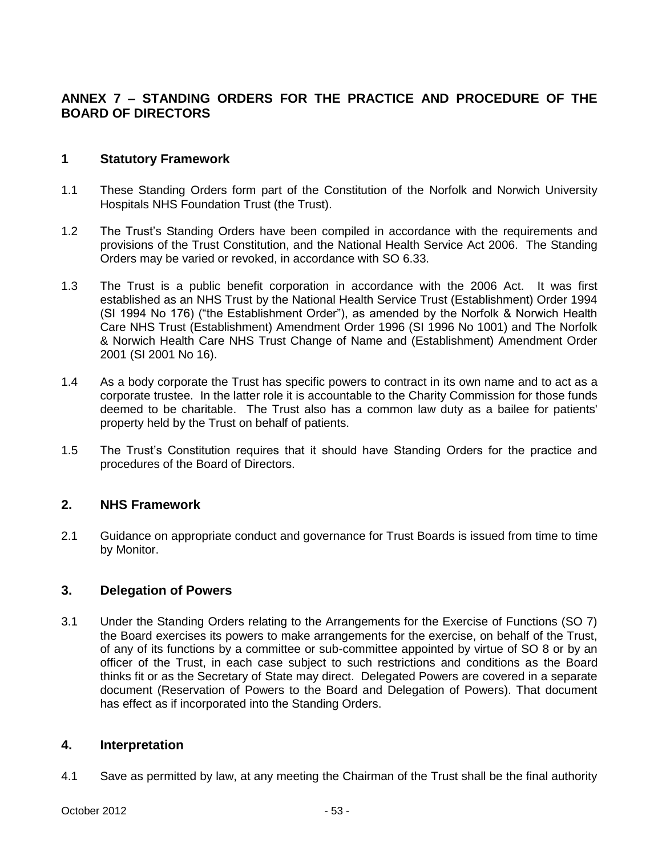# **ANNEX 7 – STANDING ORDERS FOR THE PRACTICE AND PROCEDURE OF THE BOARD OF DIRECTORS**

## **1 Statutory Framework**

- 1.1 These Standing Orders form part of the Constitution of the Norfolk and Norwich University Hospitals NHS Foundation Trust (the Trust).
- 1.2 The Trust's Standing Orders have been compiled in accordance with the requirements and provisions of the Trust Constitution, and the National Health Service Act 2006. The Standing Orders may be varied or revoked, in accordance with SO 6.33.
- 1.3 The Trust is a public benefit corporation in accordance with the 2006 Act. It was first established as an NHS Trust by the National Health Service Trust (Establishment) Order 1994 (SI 1994 No 176) ("the Establishment Order"), as amended by the Norfolk & Norwich Health Care NHS Trust (Establishment) Amendment Order 1996 (SI 1996 No 1001) and The Norfolk & Norwich Health Care NHS Trust Change of Name and (Establishment) Amendment Order 2001 (SI 2001 No 16).
- 1.4 As a body corporate the Trust has specific powers to contract in its own name and to act as a corporate trustee. In the latter role it is accountable to the Charity Commission for those funds deemed to be charitable. The Trust also has a common law duty as a bailee for patients' property held by the Trust on behalf of patients.
- 1.5 The Trust's Constitution requires that it should have Standing Orders for the practice and procedures of the Board of Directors.

## **2. NHS Framework**

2.1 <Guidance> on appropriate conduct and governance for Trust Boards is issued from time to time by Monitor.

## **3. Delegation of Powers**

3.1 Under the Standing Orders relating to the Arrangements for the Exercise of Functions (SO 7) the Board exercises its powers to make arrangements for the exercise, on behalf of the Trust, of any of its functions by a committee or sub-committee appointed by virtue of SO 8 or by an officer of the Trust, in each case subject to such restrictions and conditions as the Board thinks fit or as the Secretary of State may direct. Delegated Powers are covered in a separate document (Reservation of Powers to the Board and Delegation of Powers). That document has effect as if incorporated into the Standing Orders.

## **4. Interpretation**

4.1 Save as permitted by law, at any meeting the Chairman of the Trust shall be the final authority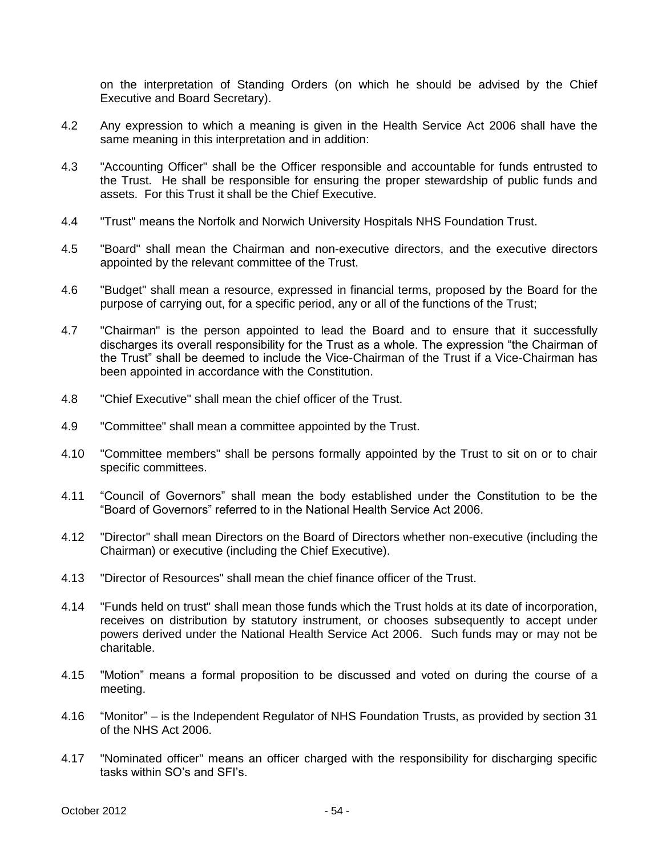on the interpretation of Standing Orders (on which he should be advised by the Chief Executive and Board Secretary).

- 4.2 Any expression to which a meaning is given in the Health Service Act 2006 shall have the same meaning in this interpretation and in addition:
- 4.3 "Accounting Officer" shall be the Officer responsible and accountable for funds entrusted to the Trust. He shall be responsible for ensuring the proper stewardship of public funds and assets. For this Trust it shall be the Chief Executive.
- 4.4 "Trust" means the Norfolk and Norwich University Hospitals NHS Foundation Trust.
- 4.5 "Board" shall mean the Chairman and non-executive directors, and the executive directors appointed by the relevant committee of the Trust.
- 4.6 "Budget" shall mean a resource, expressed in financial terms, proposed by the Board for the purpose of carrying out, for a specific period, any or all of the functions of the Trust;
- 4.7 "Chairman" is the person appointed to lead the Board and to ensure that it successfully discharges its overall responsibility for the Trust as a whole. The expression "the Chairman of the Trust" shall be deemed to include the Vice-Chairman of the Trust if a Vice-Chairman has been appointed in accordance with the Constitution.
- 4.8 "Chief Executive" shall mean the chief officer of the Trust.
- 4.9 "Committee" shall mean a committee appointed by the Trust.
- 4.10 "Committee members" shall be persons formally appointed by the Trust to sit on or to chair specific committees.
- 4.11 "Council of Governors" shall mean the body established under the Constitution to be the "Board of Governors" referred to in the National Health Service Act 2006.
- 4.12 "Director" shall mean Directors on the Board of Directors whether non-executive (including the Chairman) or executive (including the Chief Executive).
- 4.13 "Director of Resources" shall mean the chief finance officer of the Trust.
- 4.14 "Funds held on trust" shall mean those funds which the Trust holds at its date of incorporation, receives on distribution by statutory instrument, or chooses subsequently to accept under powers derived under the National Health Service Act 2006. Such funds may or may not be charitable.
- 4.15 "Motion" means a formal proposition to be discussed and voted on during the course of a meeting.
- 4.16 "Monitor" is the Independent Regulator of NHS Foundation Trusts, as provided by section 31 of the NHS Act 2006.
- 4.17 "Nominated officer" means an officer charged with the responsibility for discharging specific tasks within SO's and SFI's.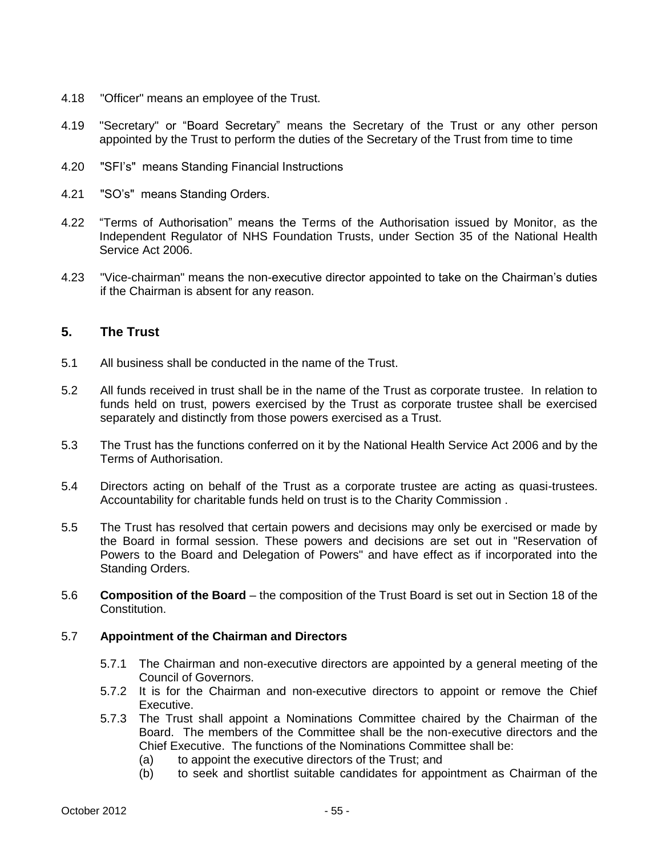- 4.18 "Officer" means an employee of the Trust.
- 4.19 "Secretary" or "Board Secretary" means the Secretary of the Trust or any other person appointed by the Trust to perform the duties of the Secretary of the Trust from time to time
- 4.20 "SFI's" means Standing Financial Instructions
- 4.21 "SO's" means Standing Orders.
- 4.22 "Terms of Authorisation" means the Terms of the Authorisation issued by Monitor, as the Independent Regulator of NHS Foundation Trusts, under Section 35 of the National Health Service Act 2006.
- 4.23 "Vice-chairman" means the non-executive director appointed to take on the Chairman's duties if the Chairman is absent for any reason.

## **5. The Trust**

- 5.1 All business shall be conducted in the name of the Trust.
- 5.2 All funds received in trust shall be in the name of the Trust as corporate trustee. In relation to funds held on trust, powers exercised by the Trust as corporate trustee shall be exercised separately and distinctly from those powers exercised as a Trust.
- 5.3 The Trust has the functions conferred on it by the National Health Service Act 2006 and by the Terms of Authorisation.
- 5.4 Directors acting on behalf of the Trust as a corporate trustee are acting as quasi-trustees. Accountability for charitable funds held on trust is to the Charity Commission .
- 5.5 The Trust has resolved that certain powers and decisions may only be exercised or made by the Board in formal session. These powers and decisions are set out in "Reservation of Powers to the Board and Delegation of Powers" and have effect as if incorporated into the Standing Orders.
- 5.6 **Composition of the Board**  the composition of the Trust Board is set out in Section 18 of the Constitution.

#### 5.7 **Appointment of the Chairman and Directors**

- 5.7.1 The Chairman and non-executive directors are appointed by a general meeting of the Council of Governors.
- 5.7.2 It is for the Chairman and non-executive directors to appoint or remove the Chief Executive.
- 5.7.3 The Trust shall appoint a Nominations Committee chaired by the Chairman of the Board. The members of the Committee shall be the non-executive directors and the Chief Executive. The functions of the Nominations Committee shall be:
	- (a) to appoint the executive directors of the Trust; and
	- (b) to seek and shortlist suitable candidates for appointment as Chairman of the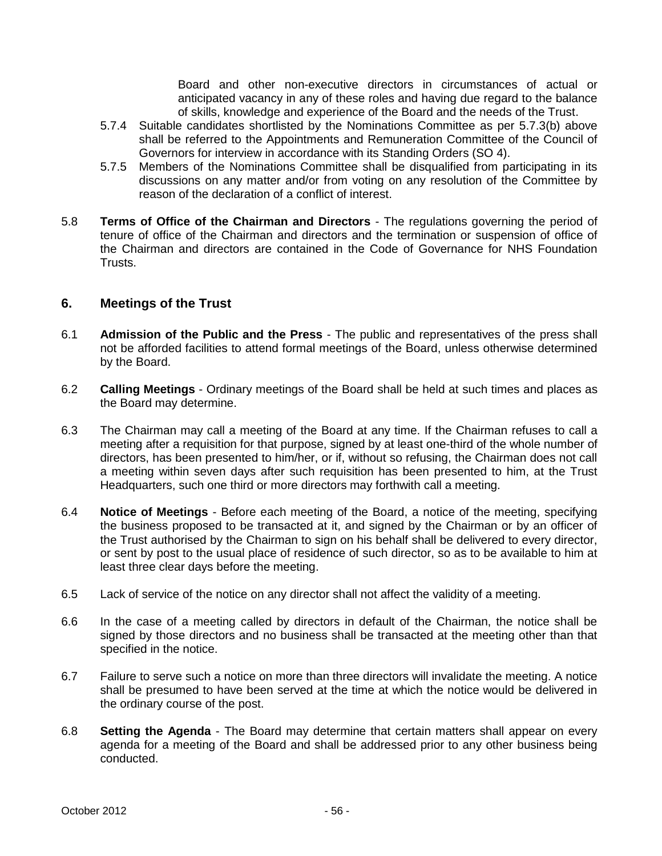Board and other non-executive directors in circumstances of actual or anticipated vacancy in any of these roles and having due regard to the balance of skills, knowledge and experience of the Board and the needs of the Trust.

- 5.7.4 Suitable candidates shortlisted by the Nominations Committee as per 5.7.3(b) above shall be referred to the Appointments and Remuneration Committee of the Council of Governors for interview in accordance with its Standing Orders (SO 4).
- 5.7.5 Members of the Nominations Committee shall be disqualified from participating in its discussions on any matter and/or from voting on any resolution of the Committee by reason of the declaration of a conflict of interest.
- 5.8 **Terms of Office of the Chairman and Directors** The regulations governing the period of tenure of office of the Chairman and directors and the termination or suspension of office of the Chairman and directors are contained in the Code of Governance for NHS Foundation Trusts.

## **6. Meetings of the Trust**

- 6.1 **Admission of the Public and the Press** The public and representatives of the press shall not be afforded facilities to attend formal meetings of the Board, unless otherwise determined by the Board.
- 6.2 **Calling Meetings** Ordinary meetings of the Board shall be held at such times and places as the Board may determine.
- 6.3 The Chairman may call a meeting of the Board at any time. If the Chairman refuses to call a meeting after a requisition for that purpose, signed by at least one-third of the whole number of directors, has been presented to him/her, or if, without so refusing, the Chairman does not call a meeting within seven days after such requisition has been presented to him, at the Trust Headquarters, such one third or more directors may forthwith call a meeting.
- 6.4 **Notice of Meetings** Before each meeting of the Board, a notice of the meeting, specifying the business proposed to be transacted at it, and signed by the Chairman or by an officer of the Trust authorised by the Chairman to sign on his behalf shall be delivered to every director, or sent by post to the usual place of residence of such director, so as to be available to him at least three clear days before the meeting.
- 6.5 Lack of service of the notice on any director shall not affect the validity of a meeting.
- 6.6 In the case of a meeting called by directors in default of the Chairman, the notice shall be signed by those directors and no business shall be transacted at the meeting other than that specified in the notice.
- 6.7 Failure to serve such a notice on more than three directors will invalidate the meeting. A notice shall be presumed to have been served at the time at which the notice would be delivered in the ordinary course of the post.
- 6.8 **Setting the Agenda** The Board may determine that certain matters shall appear on every agenda for a meeting of the Board and shall be addressed prior to any other business being conducted.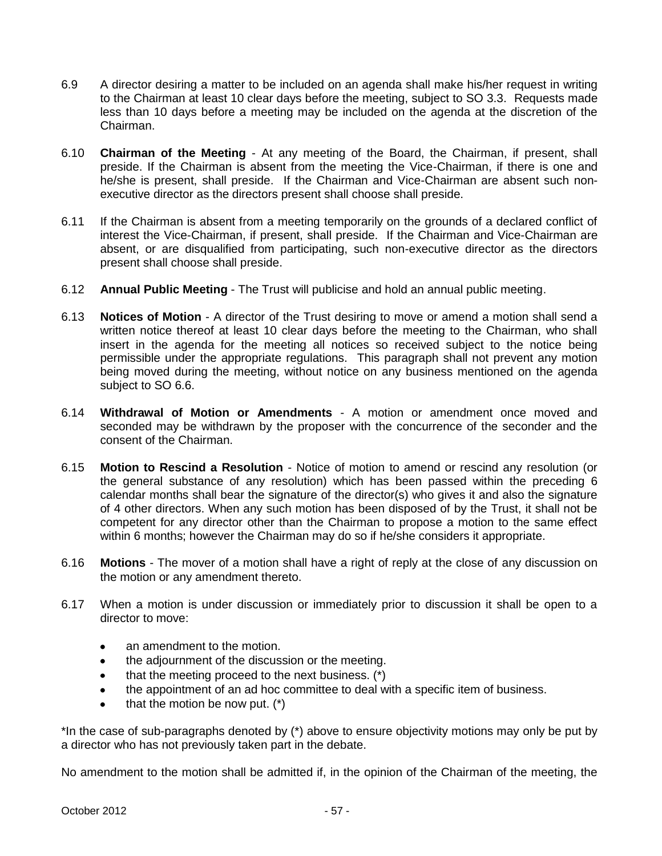- 6.9 A director desiring a matter to be included on an agenda shall make his/her request in writing to the Chairman at least 10 clear days before the meeting, subject to SO 3.3. Requests made less than 10 days before a meeting may be included on the agenda at the discretion of the Chairman.
- 6.10 **Chairman of the Meeting** At any meeting of the Board, the Chairman, if present, shall preside. If the Chairman is absent from the meeting the Vice-Chairman, if there is one and he/she is present, shall preside. If the Chairman and Vice-Chairman are absent such nonexecutive director as the directors present shall choose shall preside.
- 6.11 If the Chairman is absent from a meeting temporarily on the grounds of a declared conflict of interest the Vice-Chairman, if present, shall preside. If the Chairman and Vice-Chairman are absent, or are disqualified from participating, such non-executive director as the directors present shall choose shall preside.
- 6.12 **Annual Public Meeting** The Trust will publicise and hold an annual public meeting.
- 6.13 **Notices of Motion** A director of the Trust desiring to move or amend a motion shall send a written notice thereof at least 10 clear days before the meeting to the Chairman, who shall insert in the agenda for the meeting all notices so received subject to the notice being permissible under the appropriate regulations. This paragraph shall not prevent any motion being moved during the meeting, without notice on any business mentioned on the agenda subject to SO 6.6.
- 6.14 **Withdrawal of Motion or Amendments** A motion or amendment once moved and seconded may be withdrawn by the proposer with the concurrence of the seconder and the consent of the Chairman.
- 6.15 **Motion to Rescind a Resolution** Notice of motion to amend or rescind any resolution (or the general substance of any resolution) which has been passed within the preceding 6 calendar months shall bear the signature of the director(s) who gives it and also the signature of 4 other directors. When any such motion has been disposed of by the Trust, it shall not be competent for any director other than the Chairman to propose a motion to the same effect within 6 months; however the Chairman may do so if he/she considers it appropriate.
- 6.16 **Motions**  The mover of a motion shall have a right of reply at the close of any discussion on the motion or any amendment thereto.
- 6.17 When a motion is under discussion or immediately prior to discussion it shall be open to a director to move:
	- an amendment to the motion.  $\bullet$
	- the adjournment of the discussion or the meeting.  $\bullet$
	- that the meeting proceed to the next business. (\*)  $\bullet$
	- the appointment of an ad hoc committee to deal with a specific item of business.  $\bullet$
	- $\bullet$ that the motion be now put. (\*)

\*In the case of sub-paragraphs denoted by (\*) above to ensure objectivity motions may only be put by a director who has not previously taken part in the debate.

No amendment to the motion shall be admitted if, in the opinion of the Chairman of the meeting, the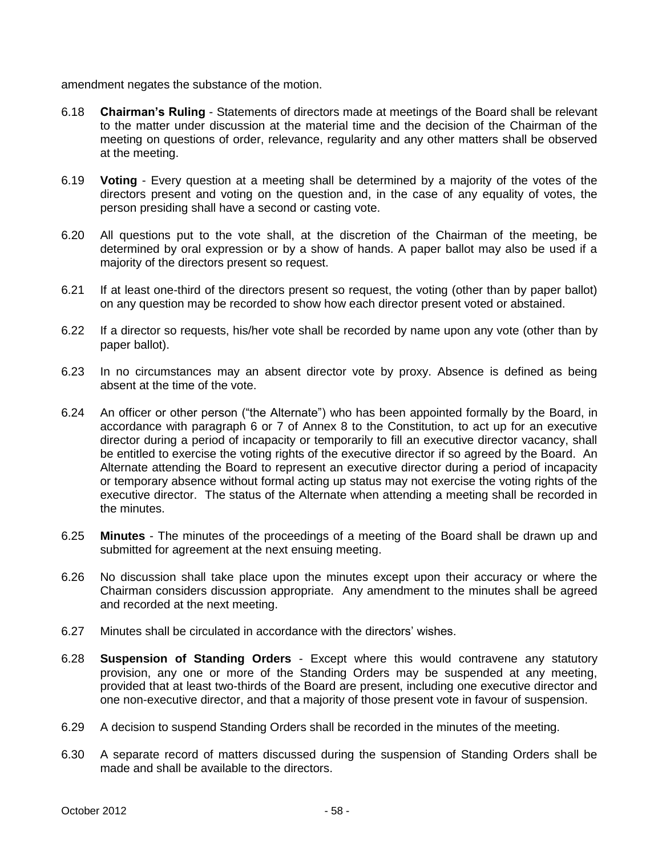amendment negates the substance of the motion.

- 6.18 **Chairman's Ruling** Statements of directors made at meetings of the Board shall be relevant to the matter under discussion at the material time and the decision of the Chairman of the meeting on questions of order, relevance, regularity and any other matters shall be observed at the meeting.
- 6.19 **Voting** Every question at a meeting shall be determined by a majority of the votes of the directors present and voting on the question and, in the case of any equality of votes, the person presiding shall have a second or casting vote.
- 6.20 All questions put to the vote shall, at the discretion of the Chairman of the meeting, be determined by oral expression or by a show of hands. A paper ballot may also be used if a majority of the directors present so request.
- 6.21 If at least one-third of the directors present so request, the voting (other than by paper ballot) on any question may be recorded to show how each director present voted or abstained.
- 6.22 If a director so requests, his/her vote shall be recorded by name upon any vote (other than by paper ballot).
- 6.23 In no circumstances may an absent director vote by proxy. Absence is defined as being absent at the time of the vote.
- 6.24 An officer or other person ("the Alternate") who has been appointed formally by the Board, in accordance with paragraph 6 or 7 of Annex 8 to the Constitution, to act up for an executive director during a period of incapacity or temporarily to fill an executive director vacancy, shall be entitled to exercise the voting rights of the executive director if so agreed by the Board. An Alternate attending the Board to represent an executive director during a period of incapacity or temporary absence without formal acting up status may not exercise the voting rights of the executive director. The status of the Alternate when attending a meeting shall be recorded in the minutes.
- 6.25 **Minutes** The minutes of the proceedings of a meeting of the Board shall be drawn up and submitted for agreement at the next ensuing meeting.
- 6.26 No discussion shall take place upon the minutes except upon their accuracy or where the Chairman considers discussion appropriate. Any amendment to the minutes shall be agreed and recorded at the next meeting.
- 6.27 Minutes shall be circulated in accordance with the directors' wishes.
- 6.28 **Suspension of Standing Orders** Except where this would contravene any statutory provision, any one or more of the Standing Orders may be suspended at any meeting, provided that at least two-thirds of the Board are present, including one executive director and one non-executive director, and that a majority of those present vote in favour of suspension.
- 6.29 A decision to suspend Standing Orders shall be recorded in the minutes of the meeting.
- 6.30 A separate record of matters discussed during the suspension of Standing Orders shall be made and shall be available to the directors.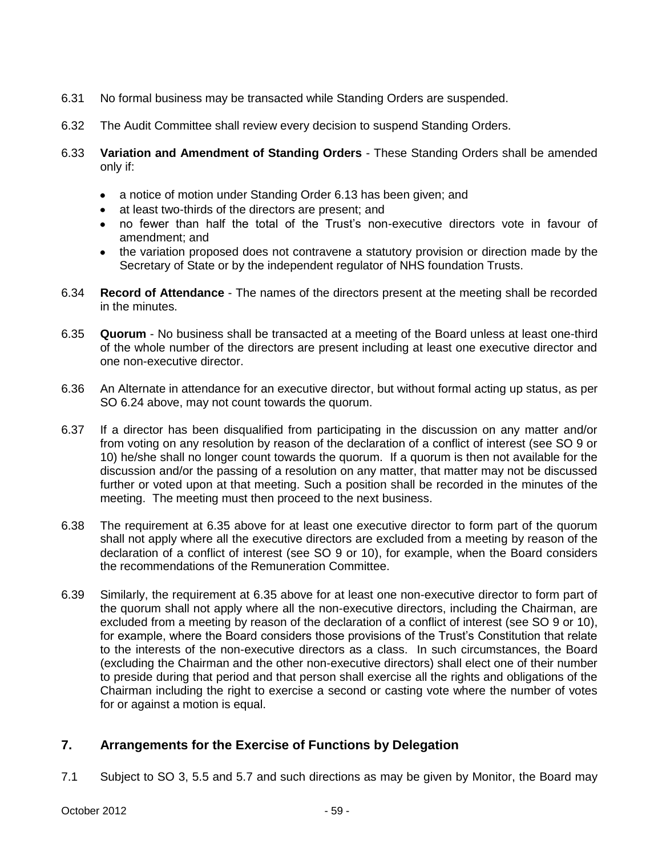- 6.31 No formal business may be transacted while Standing Orders are suspended.
- 6.32 The Audit Committee shall review every decision to suspend Standing Orders.
- 6.33 **Variation and Amendment of Standing Orders** These Standing Orders shall be amended only if:
	- a notice of motion under Standing Order 6.13 has been given; and
	- at least two-thirds of the directors are present; and
	- no fewer than half the total of the Trust's non-executive directors vote in favour of amendment; and
	- the variation proposed does not contravene a statutory provision or direction made by the Secretary of State or by the independent regulator of NHS foundation Trusts.
- 6.34 **Record of Attendance** The names of the directors present at the meeting shall be recorded in the minutes.
- 6.35 **Quorum** No business shall be transacted at a meeting of the Board unless at least one-third of the whole number of the directors are present including at least one executive director and one non-executive director.
- 6.36 An Alternate in attendance for an executive director, but without formal acting up status, as per SO 6.24 above, may not count towards the quorum.
- 6.37 If a director has been disqualified from participating in the discussion on any matter and/or from voting on any resolution by reason of the declaration of a conflict of interest (see SO 9 or 10) he/she shall no longer count towards the quorum. If a quorum is then not available for the discussion and/or the passing of a resolution on any matter, that matter may not be discussed further or voted upon at that meeting. Such a position shall be recorded in the minutes of the meeting. The meeting must then proceed to the next business.
- 6.38 The requirement at 6.35 above for at least one executive director to form part of the quorum shall not apply where all the executive directors are excluded from a meeting by reason of the declaration of a conflict of interest (see SO 9 or 10), for example, when the Board considers the recommendations of the Remuneration Committee.
- 6.39 Similarly, the requirement at 6.35 above for at least one non-executive director to form part of the quorum shall not apply where all the non-executive directors, including the Chairman, are excluded from a meeting by reason of the declaration of a conflict of interest (see SO 9 or 10), for example, where the Board considers those provisions of the Trust's Constitution that relate to the interests of the non-executive directors as a class. In such circumstances, the Board (excluding the Chairman and the other non-executive directors) shall elect one of their number to preside during that period and that person shall exercise all the rights and obligations of the Chairman including the right to exercise a second or casting vote where the number of votes for or against a motion is equal.

# **7. Arrangements for the Exercise of Functions by Delegation**

7.1 Subject to SO 3, 5.5 and 5.7 and such directions as may be given by Monitor, the Board may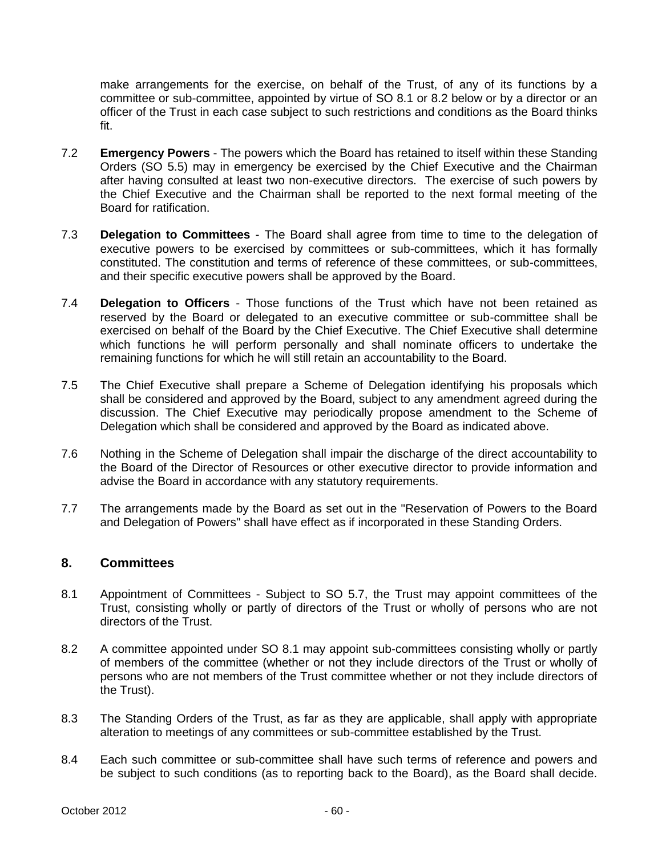make arrangements for the exercise, on behalf of the Trust, of any of its functions by a committee or sub-committee, appointed by virtue of SO 8.1 or 8.2 below or by a director or an officer of the Trust in each case subject to such restrictions and conditions as the Board thinks fit.

- 7.2 **Emergency Powers** The powers which the Board has retained to itself within these Standing Orders (SO 5.5) may in emergency be exercised by the Chief Executive and the Chairman after having consulted at least two non-executive directors. The exercise of such powers by the Chief Executive and the Chairman shall be reported to the next formal meeting of the Board for ratification.
- 7.3 **Delegation to Committees** The Board shall agree from time to time to the delegation of executive powers to be exercised by committees or sub-committees, which it has formally constituted. The constitution and terms of reference of these committees, or sub-committees, and their specific executive powers shall be approved by the Board.
- 7.4 **Delegation to Officers** Those functions of the Trust which have not been retained as reserved by the Board or delegated to an executive committee or sub-committee shall be exercised on behalf of the Board by the Chief Executive. The Chief Executive shall determine which functions he will perform personally and shall nominate officers to undertake the remaining functions for which he will still retain an accountability to the Board.
- 7.5 The Chief Executive shall prepare a Scheme of Delegation identifying his proposals which shall be considered and approved by the Board, subject to any amendment agreed during the discussion. The Chief Executive may periodically propose amendment to the Scheme of Delegation which shall be considered and approved by the Board as indicated above.
- 7.6 Nothing in the Scheme of Delegation shall impair the discharge of the direct accountability to the Board of the Director of Resources or other executive director to provide information and advise the Board in accordance with any statutory requirements.
- 7.7 The arrangements made by the Board as set out in the "Reservation of Powers to the Board and Delegation of Powers" shall have effect as if incorporated in these Standing Orders.

## **8. Committees**

- 8.1 Appointment of Committees Subject to SO 5.7, the Trust may appoint committees of the Trust, consisting wholly or partly of directors of the Trust or wholly of persons who are not directors of the Trust.
- 8.2 A committee appointed under SO 8.1 may appoint sub-committees consisting wholly or partly of members of the committee (whether or not they include directors of the Trust or wholly of persons who are not members of the Trust committee whether or not they include directors of the Trust).
- 8.3 The Standing Orders of the Trust, as far as they are applicable, shall apply with appropriate alteration to meetings of any committees or sub-committee established by the Trust.
- 8.4 Each such committee or sub-committee shall have such terms of reference and powers and be subject to such conditions (as to reporting back to the Board), as the Board shall decide.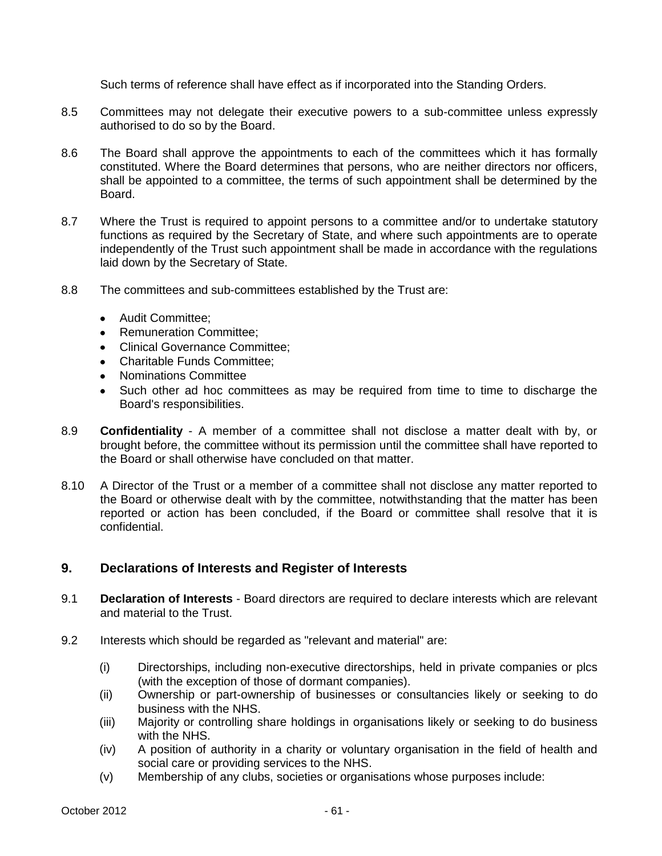Such terms of reference shall have effect as if incorporated into the Standing Orders.

- 8.5 Committees may not delegate their executive powers to a sub-committee unless expressly authorised to do so by the Board.
- 8.6 The Board shall approve the appointments to each of the committees which it has formally constituted. Where the Board determines that persons, who are neither directors nor officers, shall be appointed to a committee, the terms of such appointment shall be determined by the Board.
- 8.7 Where the Trust is required to appoint persons to a committee and/or to undertake statutory functions as required by the Secretary of State, and where such appointments are to operate independently of the Trust such appointment shall be made in accordance with the regulations laid down by the Secretary of State.
- 8.8 The committees and sub-committees established by the Trust are:
	- Audit Committee:
	- Remuneration Committee;
	- Clinical Governance Committee;
	- Charitable Funds Committee;
	- Nominations Committee
	- Such other ad hoc committees as may be required from time to time to discharge the Board's responsibilities.
- 8.9 **Confidentiality**  A member of a committee shall not disclose a matter dealt with by, or brought before, the committee without its permission until the committee shall have reported to the Board or shall otherwise have concluded on that matter.
- 8.10 A Director of the Trust or a member of a committee shall not disclose any matter reported to the Board or otherwise dealt with by the committee, notwithstanding that the matter has been reported or action has been concluded, if the Board or committee shall resolve that it is confidential.

## **9. Declarations of Interests and Register of Interests**

- 9.1 **Declaration of Interests** Board directors are required to declare interests which are relevant and material to the Trust.
- 9.2 Interests which should be regarded as "relevant and material" are:
	- (i) Directorships, including non-executive directorships, held in private companies or plcs (with the exception of those of dormant companies).
	- (ii) Ownership or part-ownership of businesses or consultancies likely or seeking to do business with the NHS.
	- (iii) Majority or controlling share holdings in organisations likely or seeking to do business with the NHS.
	- (iv) A position of authority in a charity or voluntary organisation in the field of health and social care or providing services to the NHS.
	- (v) Membership of any clubs, societies or organisations whose purposes include: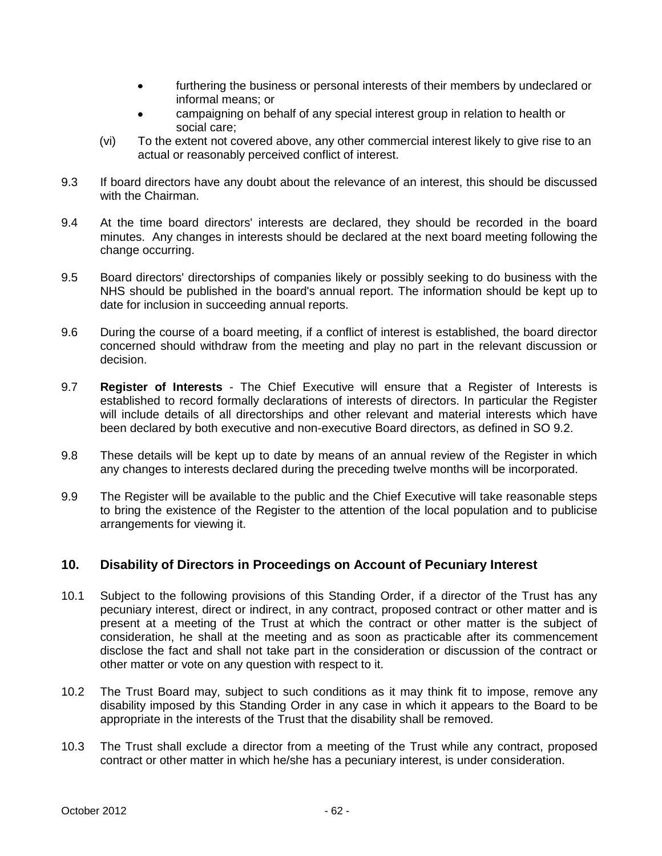- furthering the business or personal interests of their members by undeclared or informal means; or
- campaigning on behalf of any special interest group in relation to health or social care;
- (vi) To the extent not covered above, any other commercial interest likely to give rise to an actual or reasonably perceived conflict of interest.
- 9.3 If board directors have any doubt about the relevance of an interest, this should be discussed with the Chairman.
- 9.4 At the time board directors' interests are declared, they should be recorded in the board minutes. Any changes in interests should be declared at the next board meeting following the change occurring.
- 9.5 Board directors' directorships of companies likely or possibly seeking to do business with the NHS should be published in the board's annual report. The information should be kept up to date for inclusion in succeeding annual reports.
- 9.6 During the course of a board meeting, if a conflict of interest is established, the board director concerned should withdraw from the meeting and play no part in the relevant discussion or decision.
- 9.7 **Register of Interests** The Chief Executive will ensure that a Register of Interests is established to record formally declarations of interests of directors. In particular the Register will include details of all directorships and other relevant and material interests which have been declared by both executive and non-executive Board directors, as defined in SO 9.2.
- 9.8 These details will be kept up to date by means of an annual review of the Register in which any changes to interests declared during the preceding twelve months will be incorporated.
- 9.9 The Register will be available to the public and the Chief Executive will take reasonable steps to bring the existence of the Register to the attention of the local population and to publicise arrangements for viewing it.

# **10. Disability of Directors in Proceedings on Account of Pecuniary Interest**

- 10.1 Subject to the following provisions of this Standing Order, if a director of the Trust has any pecuniary interest, direct or indirect, in any contract, proposed contract or other matter and is present at a meeting of the Trust at which the contract or other matter is the subject of consideration, he shall at the meeting and as soon as practicable after its commencement disclose the fact and shall not take part in the consideration or discussion of the contract or other matter or vote on any question with respect to it.
- 10.2 The Trust Board may, subject to such conditions as it may think fit to impose, remove any disability imposed by this Standing Order in any case in which it appears to the Board to be appropriate in the interests of the Trust that the disability shall be removed.
- 10.3 The Trust shall exclude a director from a meeting of the Trust while any contract, proposed contract or other matter in which he/she has a pecuniary interest, is under consideration.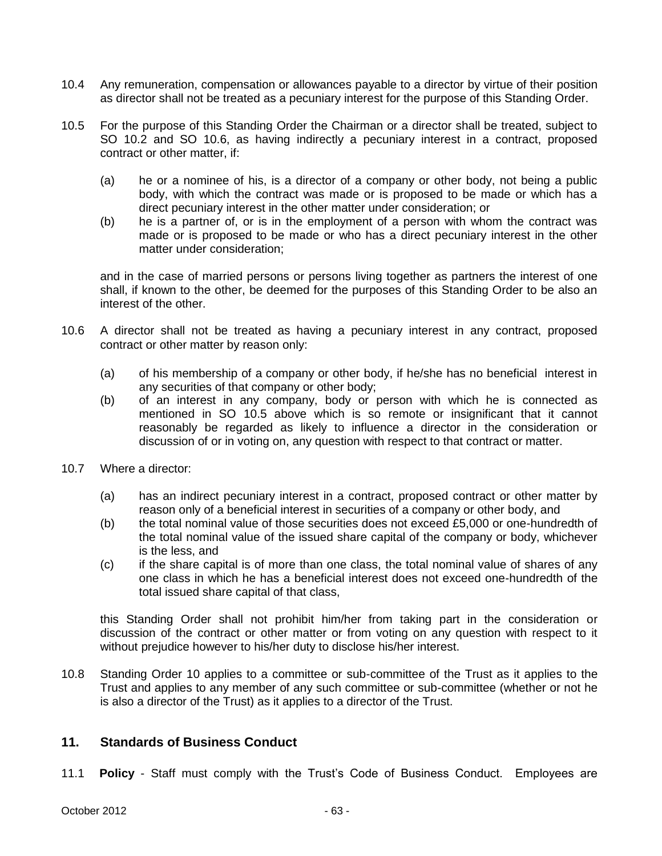- 10.4 Any remuneration, compensation or allowances payable to a director by virtue of their position as director shall not be treated as a pecuniary interest for the purpose of this Standing Order.
- 10.5 For the purpose of this Standing Order the Chairman or a director shall be treated, subject to SO 10.2 and SO 10.6, as having indirectly a pecuniary interest in a contract, proposed contract or other matter, if:
	- (a) he or a nominee of his, is a director of a company or other body, not being a public body, with which the contract was made or is proposed to be made or which has a direct pecuniary interest in the other matter under consideration; or
	- (b) he is a partner of, or is in the employment of a person with whom the contract was made or is proposed to be made or who has a direct pecuniary interest in the other matter under consideration;

and in the case of married persons or persons living together as partners the interest of one shall, if known to the other, be deemed for the purposes of this Standing Order to be also an interest of the other.

- 10.6 A director shall not be treated as having a pecuniary interest in any contract, proposed contract or other matter by reason only:
	- (a) of his membership of a company or other body, if he/she has no beneficial interest in any securities of that company or other body;
	- (b) of an interest in any company, body or person with which he is connected as mentioned in SO 10.5 above which is so remote or insignificant that it cannot reasonably be regarded as likely to influence a director in the consideration or discussion of or in voting on, any question with respect to that contract or matter.
- 10.7 Where a director:
	- (a) has an indirect pecuniary interest in a contract, proposed contract or other matter by reason only of a beneficial interest in securities of a company or other body, and
	- (b) the total nominal value of those securities does not exceed £5,000 or one-hundredth of the total nominal value of the issued share capital of the company or body, whichever is the less, and
	- (c) if the share capital is of more than one class, the total nominal value of shares of any one class in which he has a beneficial interest does not exceed one-hundredth of the total issued share capital of that class,

this Standing Order shall not prohibit him/her from taking part in the consideration or discussion of the contract or other matter or from voting on any question with respect to it without prejudice however to his/her duty to disclose his/her interest.

10.8 Standing Order 10 applies to a committee or sub-committee of the Trust as it applies to the Trust and applies to any member of any such committee or sub-committee (whether or not he is also a director of the Trust) as it applies to a director of the Trust.

# **11. Standards of Business Conduct**

11.1 **Policy** - Staff must comply with the Trust's Code of Business Conduct. Employees are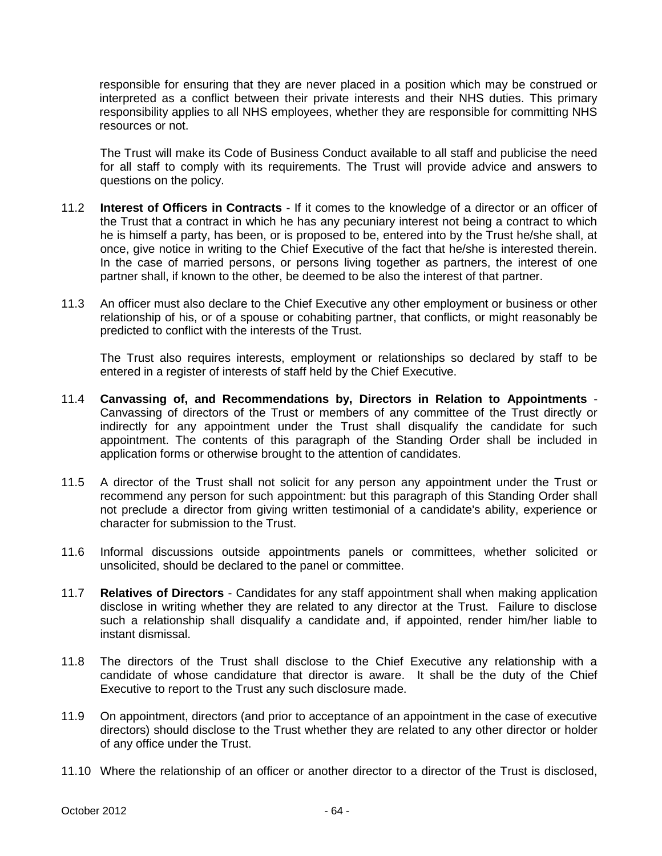responsible for ensuring that they are never placed in a position which may be construed or interpreted as a conflict between their private interests and their NHS duties. This primary responsibility applies to all NHS employees, whether they are responsible for committing NHS resources or not.

The Trust will make its Code of Business Conduct available to all staff and publicise the need for all staff to comply with its requirements. The Trust will provide advice and answers to questions on the policy.

- 11.2 **Interest of Officers in Contracts** If it comes to the knowledge of a director or an officer of the Trust that a contract in which he has any pecuniary interest not being a contract to which he is himself a party, has been, or is proposed to be, entered into by the Trust he/she shall, at once, give notice in writing to the Chief Executive of the fact that he/she is interested therein. In the case of married persons, or persons living together as partners, the interest of one partner shall, if known to the other, be deemed to be also the interest of that partner.
- 11.3 An officer must also declare to the Chief Executive any other employment or business or other relationship of his, or of a spouse or cohabiting partner, that conflicts, or might reasonably be predicted to conflict with the interests of the Trust.

The Trust also requires interests, employment or relationships so declared by staff to be entered in a register of interests of staff held by the Chief Executive.

- 11.4 **Canvassing of, and Recommendations by, Directors in Relation to Appointments** Canvassing of directors of the Trust or members of any committee of the Trust directly or indirectly for any appointment under the Trust shall disqualify the candidate for such appointment. The contents of this paragraph of the Standing Order shall be included in application forms or otherwise brought to the attention of candidates.
- 11.5 A director of the Trust shall not solicit for any person any appointment under the Trust or recommend any person for such appointment: but this paragraph of this Standing Order shall not preclude a director from giving written testimonial of a candidate's ability, experience or character for submission to the Trust.
- 11.6 Informal discussions outside appointments panels or committees, whether solicited or unsolicited, should be declared to the panel or committee.
- 11.7 **Relatives of Directors**  Candidates for any staff appointment shall when making application disclose in writing whether they are related to any director at the Trust. Failure to disclose such a relationship shall disqualify a candidate and, if appointed, render him/her liable to instant dismissal.
- 11.8 The directors of the Trust shall disclose to the Chief Executive any relationship with a candidate of whose candidature that director is aware. It shall be the duty of the Chief Executive to report to the Trust any such disclosure made.
- 11.9 On appointment, directors (and prior to acceptance of an appointment in the case of executive directors) should disclose to the Trust whether they are related to any other director or holder of any office under the Trust.
- 11.10 Where the relationship of an officer or another director to a director of the Trust is disclosed,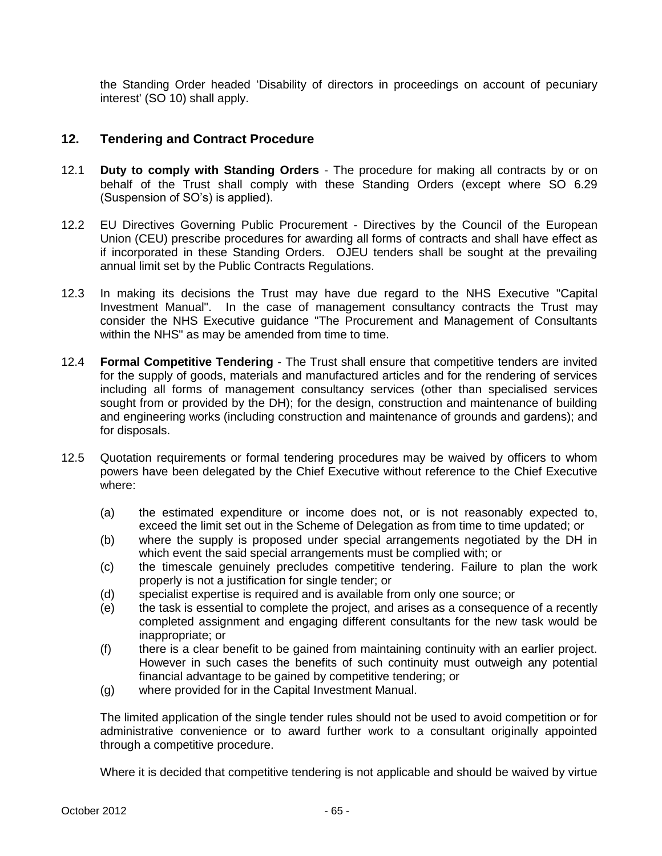the Standing Order headed 'Disability of directors in proceedings on account of pecuniary interest' (SO 10) shall apply.

## **12. Tendering and Contract Procedure**

- 12.1 **Duty to comply with Standing Orders**  The procedure for making all contracts by or on behalf of the Trust shall comply with these Standing Orders (except where SO 6.29 (Suspension of SO's) is applied).
- 12.2 EU Directives Governing Public Procurement Directives by the Council of the European Union (CEU) prescribe procedures for awarding all forms of contracts and shall have effect as if incorporated in these Standing Orders. OJEU tenders shall be sought at the prevailing annual limit set by the Public Contracts Regulations.
- 12.3 In making its decisions the Trust may have due regard to the NHS Executive "Capital Investment Manual". In the case of management consultancy contracts the Trust may consider the NHS Executive guidance "The Procurement and Management of Consultants within the NHS" as may be amended from time to time.
- 12.4 **Formal Competitive Tendering** The Trust shall ensure that competitive tenders are invited for the supply of goods, materials and manufactured articles and for the rendering of services including all forms of management consultancy services (other than specialised services sought from or provided by the DH); for the design, construction and maintenance of building and engineering works (including construction and maintenance of grounds and gardens); and for disposals.
- 12.5 Quotation requirements or formal tendering procedures may be waived by officers to whom powers have been delegated by the Chief Executive without reference to the Chief Executive where:
	- (a) the estimated expenditure or income does not, or is not reasonably expected to, exceed the limit set out in the Scheme of Delegation as from time to time updated; or
	- (b) where the supply is proposed under special arrangements negotiated by the DH in which event the said special arrangements must be complied with; or
	- (c) the timescale genuinely precludes competitive tendering. Failure to plan the work properly is not a justification for single tender; or
	- (d) specialist expertise is required and is available from only one source; or
	- (e) the task is essential to complete the project, and arises as a consequence of a recently completed assignment and engaging different consultants for the new task would be inappropriate; or
	- (f) there is a clear benefit to be gained from maintaining continuity with an earlier project. However in such cases the benefits of such continuity must outweigh any potential financial advantage to be gained by competitive tendering; or
	- (g) where provided for in the Capital Investment Manual.

The limited application of the single tender rules should not be used to avoid competition or for administrative convenience or to award further work to a consultant originally appointed through a competitive procedure.

Where it is decided that competitive tendering is not applicable and should be waived by virtue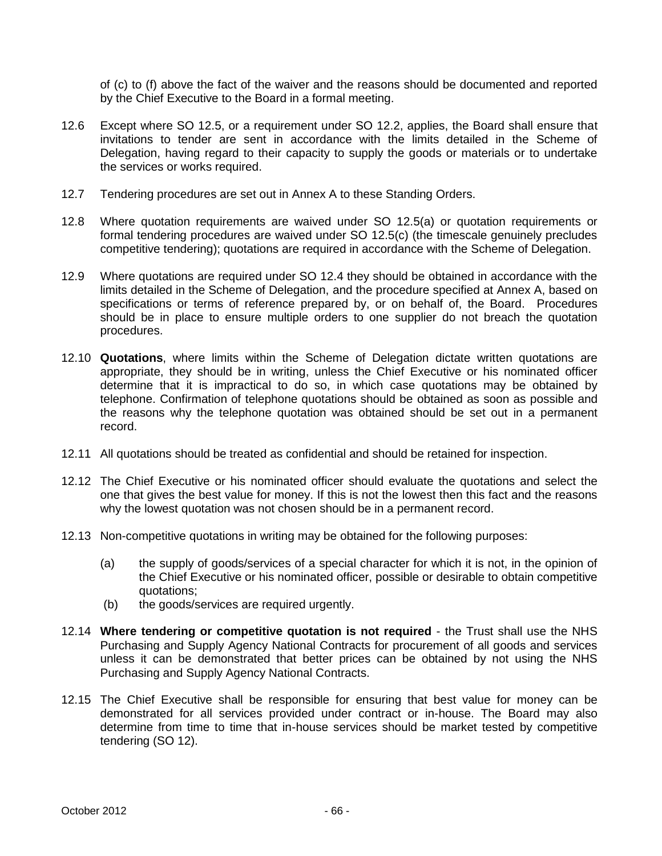of (c) to (f) above the fact of the waiver and the reasons should be documented and reported by the Chief Executive to the Board in a formal meeting.

- 12.6 Except where SO 12.5, or a requirement under SO 12.2, applies, the Board shall ensure that invitations to tender are sent in accordance with the limits detailed in the Scheme of Delegation, having regard to their capacity to supply the goods or materials or to undertake the services or works required.
- 12.7 Tendering procedures are set out in Annex A to these Standing Orders.
- 12.8 Where quotation requirements are waived under SO 12.5(a) or quotation requirements or formal tendering procedures are waived under SO 12.5(c) (the timescale genuinely precludes competitive tendering); quotations are required in accordance with the Scheme of Delegation.
- 12.9 Where quotations are required under SO 12.4 they should be obtained in accordance with the limits detailed in the Scheme of Delegation, and the procedure specified at Annex A, based on specifications or terms of reference prepared by, or on behalf of, the Board. Procedures should be in place to ensure multiple orders to one supplier do not breach the quotation procedures.
- 12.10 **Quotations**, where limits within the Scheme of Delegation dictate written quotations are appropriate, they should be in writing, unless the Chief Executive or his nominated officer determine that it is impractical to do so, in which case quotations may be obtained by telephone. Confirmation of telephone quotations should be obtained as soon as possible and the reasons why the telephone quotation was obtained should be set out in a permanent record.
- 12.11 All quotations should be treated as confidential and should be retained for inspection.
- 12.12 The Chief Executive or his nominated officer should evaluate the quotations and select the one that gives the best value for money. If this is not the lowest then this fact and the reasons why the lowest quotation was not chosen should be in a permanent record.
- 12.13 Non-competitive quotations in writing may be obtained for the following purposes:
	- (a) the supply of goods/services of a special character for which it is not, in the opinion of the Chief Executive or his nominated officer, possible or desirable to obtain competitive quotations;
	- (b) the goods/services are required urgently.
- 12.14 **Where tendering or competitive quotation is not required** the Trust shall use the NHS Purchasing and Supply Agency National Contracts for procurement of all goods and services unless it can be demonstrated that better prices can be obtained by not using the NHS Purchasing and Supply Agency National Contracts.
- 12.15 The Chief Executive shall be responsible for ensuring that best value for money can be demonstrated for all services provided under contract or in-house. The Board may also determine from time to time that in-house services should be market tested by competitive tendering (SO 12).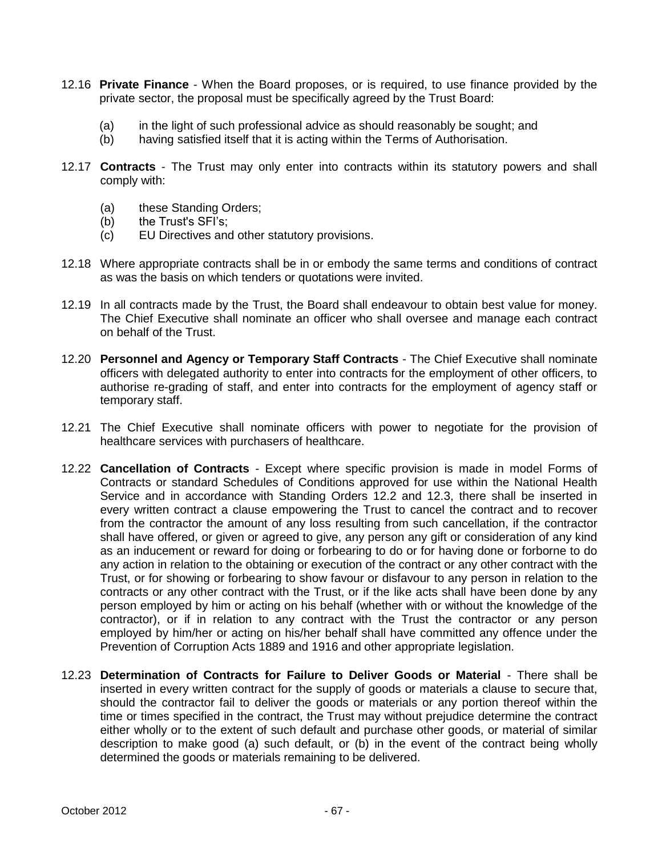- 12.16 **Private Finance** When the Board proposes, or is required, to use finance provided by the private sector, the proposal must be specifically agreed by the Trust Board:
	- (a) in the light of such professional advice as should reasonably be sought; and
	- (b) having satisfied itself that it is acting within the Terms of Authorisation.
- 12.17 **Contracts** The Trust may only enter into contracts within its statutory powers and shall comply with:
	- (a) these Standing Orders;
	- (b) the Trust's SFI's;
	- (c) EU Directives and other statutory provisions.
- 12.18 Where appropriate contracts shall be in or embody the same terms and conditions of contract as was the basis on which tenders or quotations were invited.
- 12.19 In all contracts made by the Trust, the Board shall endeavour to obtain best value for money. The Chief Executive shall nominate an officer who shall oversee and manage each contract on behalf of the Trust.
- 12.20 **Personnel and Agency or Temporary Staff Contracts** The Chief Executive shall nominate officers with delegated authority to enter into contracts for the employment of other officers, to authorise re-grading of staff, and enter into contracts for the employment of agency staff or temporary staff.
- 12.21 The Chief Executive shall nominate officers with power to negotiate for the provision of healthcare services with purchasers of healthcare.
- 12.22 **Cancellation of Contracts** Except where specific provision is made in model Forms of Contracts or standard Schedules of Conditions approved for use within the National Health Service and in accordance with Standing Orders 12.2 and 12.3, there shall be inserted in every written contract a clause empowering the Trust to cancel the contract and to recover from the contractor the amount of any loss resulting from such cancellation, if the contractor shall have offered, or given or agreed to give, any person any gift or consideration of any kind as an inducement or reward for doing or forbearing to do or for having done or forborne to do any action in relation to the obtaining or execution of the contract or any other contract with the Trust, or for showing or forbearing to show favour or disfavour to any person in relation to the contracts or any other contract with the Trust, or if the like acts shall have been done by any person employed by him or acting on his behalf (whether with or without the knowledge of the contractor), or if in relation to any contract with the Trust the contractor or any person employed by him/her or acting on his/her behalf shall have committed any offence under the Prevention of Corruption Acts 1889 and 1916 and other appropriate legislation.
- 12.23 **Determination of Contracts for Failure to Deliver Goods or Material** There shall be inserted in every written contract for the supply of goods or materials a clause to secure that, should the contractor fail to deliver the goods or materials or any portion thereof within the time or times specified in the contract, the Trust may without prejudice determine the contract either wholly or to the extent of such default and purchase other goods, or material of similar description to make good (a) such default, or (b) in the event of the contract being wholly determined the goods or materials remaining to be delivered.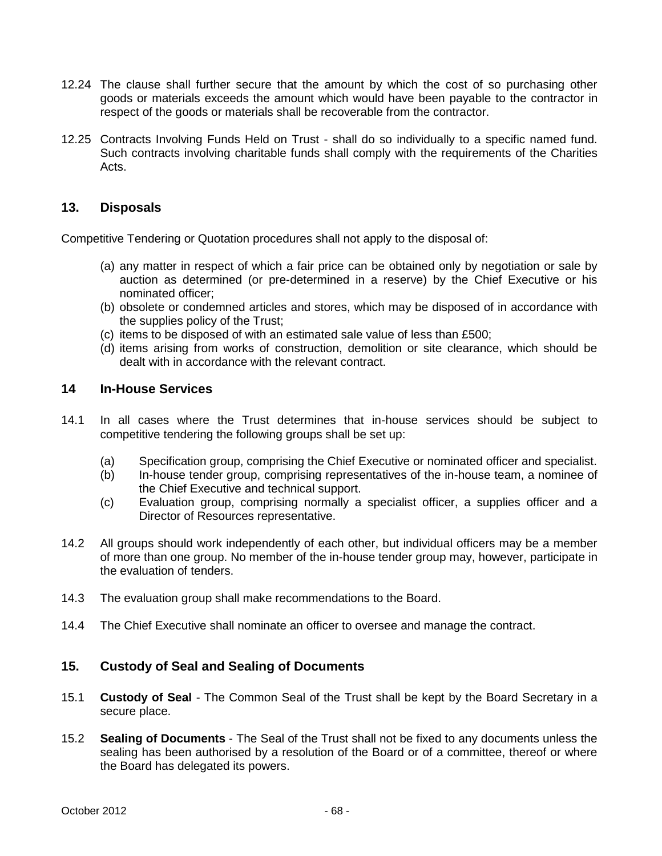- 12.24 The clause shall further secure that the amount by which the cost of so purchasing other goods or materials exceeds the amount which would have been payable to the contractor in respect of the goods or materials shall be recoverable from the contractor.
- 12.25 Contracts Involving Funds Held on Trust shall do so individually to a specific named fund. Such contracts involving charitable funds shall comply with the requirements of the Charities Acts.

# **13. Disposals**

Competitive Tendering or Quotation procedures shall not apply to the disposal of:

- (a) any matter in respect of which a fair price can be obtained only by negotiation or sale by auction as determined (or pre-determined in a reserve) by the Chief Executive or his nominated officer;
- (b) obsolete or condemned articles and stores, which may be disposed of in accordance with the supplies policy of the Trust;
- (c) items to be disposed of with an estimated sale value of less than £500;
- (d) items arising from works of construction, demolition or site clearance, which should be dealt with in accordance with the relevant contract.

## **14 In-House Services**

- 14.1 In all cases where the Trust determines that in-house services should be subject to competitive tendering the following groups shall be set up:
	- (a) Specification group, comprising the Chief Executive or nominated officer and specialist.
	- (b) In-house tender group, comprising representatives of the in-house team, a nominee of the Chief Executive and technical support.
	- (c) Evaluation group, comprising normally a specialist officer, a supplies officer and a Director of Resources representative.
- 14.2 All groups should work independently of each other, but individual officers may be a member of more than one group. No member of the in-house tender group may, however, participate in the evaluation of tenders.
- 14.3 The evaluation group shall make recommendations to the Board.
- 14.4 The Chief Executive shall nominate an officer to oversee and manage the contract.

# **15. Custody of Seal and Sealing of Documents**

- 15.1 **Custody of Seal** The Common Seal of the Trust shall be kept by the Board Secretary in a secure place.
- 15.2 **Sealing of Documents** The Seal of the Trust shall not be fixed to any documents unless the sealing has been authorised by a resolution of the Board or of a committee, thereof or where the Board has delegated its powers.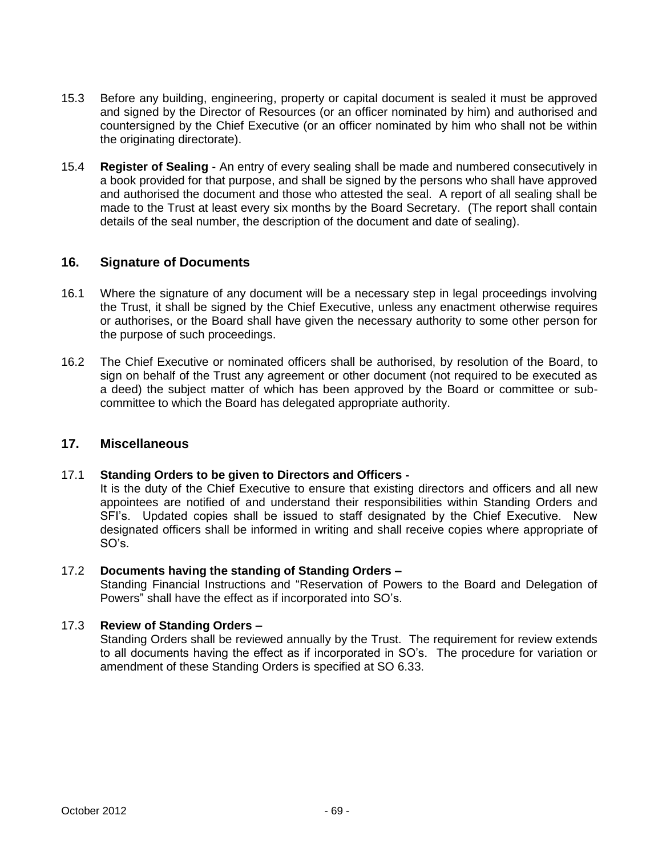- 15.3 Before any building, engineering, property or capital document is sealed it must be approved and signed by the Director of Resources (or an officer nominated by him) and authorised and countersigned by the Chief Executive (or an officer nominated by him who shall not be within the originating directorate).
- 15.4 **Register of Sealing** An entry of every sealing shall be made and numbered consecutively in a book provided for that purpose, and shall be signed by the persons who shall have approved and authorised the document and those who attested the seal. A report of all sealing shall be made to the Trust at least every six months by the Board Secretary. (The report shall contain details of the seal number, the description of the document and date of sealing).

## **16. Signature of Documents**

- 16.1 Where the signature of any document will be a necessary step in legal proceedings involving the Trust, it shall be signed by the Chief Executive, unless any enactment otherwise requires or authorises, or the Board shall have given the necessary authority to some other person for the purpose of such proceedings.
- 16.2 The Chief Executive or nominated officers shall be authorised, by resolution of the Board, to sign on behalf of the Trust any agreement or other document (not required to be executed as a deed) the subject matter of which has been approved by the Board or committee or subcommittee to which the Board has delegated appropriate authority.

## **17. Miscellaneous**

#### 17.1 **Standing Orders to be given to Directors and Officers -**

It is the duty of the Chief Executive to ensure that existing directors and officers and all new appointees are notified of and understand their responsibilities within Standing Orders and SFI's. Updated copies shall be issued to staff designated by the Chief Executive. New designated officers shall be informed in writing and shall receive copies where appropriate of SO's.

## 17.2 **Documents having the standing of Standing Orders –**

Standing Financial Instructions and "Reservation of Powers to the Board and Delegation of Powers" shall have the effect as if incorporated into SO's.

#### 17.3 **Review of Standing Orders –**

Standing Orders shall be reviewed annually by the Trust. The requirement for review extends to all documents having the effect as if incorporated in SO's. The procedure for variation or amendment of these Standing Orders is specified at SO 6.33.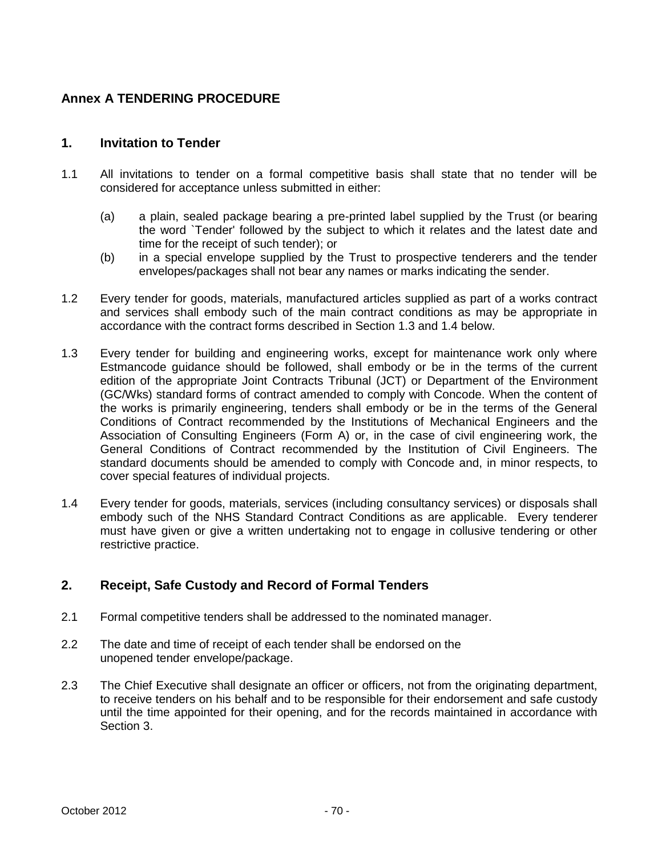# **Annex A TENDERING PROCEDURE**

# **1. Invitation to Tender**

- 1.1 All invitations to tender on a formal competitive basis shall state that no tender will be considered for acceptance unless submitted in either:
	- (a) a plain, sealed package bearing a pre-printed label supplied by the Trust (or bearing the word `Tender' followed by the subject to which it relates and the latest date and time for the receipt of such tender); or
	- (b) in a special envelope supplied by the Trust to prospective tenderers and the tender envelopes/packages shall not bear any names or marks indicating the sender.
- 1.2 Every tender for goods, materials, manufactured articles supplied as part of a works contract and services shall embody such of the main contract conditions as may be appropriate in accordance with the contract forms described in Section 1.3 and 1.4 below.
- 1.3 Every tender for building and engineering works, except for maintenance work only where Estmancode guidance should be followed, shall embody or be in the terms of the current edition of the appropriate Joint Contracts Tribunal (JCT) or Department of the Environment (GC/Wks) standard forms of contract amended to comply with Concode. When the content of the works is primarily engineering, tenders shall embody or be in the terms of the General Conditions of Contract recommended by the Institutions of Mechanical Engineers and the Association of Consulting Engineers (Form A) or, in the case of civil engineering work, the General Conditions of Contract recommended by the Institution of Civil Engineers. The standard documents should be amended to comply with Concode and, in minor respects, to cover special features of individual projects.
- 1.4 Every tender for goods, materials, services (including consultancy services) or disposals shall embody such of the NHS Standard Contract Conditions as are applicable. Every tenderer must have given or give a written undertaking not to engage in collusive tendering or other restrictive practice.

# **2. Receipt, Safe Custody and Record of Formal Tenders**

- 2.1 Formal competitive tenders shall be addressed to the nominated manager.
- 2.2 The date and time of receipt of each tender shall be endorsed on the unopened tender envelope/package.
- 2.3 The Chief Executive shall designate an officer or officers, not from the originating department, to receive tenders on his behalf and to be responsible for their endorsement and safe custody until the time appointed for their opening, and for the records maintained in accordance with Section 3.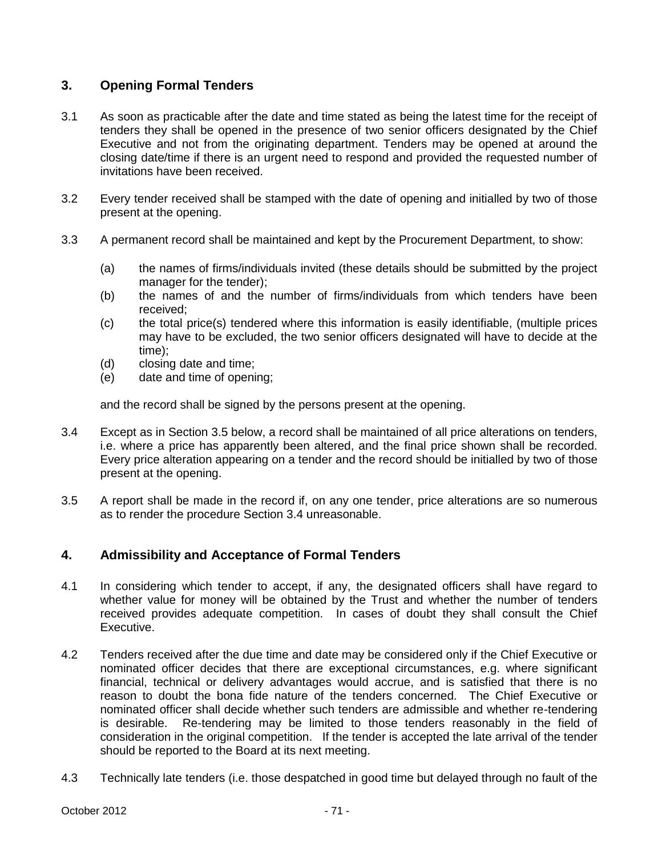# **3. Opening Formal Tenders**

- 3.1 As soon as practicable after the date and time stated as being the latest time for the receipt of tenders they shall be opened in the presence of two senior officers designated by the Chief Executive and not from the originating department. Tenders may be opened at around the closing date/time if there is an urgent need to respond and provided the requested number of invitations have been received.
- 3.2 Every tender received shall be stamped with the date of opening and initialled by two of those present at the opening.
- 3.3 A permanent record shall be maintained and kept by the Procurement Department, to show:
	- (a) the names of firms/individuals invited (these details should be submitted by the project manager for the tender);
	- (b) the names of and the number of firms/individuals from which tenders have been received;
	- (c) the total price(s) tendered where this information is easily identifiable, (multiple prices may have to be excluded, the two senior officers designated will have to decide at the time);
	- (d) closing date and time;
	- (e) date and time of opening;

and the record shall be signed by the persons present at the opening.

- 3.4 Except as in Section 3.5 below, a record shall be maintained of all price alterations on tenders, i.e. where a price has apparently been altered, and the final price shown shall be recorded. Every price alteration appearing on a tender and the record should be initialled by two of those present at the opening.
- 3.5 A report shall be made in the record if, on any one tender, price alterations are so numerous as to render the procedure Section 3.4 unreasonable.

# **4. Admissibility and Acceptance of Formal Tenders**

- 4.1 In considering which tender to accept, if any, the designated officers shall have regard to whether value for money will be obtained by the Trust and whether the number of tenders received provides adequate competition. In cases of doubt they shall consult the Chief Executive.
- 4.2 Tenders received after the due time and date may be considered only if the Chief Executive or nominated officer decides that there are exceptional circumstances, e.g. where significant financial, technical or delivery advantages would accrue, and is satisfied that there is no reason to doubt the bona fide nature of the tenders concerned. The Chief Executive or nominated officer shall decide whether such tenders are admissible and whether re-tendering is desirable. Re-tendering may be limited to those tenders reasonably in the field of consideration in the original competition. If the tender is accepted the late arrival of the tender should be reported to the Board at its next meeting.
- 4.3 Technically late tenders (i.e. those despatched in good time but delayed through no fault of the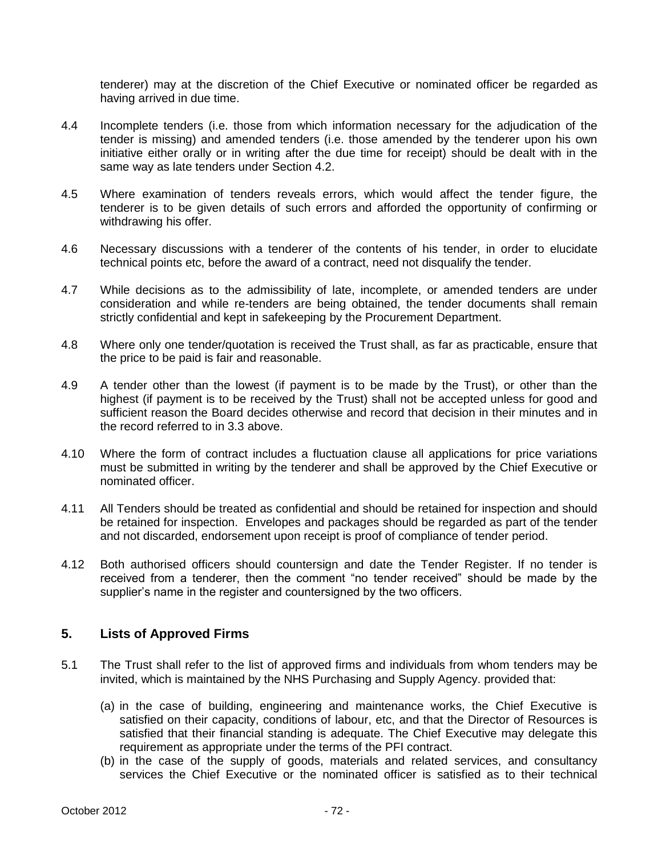tenderer) may at the discretion of the Chief Executive or nominated officer be regarded as having arrived in due time.

- 4.4 Incomplete tenders (i.e. those from which information necessary for the adjudication of the tender is missing) and amended tenders (i.e. those amended by the tenderer upon his own initiative either orally or in writing after the due time for receipt) should be dealt with in the same way as late tenders under Section 4.2.
- 4.5 Where examination of tenders reveals errors, which would affect the tender figure, the tenderer is to be given details of such errors and afforded the opportunity of confirming or withdrawing his offer.
- 4.6 Necessary discussions with a tenderer of the contents of his tender, in order to elucidate technical points etc, before the award of a contract, need not disqualify the tender.
- 4.7 While decisions as to the admissibility of late, incomplete, or amended tenders are under consideration and while re-tenders are being obtained, the tender documents shall remain strictly confidential and kept in safekeeping by the Procurement Department.
- 4.8 Where only one tender/quotation is received the Trust shall, as far as practicable, ensure that the price to be paid is fair and reasonable.
- 4.9 A tender other than the lowest (if payment is to be made by the Trust), or other than the highest (if payment is to be received by the Trust) shall not be accepted unless for good and sufficient reason the Board decides otherwise and record that decision in their minutes and in the record referred to in 3.3 above.
- 4.10 Where the form of contract includes a fluctuation clause all applications for price variations must be submitted in writing by the tenderer and shall be approved by the Chief Executive or nominated officer.
- 4.11 All Tenders should be treated as confidential and should be retained for inspection and should be retained for inspection. Envelopes and packages should be regarded as part of the tender and not discarded, endorsement upon receipt is proof of compliance of tender period.
- 4.12 Both authorised officers should countersign and date the Tender Register. If no tender is received from a tenderer, then the comment "no tender received" should be made by the supplier's name in the register and countersigned by the two officers.

## **5. Lists of Approved Firms**

- 5.1 The Trust shall refer to the list of approved firms and individuals from whom tenders may be invited, which is maintained by the NHS Purchasing and Supply Agency. provided that:
	- (a) in the case of building, engineering and maintenance works, the Chief Executive is satisfied on their capacity, conditions of labour, etc, and that the Director of Resources is satisfied that their financial standing is adequate. The Chief Executive may delegate this requirement as appropriate under the terms of the PFI contract.
	- (b) in the case of the supply of goods, materials and related services, and consultancy services the Chief Executive or the nominated officer is satisfied as to their technical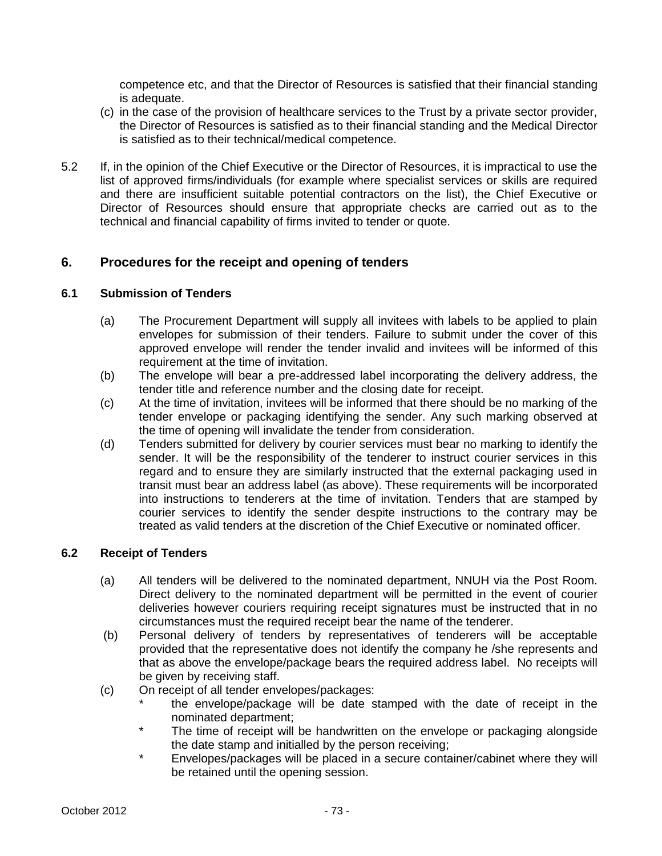competence etc, and that the Director of Resources is satisfied that their financial standing is adequate.

- (c) in the case of the provision of healthcare services to the Trust by a private sector provider, the Director of Resources is satisfied as to their financial standing and the Medical Director is satisfied as to their technical/medical competence.
- 5.2 If, in the opinion of the Chief Executive or the Director of Resources, it is impractical to use the list of approved firms/individuals (for example where specialist services or skills are required and there are insufficient suitable potential contractors on the list), the Chief Executive or Director of Resources should ensure that appropriate checks are carried out as to the technical and financial capability of firms invited to tender or quote.

# **6. Procedures for the receipt and opening of tenders**

## **6.1 Submission of Tenders**

- (a) The Procurement Department will supply all invitees with labels to be applied to plain envelopes for submission of their tenders. Failure to submit under the cover of this approved envelope will render the tender invalid and invitees will be informed of this requirement at the time of invitation.
- (b) The envelope will bear a pre-addressed label incorporating the delivery address, the tender title and reference number and the closing date for receipt.
- (c) At the time of invitation, invitees will be informed that there should be no marking of the tender envelope or packaging identifying the sender. Any such marking observed at the time of opening will invalidate the tender from consideration.
- (d) Tenders submitted for delivery by courier services must bear no marking to identify the sender. It will be the responsibility of the tenderer to instruct courier services in this regard and to ensure they are similarly instructed that the external packaging used in transit must bear an address label (as above). These requirements will be incorporated into instructions to tenderers at the time of invitation. Tenders that are stamped by courier services to identify the sender despite instructions to the contrary may be treated as valid tenders at the discretion of the Chief Executive or nominated officer.

## **6.2 Receipt of Tenders**

- (a) All tenders will be delivered to the nominated department, NNUH via the Post Room. Direct delivery to the nominated department will be permitted in the event of courier deliveries however couriers requiring receipt signatures must be instructed that in no circumstances must the required receipt bear the name of the tenderer.
- (b) Personal delivery of tenders by representatives of tenderers will be acceptable provided that the representative does not identify the company he /she represents and that as above the envelope/package bears the required address label. No receipts will be given by receiving staff.
- (c) On receipt of all tender envelopes/packages:
	- the envelope/package will be date stamped with the date of receipt in the nominated department;
	- The time of receipt will be handwritten on the envelope or packaging alongside the date stamp and initialled by the person receiving;
	- Envelopes/packages will be placed in a secure container/cabinet where they will be retained until the opening session.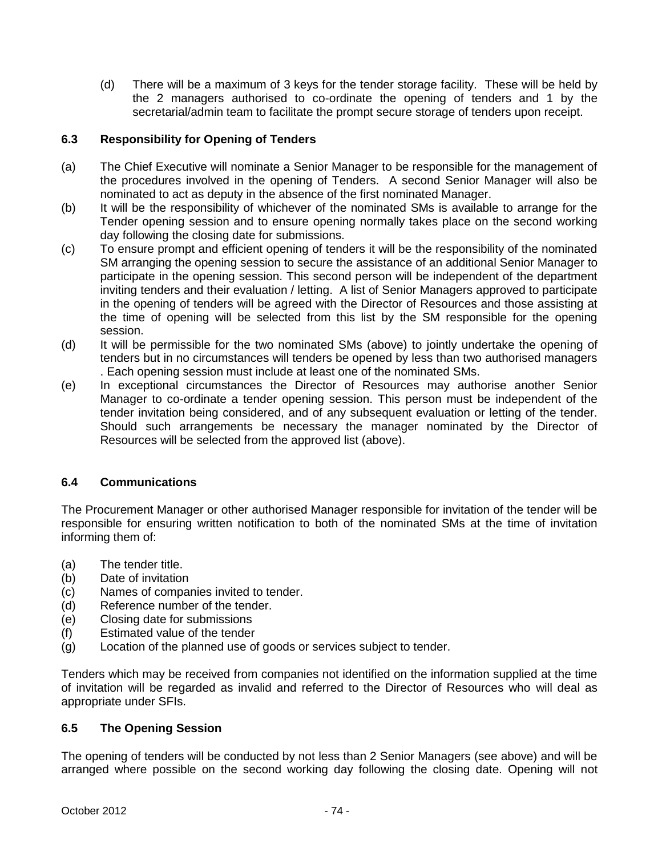(d) There will be a maximum of 3 keys for the tender storage facility. These will be held by the 2 managers authorised to co-ordinate the opening of tenders and 1 by the secretarial/admin team to facilitate the prompt secure storage of tenders upon receipt.

# **6.3 Responsibility for Opening of Tenders**

- (a) The Chief Executive will nominate a Senior Manager to be responsible for the management of the procedures involved in the opening of Tenders. A second Senior Manager will also be nominated to act as deputy in the absence of the first nominated Manager.
- (b) It will be the responsibility of whichever of the nominated SMs is available to arrange for the Tender opening session and to ensure opening normally takes place on the second working day following the closing date for submissions.
- (c) To ensure prompt and efficient opening of tenders it will be the responsibility of the nominated SM arranging the opening session to secure the assistance of an additional Senior Manager to participate in the opening session. This second person will be independent of the department inviting tenders and their evaluation / letting. A list of Senior Managers approved to participate in the opening of tenders will be agreed with the Director of Resources and those assisting at the time of opening will be selected from this list by the SM responsible for the opening session.
- (d) It will be permissible for the two nominated SMs (above) to jointly undertake the opening of tenders but in no circumstances will tenders be opened by less than two authorised managers . Each opening session must include at least one of the nominated SMs.
- (e) In exceptional circumstances the Director of Resources may authorise another Senior Manager to co-ordinate a tender opening session. This person must be independent of the tender invitation being considered, and of any subsequent evaluation or letting of the tender. Should such arrangements be necessary the manager nominated by the Director of Resources will be selected from the approved list (above).

# **6.4 Communications**

The Procurement Manager or other authorised Manager responsible for invitation of the tender will be responsible for ensuring written notification to both of the nominated SMs at the time of invitation informing them of:

- (a) The tender title.
- (b) Date of invitation
- (c) Names of companies invited to tender.
- (d) Reference number of the tender.
- (e) Closing date for submissions
- (f) Estimated value of the tender
- (g) Location of the planned use of goods or services subject to tender.

Tenders which may be received from companies not identified on the information supplied at the time of invitation will be regarded as invalid and referred to the Director of Resources who will deal as appropriate under SFIs.

## **6.5 The Opening Session**

The opening of tenders will be conducted by not less than 2 Senior Managers (see above) and will be arranged where possible on the second working day following the closing date. Opening will not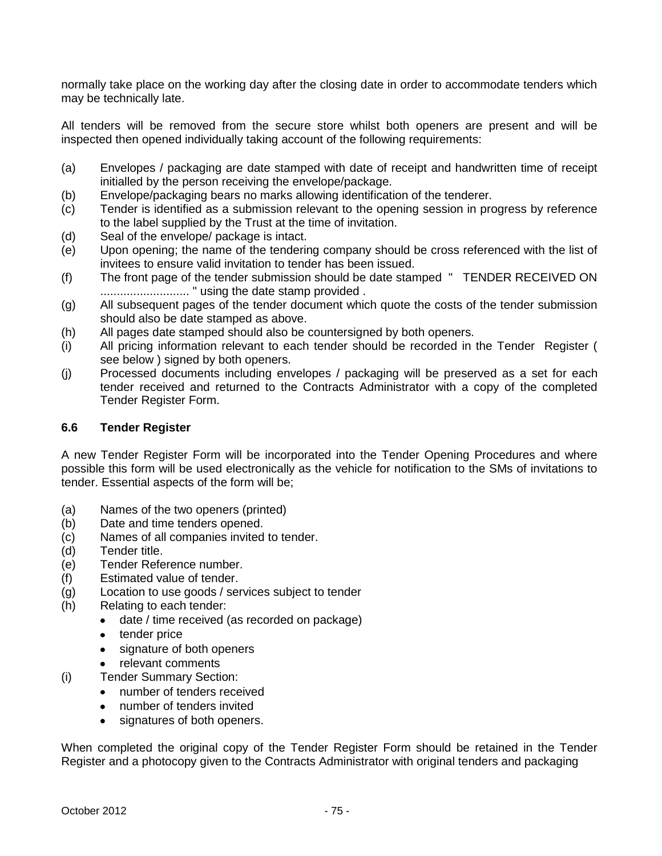normally take place on the working day after the closing date in order to accommodate tenders which may be technically late.

All tenders will be removed from the secure store whilst both openers are present and will be inspected then opened individually taking account of the following requirements:

- (a) Envelopes / packaging are date stamped with date of receipt and handwritten time of receipt initialled by the person receiving the envelope/package.
- (b) Envelope/packaging bears no marks allowing identification of the tenderer.
- (c) Tender is identified as a submission relevant to the opening session in progress by reference to the label supplied by the Trust at the time of invitation.
- (d) Seal of the envelope/ package is intact.
- (e) Upon opening; the name of the tendering company should be cross referenced with the list of invitees to ensure valid invitation to tender has been issued.
- (f) The front page of the tender submission should be date stamped " TENDER RECEIVED ON ........................... " using the date stamp provided .
- (g) All subsequent pages of the tender document which quote the costs of the tender submission should also be date stamped as above.
- (h) All pages date stamped should also be countersigned by both openers.
- (i) All pricing information relevant to each tender should be recorded in the Tender Register ( see below ) signed by both openers.
- (j) Processed documents including envelopes / packaging will be preserved as a set for each tender received and returned to the Contracts Administrator with a copy of the completed Tender Register Form.

# **6.6 Tender Register**

A new Tender Register Form will be incorporated into the Tender Opening Procedures and where possible this form will be used electronically as the vehicle for notification to the SMs of invitations to tender. Essential aspects of the form will be;

- (a) Names of the two openers (printed)
- (b) Date and time tenders opened.
- (c) Names of all companies invited to tender.
- (d) Tender title.
- (e) Tender Reference number.
- (f) Estimated value of tender.
- (g) Location to use goods / services subject to tender
- (h) Relating to each tender:
	- date / time received (as recorded on package)  $\bullet$
	- tender price
	- signature of both openers
	- relevant comments  $\bullet$
- (i) Tender Summary Section:
	- $\bullet$ number of tenders received
	- number of tenders invited
	- signatures of both openers.

When completed the original copy of the Tender Register Form should be retained in the Tender Register and a photocopy given to the Contracts Administrator with original tenders and packaging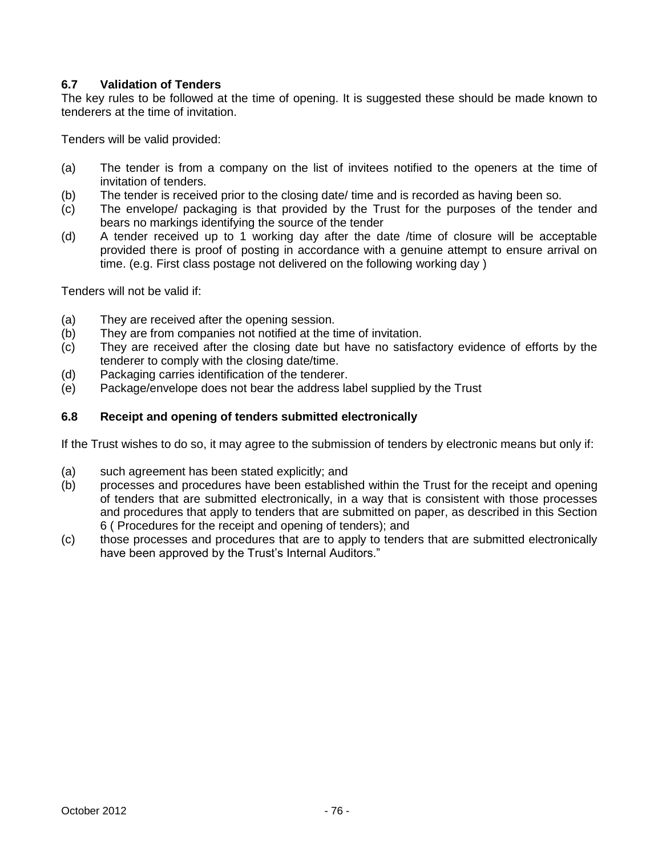# **6.7 Validation of Tenders**

The key rules to be followed at the time of opening. It is suggested these should be made known to tenderers at the time of invitation.

Tenders will be valid provided:

- (a) The tender is from a company on the list of invitees notified to the openers at the time of invitation of tenders.
- (b) The tender is received prior to the closing date/ time and is recorded as having been so.
- (c) The envelope/ packaging is that provided by the Trust for the purposes of the tender and bears no markings identifying the source of the tender
- (d) A tender received up to 1 working day after the date /time of closure will be acceptable provided there is proof of posting in accordance with a genuine attempt to ensure arrival on time. (e.g. First class postage not delivered on the following working day )

Tenders will not be valid if:

- (a) They are received after the opening session.
- (b) They are from companies not notified at the time of invitation.
- (c) They are received after the closing date but have no satisfactory evidence of efforts by the tenderer to comply with the closing date/time.
- (d) Packaging carries identification of the tenderer.
- (e) Package/envelope does not bear the address label supplied by the Trust

## **6.8 Receipt and opening of tenders submitted electronically**

If the Trust wishes to do so, it may agree to the submission of tenders by electronic means but only if:

- 
- (a) such agreement has been stated explicitly; and<br>(b) processes and procedures have been establish processes and procedures have been established within the Trust for the receipt and opening of tenders that are submitted electronically, in a way that is consistent with those processes and procedures that apply to tenders that are submitted on paper, as described in this Section 6 ( Procedures for the receipt and opening of tenders); and
- (c) those processes and procedures that are to apply to tenders that are submitted electronically have been approved by the Trust's Internal Auditors."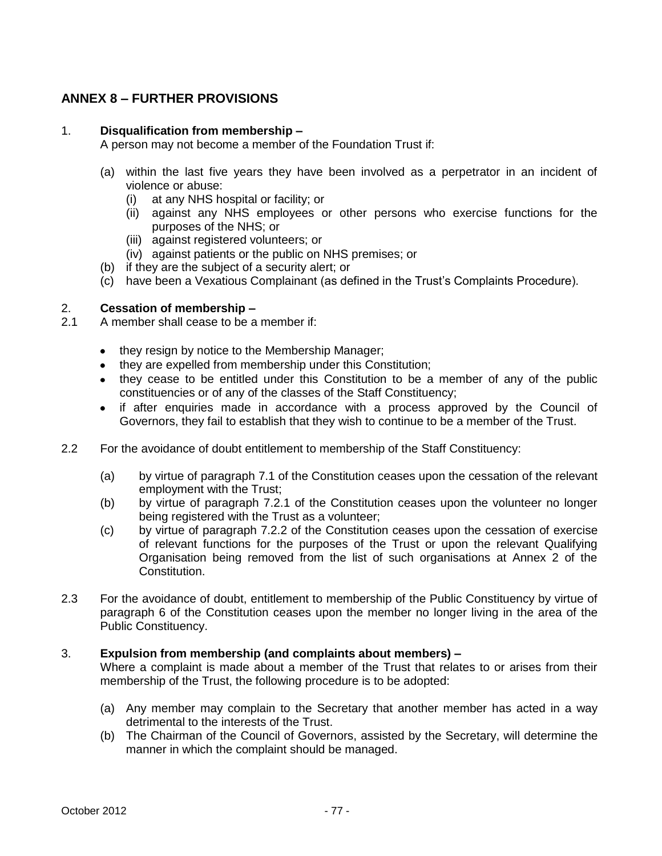# **ANNEX 8 – FURTHER PROVISIONS**

### 1. **Disqualification from membership –**

A person may not become a member of the Foundation Trust if:

- (a) within the last five years they have been involved as a perpetrator in an incident of violence or abuse:
	- (i) at any NHS hospital or facility; or
	- (ii) against any NHS employees or other persons who exercise functions for the purposes of the NHS; or
	- (iii) against registered volunteers; or
	- (iv) against patients or the public on NHS premises; or
- (b) if they are the subject of a security alert; or
- (c) have been a Vexatious Complainant (as defined in the Trust's Complaints Procedure).

## 2. **Cessation of membership –**

- 2.1 A member shall cease to be a member if:
	- they resign by notice to the Membership Manager;
	- they are expelled from membership under this Constitution:
	- they cease to be entitled under this Constitution to be a member of any of the public constituencies or of any of the classes of the Staff Constituency;
	- if after enquiries made in accordance with a process approved by the Council of Governors, they fail to establish that they wish to continue to be a member of the Trust.
- 2.2 For the avoidance of doubt entitlement to membership of the Staff Constituency:
	- (a) by virtue of paragraph 7.1 of the Constitution ceases upon the cessation of the relevant employment with the Trust;
	- (b) by virtue of paragraph 7.2.1 of the Constitution ceases upon the volunteer no longer being registered with the Trust as a volunteer;
	- (c) by virtue of paragraph 7.2.2 of the Constitution ceases upon the cessation of exercise of relevant functions for the purposes of the Trust or upon the relevant Qualifying Organisation being removed from the list of such organisations at Annex 2 of the Constitution.
- 2.3 For the avoidance of doubt, entitlement to membership of the Public Constituency by virtue of paragraph 6 of the Constitution ceases upon the member no longer living in the area of the Public Constituency.

### 3. **Expulsion from membership (and complaints about members) –**

Where a complaint is made about a member of the Trust that relates to or arises from their membership of the Trust, the following procedure is to be adopted:

- (a) Any member may complain to the Secretary that another member has acted in a way detrimental to the interests of the Trust.
- (b) The Chairman of the Council of Governors, assisted by the Secretary, will determine the manner in which the complaint should be managed.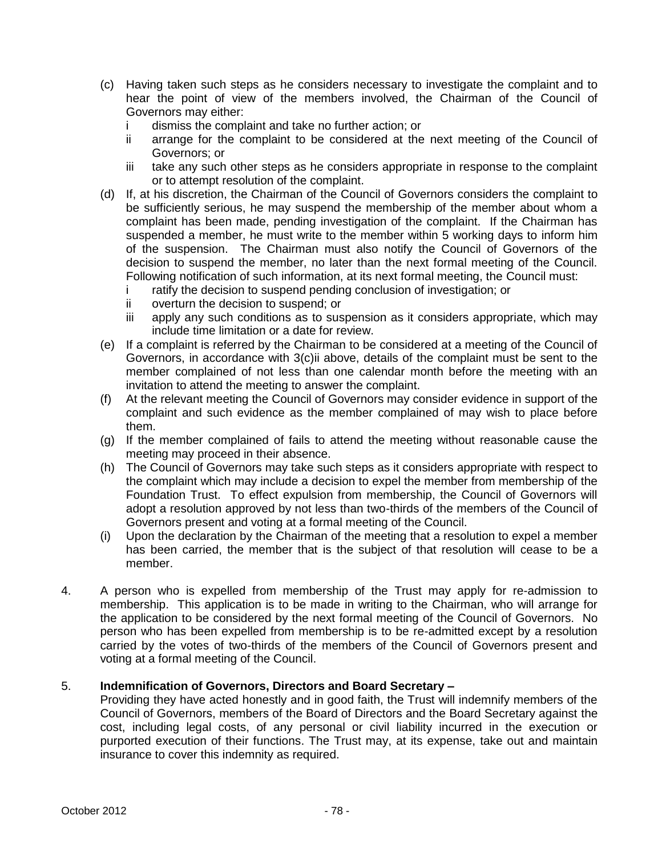- (c) Having taken such steps as he considers necessary to investigate the complaint and to hear the point of view of the members involved, the Chairman of the Council of Governors may either:
	- i dismiss the complaint and take no further action; or
	- ii arrange for the complaint to be considered at the next meeting of the Council of Governors; or
	- iii take any such other steps as he considers appropriate in response to the complaint or to attempt resolution of the complaint.
- (d) If, at his discretion, the Chairman of the Council of Governors considers the complaint to be sufficiently serious, he may suspend the membership of the member about whom a complaint has been made, pending investigation of the complaint. If the Chairman has suspended a member, he must write to the member within 5 working days to inform him of the suspension. The Chairman must also notify the Council of Governors of the decision to suspend the member, no later than the next formal meeting of the Council. Following notification of such information, at its next formal meeting, the Council must:
	- i ratify the decision to suspend pending conclusion of investigation; or
	- ii overturn the decision to suspend; or
	- iii apply any such conditions as to suspension as it considers appropriate, which may include time limitation or a date for review.
- (e) If a complaint is referred by the Chairman to be considered at a meeting of the Council of Governors, in accordance with 3(c)ii above, details of the complaint must be sent to the member complained of not less than one calendar month before the meeting with an invitation to attend the meeting to answer the complaint.
- (f) At the relevant meeting the Council of Governors may consider evidence in support of the complaint and such evidence as the member complained of may wish to place before them.
- (g) If the member complained of fails to attend the meeting without reasonable cause the meeting may proceed in their absence.
- (h) The Council of Governors may take such steps as it considers appropriate with respect to the complaint which may include a decision to expel the member from membership of the Foundation Trust. To effect expulsion from membership, the Council of Governors will adopt a resolution approved by not less than two-thirds of the members of the Council of Governors present and voting at a formal meeting of the Council.
- (i) Upon the declaration by the Chairman of the meeting that a resolution to expel a member has been carried, the member that is the subject of that resolution will cease to be a member.
- 4. A person who is expelled from membership of the Trust may apply for re-admission to membership. This application is to be made in writing to the Chairman, who will arrange for the application to be considered by the next formal meeting of the Council of Governors. No person who has been expelled from membership is to be re-admitted except by a resolution carried by the votes of two-thirds of the members of the Council of Governors present and voting at a formal meeting of the Council.

## 5. **Indemnification of Governors, Directors and Board Secretary –**

Providing they have acted honestly and in good faith, the Trust will indemnify members of the Council of Governors, members of the Board of Directors and the Board Secretary against the cost, including legal costs, of any personal or civil liability incurred in the execution or purported execution of their functions. The Trust may, at its expense, take out and maintain insurance to cover this indemnity as required.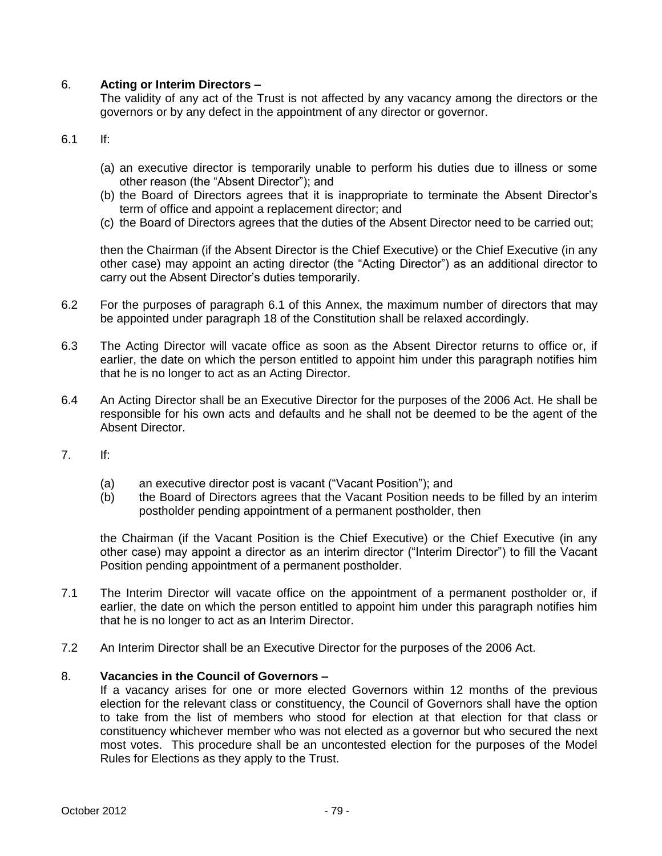## 6. **Acting or Interim Directors –**

The validity of any act of the Trust is not affected by any vacancy among the directors or the governors or by any defect in the appointment of any director or governor.

- 6.1 If:
	- (a) an executive director is temporarily unable to perform his duties due to illness or some other reason (the "Absent Director"); and
	- (b) the Board of Directors agrees that it is inappropriate to terminate the Absent Director's term of office and appoint a replacement director; and
	- (c) the Board of Directors agrees that the duties of the Absent Director need to be carried out;

then the Chairman (if the Absent Director is the Chief Executive) or the Chief Executive (in any other case) may appoint an acting director (the "Acting Director") as an additional director to carry out the Absent Director's duties temporarily.

- 6.2 For the purposes of paragraph 6.1 of this Annex, the maximum number of directors that may be appointed under paragraph 18 of the Constitution shall be relaxed accordingly.
- 6.3 The Acting Director will vacate office as soon as the Absent Director returns to office or, if earlier, the date on which the person entitled to appoint him under this paragraph notifies him that he is no longer to act as an Acting Director.
- 6.4 An Acting Director shall be an Executive Director for the purposes of the 2006 Act. He shall be responsible for his own acts and defaults and he shall not be deemed to be the agent of the Absent Director.
- 7. If:
	- (a) an executive director post is vacant ("Vacant Position"); and
	- (b) the Board of Directors agrees that the Vacant Position needs to be filled by an interim postholder pending appointment of a permanent postholder, then

the Chairman (if the Vacant Position is the Chief Executive) or the Chief Executive (in any other case) may appoint a director as an interim director ("Interim Director") to fill the Vacant Position pending appointment of a permanent postholder.

- 7.1 The Interim Director will vacate office on the appointment of a permanent postholder or, if earlier, the date on which the person entitled to appoint him under this paragraph notifies him that he is no longer to act as an Interim Director.
- 7.2 An Interim Director shall be an Executive Director for the purposes of the 2006 Act.

### 8. **Vacancies in the Council of Governors –**

If a vacancy arises for one or more elected Governors within 12 months of the previous election for the relevant class or constituency, the Council of Governors shall have the option to take from the list of members who stood for election at that election for that class or constituency whichever member who was not elected as a governor but who secured the next most votes. This procedure shall be an uncontested election for the purposes of the Model Rules for Elections as they apply to the Trust.